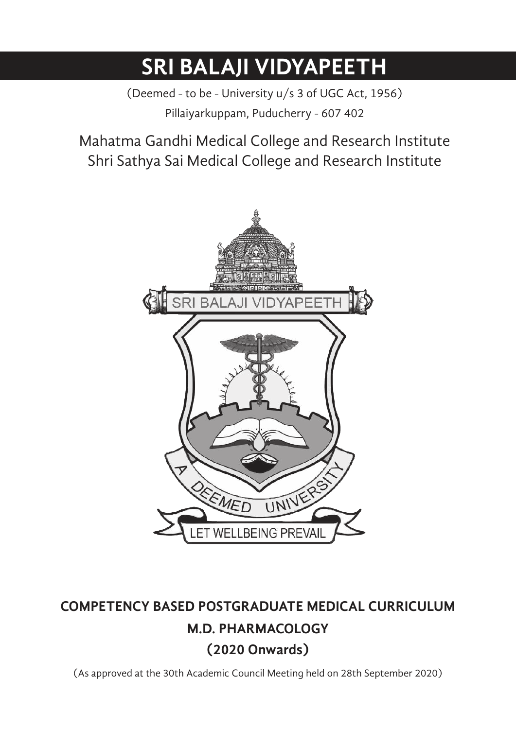# **SRI BALAJI VIDYAPEETH**

(Deemed - to be - University u/s 3 of UGC Act, 1956) Pillaiyarkuppam, Puducherry - 607 402

Mahatma Gandhi Medical College and Research Institute Shri Sathya Sai Medical College and Research Institute



## **COMPETENCY BASED POSTGRADUATE MEDICAL CURRICULUM M.D. PHARMACOLOGY (2020 Onwards)**

(As approved at the 30th Academic Council Meeting held on 28th September 2020)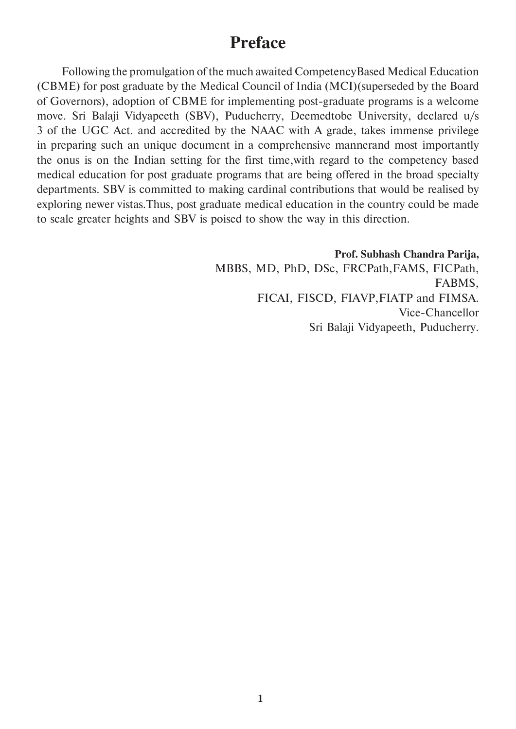## **Preface**

 Following the promulgation of the much awaited CompetencyBased Medical Education (CBME) for post graduate by the Medical Council of India (MCI)(superseded by the Board of Governors), adoption of CBME for implementing post-graduate programs is a welcome move. Sri Balaji Vidyapeeth (SBV), Puducherry, Deemedtobe University, declared u/s 3 of the UGC Act. and accredited by the NAAC with A grade, takes immense privilege in preparing such an unique document in a comprehensive mannerand most importantly the onus is on the Indian setting for the first time,with regard to the competency based medical education for post graduate programs that are being offered in the broad specialty departments. SBV is committed to making cardinal contributions that would be realised by exploring newer vistas.Thus, post graduate medical education in the country could be made to scale greater heights and SBV is poised to show the way in this direction.

> **Prof. Subhash Chandra Parija,**  MBBS, MD, PhD, DSc, FRCPath,FAMS, FICPath, FABMS, FICAI, FISCD, FIAVP,FIATP and FIMSA. Vice-Chancellor Sri Balaji Vidyapeeth, Puducherry.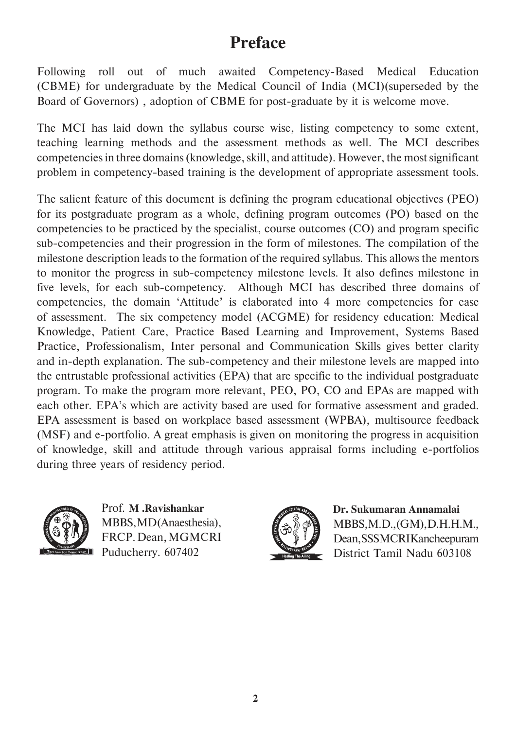## **Preface**

Following roll out of much awaited Competency-Based Medical Education (CBME) for undergraduate by the Medical Council of India (MCI)(superseded by the Board of Governors) , adoption of CBME for post-graduate by it is welcome move.

The MCI has laid down the syllabus course wise, listing competency to some extent, teaching learning methods and the assessment methods as well. The MCI describes competencies in three domains (knowledge, skill, and attitude). However, the most significant problem in competency-based training is the development of appropriate assessment tools.

The salient feature of this document is defining the program educational objectives (PEO) for its postgraduate program as a whole, defining program outcomes (PO) based on the competencies to be practiced by the specialist, course outcomes (CO) and program specific sub-competencies and their progression in the form of milestones. The compilation of the milestone description leads to the formation of the required syllabus. This allows the mentors to monitor the progress in sub-competency milestone levels. It also defines milestone in five levels, for each sub-competency. Although MCI has described three domains of competencies, the domain 'Attitude' is elaborated into 4 more competencies for ease of assessment. The six competency model (ACGME) for residency education: Medical Knowledge, Patient Care, Practice Based Learning and Improvement, Systems Based Practice, Professionalism, Inter personal and Communication Skills gives better clarity and in-depth explanation. The sub-competency and their milestone levels are mapped into the entrustable professional activities (EPA) that are specific to the individual postgraduate program. To make the program more relevant, PEO, PO, CO and EPAs are mapped with each other. EPA's which are activity based are used for formative assessment and graded. EPA assessment is based on workplace based assessment (WPBA), multisource feedback (MSF) and e-portfolio. A great emphasis is given on monitoring the progress in acquisition of knowledge, skill and attitude through various appraisal forms including e-portfolios during three years of residency period.



Prof. **M .Ravishankar**  MBBS, MD (Anaesthesia), FRCP. Dean, MGMCRI Puducherry. 607402



**Dr. Sukumaran Annamalai**  MBBS, M.D., (GM), D.H.H.M., Dean, SSSMCRI Kancheepuram District Tamil Nadu 603108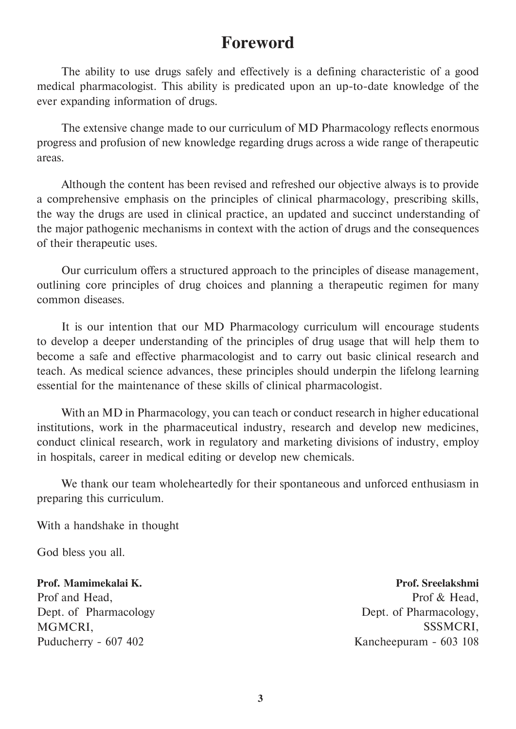## **Foreword**

 The ability to use drugs safely and effectively is a defining characteristic of a good medical pharmacologist. This ability is predicated upon an up-to-date knowledge of the ever expanding information of drugs.

 The extensive change made to our curriculum of MD Pharmacology reflects enormous progress and profusion of new knowledge regarding drugs across a wide range of therapeutic areas.

 Although the content has been revised and refreshed our objective always is to provide a comprehensive emphasis on the principles of clinical pharmacology, prescribing skills, the way the drugs are used in clinical practice, an updated and succinct understanding of the major pathogenic mechanisms in context with the action of drugs and the consequences of their therapeutic uses.

 Our curriculum offers a structured approach to the principles of disease management, outlining core principles of drug choices and planning a therapeutic regimen for many common diseases.

 It is our intention that our MD Pharmacology curriculum will encourage students to develop a deeper understanding of the principles of drug usage that will help them to become a safe and effective pharmacologist and to carry out basic clinical research and teach. As medical science advances, these principles should underpin the lifelong learning essential for the maintenance of these skills of clinical pharmacologist.

 With an MD in Pharmacology, you can teach or conduct research in higher educational institutions, work in the pharmaceutical industry, research and develop new medicines, conduct clinical research, work in regulatory and marketing divisions of industry, employ in hospitals, career in medical editing or develop new chemicals.

 We thank our team wholeheartedly for their spontaneous and unforced enthusiasm in preparing this curriculum.

With a handshake in thought

God bless you all.

**Prof. Mamimekalai K.**  Prof and Head, Dept. of Pharmacology MGMCRI, Puducherry - 607 402

**Prof. Sreelakshmi**  Prof & Head, Dept. of Pharmacology, SSSMCRI, Kancheepuram - 603 108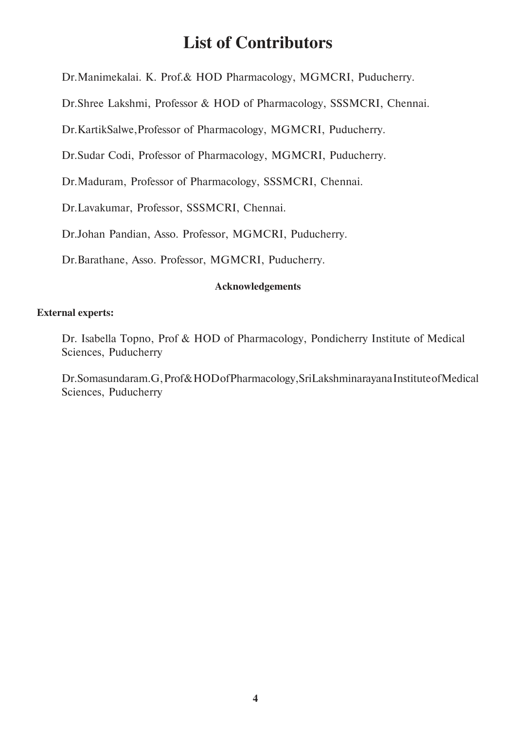## **List of Contributors**

Dr.Manimekalai. K. Prof.& HOD Pharmacology, MGMCRI, Puducherry.

Dr.Shree Lakshmi, Professor & HOD of Pharmacology, SSSMCRI, Chennai.

Dr.KartikSalwe,Professor of Pharmacology, MGMCRI, Puducherry.

Dr.Sudar Codi, Professor of Pharmacology, MGMCRI, Puducherry.

Dr.Maduram, Professor of Pharmacology, SSSMCRI, Chennai.

Dr.Lavakumar, Professor, SSSMCRI, Chennai.

Dr.Johan Pandian, Asso. Professor, MGMCRI, Puducherry.

Dr.Barathane, Asso. Professor, MGMCRI, Puducherry.

#### **Acknowledgements**

#### **External experts:**

 Dr. Isabella Topno, Prof & HOD of Pharmacology, Pondicherry Institute of Medical Sciences, Puducherry

Dr.Somasundaram.G, Prof & HOD of Pharmacology, SriLakshminarayana Institute of Medical Sciences, Puducherry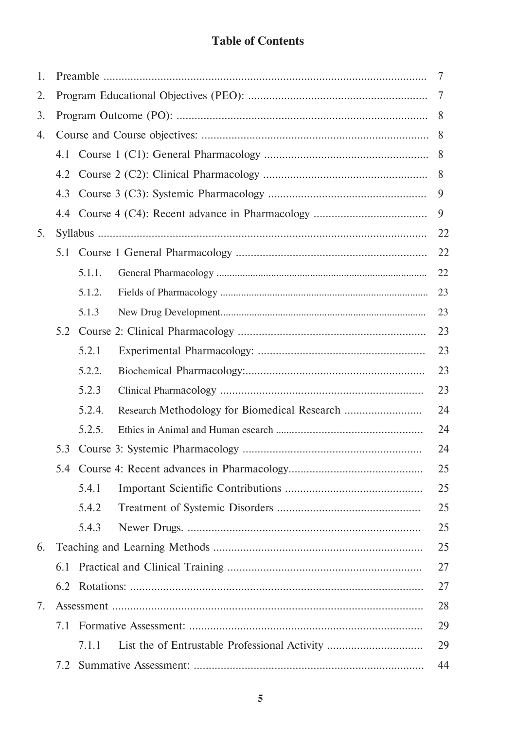## **Table of Contents**

| 1. |     |        |                                               | 7  |
|----|-----|--------|-----------------------------------------------|----|
| 2. |     |        |                                               | 7  |
| 3. |     |        |                                               | 8  |
| 4. |     |        |                                               | 8  |
|    |     |        |                                               | 8  |
|    | 4.2 |        |                                               | 8  |
|    | 4.3 |        |                                               | 9  |
|    |     |        |                                               | 9  |
| 5. |     |        |                                               | 22 |
|    | 5.1 |        |                                               | 22 |
|    |     | 5.1.1. |                                               | 22 |
|    |     | 5.1.2. |                                               | 23 |
|    |     | 5.1.3  |                                               | 23 |
|    | 5.2 |        |                                               | 23 |
|    |     | 5.2.1  |                                               | 23 |
|    |     | 5.2.2. |                                               | 23 |
|    |     | 5.2.3  |                                               | 23 |
|    |     | 5.2.4. |                                               | 24 |
|    |     | 5.2.5. |                                               | 24 |
|    | 5.3 |        |                                               | 24 |
|    |     |        |                                               | 25 |
|    |     | 5.4.1  |                                               | 25 |
|    |     | 5.4.2  |                                               | 25 |
|    |     | 5.4.3  |                                               | 25 |
| 6. |     |        |                                               | 25 |
|    | 6.1 |        |                                               | 27 |
|    | 6.2 |        |                                               | 27 |
| 7. |     |        |                                               | 28 |
|    | 7.1 |        |                                               | 29 |
|    |     | 7.1.1  | List the of Entrustable Professional Activity | 29 |
|    | 7.2 |        |                                               | 44 |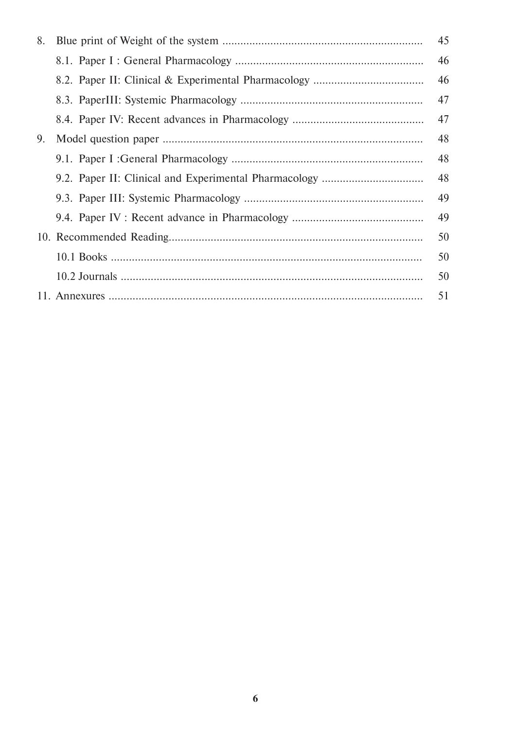| 8. | 45 |
|----|----|
|    | 46 |
|    | 46 |
|    | 47 |
|    | 47 |
| 9. | 48 |
|    | 48 |
|    | 48 |
|    | 49 |
|    | 49 |
|    | 50 |
|    | 50 |
|    | 50 |
|    | 51 |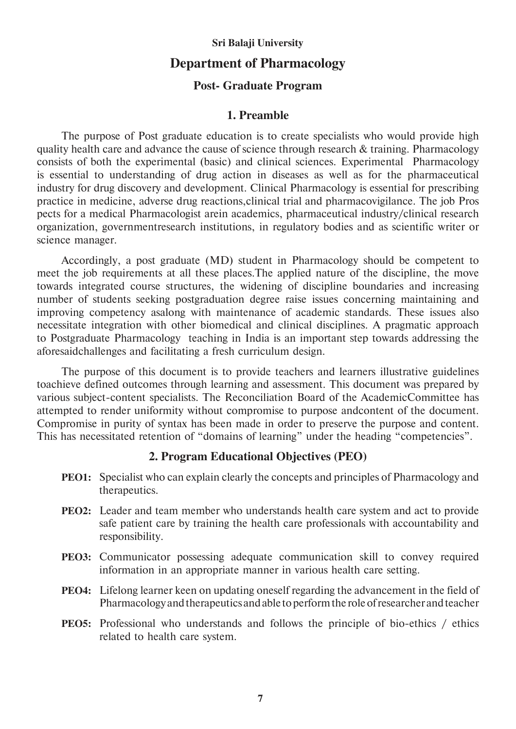#### **Sri Balaji University**

#### **Department of Pharmacology**

#### **Post- Graduate Program**

#### **1. Preamble**

 The purpose of Post graduate education is to create specialists who would provide high quality health care and advance the cause of science through research & training. Pharmacology consists of both the experimental (basic) and clinical sciences. Experimental Pharmacology is essential to understanding of drug action in diseases as well as for the pharmaceutical industry for drug discovery and development. Clinical Pharmacology is essential for prescribing practice in medicine, adverse drug reactions,clinical trial and pharmacovigilance. The job Pros pects for a medical Pharmacologist arein academics, pharmaceutical industry/clinical research organization, governmentresearch institutions, in regulatory bodies and as scientific writer or science manager.

 Accordingly, a post graduate (MD) student in Pharmacology should be competent to meet the job requirements at all these places.The applied nature of the discipline, the move towards integrated course structures, the widening of discipline boundaries and increasing number of students seeking postgraduation degree raise issues concerning maintaining and improving competency asalong with maintenance of academic standards. These issues also necessitate integration with other biomedical and clinical disciplines. A pragmatic approach to Postgraduate Pharmacology teaching in India is an important step towards addressing the aforesaidchallenges and facilitating a fresh curriculum design.

 The purpose of this document is to provide teachers and learners illustrative guidelines toachieve defined outcomes through learning and assessment. This document was prepared by various subject-content specialists. The Reconciliation Board of the AcademicCommittee has attempted to render uniformity without compromise to purpose andcontent of the document. Compromise in purity of syntax has been made in order to preserve the purpose and content. This has necessitated retention of "domains of learning" under the heading "competencies".

#### **2. Program Educational Objectives (PEO)**

- **PEO1:** Specialist who can explain clearly the concepts and principles of Pharmacology and therapeutics.
- **PEO2:** Leader and team member who understands health care system and act to provide safe patient care by training the health care professionals with accountability and responsibility.
- **PEO3:** Communicator possessing adequate communication skill to convey required information in an appropriate manner in various health care setting.
- **PEO4:** Lifelong learner keen on updating oneself regarding the advancement in the field of Pharmacology and therapeutics and able to perform the role of researcher and teacher
- **PEO5:** Professional who understands and follows the principle of bio-ethics / ethics related to health care system.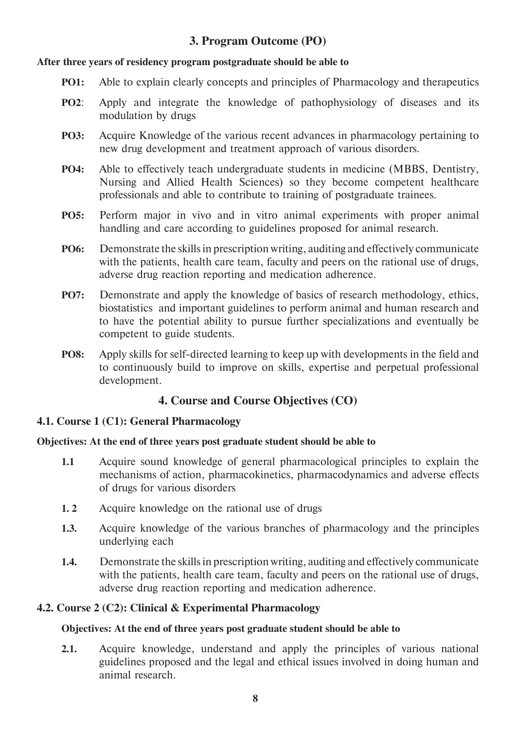### **3. Program Outcome (PO)**

#### **After three years of residency program postgraduate should be able to**

- **PO1:** Able to explain clearly concepts and principles of Pharmacology and therapeutics
- **PO2**: Apply and integrate the knowledge of pathophysiology of diseases and its modulation by drugs
- **PO3:** Acquire Knowledge of the various recent advances in pharmacology pertaining to new drug development and treatment approach of various disorders.
- **PO4:** Able to effectively teach undergraduate students in medicine (MBBS, Dentistry, Nursing and Allied Health Sciences) so they become competent healthcare professionals and able to contribute to training of postgraduate trainees.
- **PO5:** Perform major in vivo and in vitro animal experiments with proper animal handling and care according to guidelines proposed for animal research.
- **PO6:** Demonstrate the skills in prescription writing, auditing and effectively communicate with the patients, health care team, faculty and peers on the rational use of drugs, adverse drug reaction reporting and medication adherence.
- **PO7:** Demonstrate and apply the knowledge of basics of research methodology, ethics, biostatistics and important guidelines to perform animal and human research and to have the potential ability to pursue further specializations and eventually be competent to guide students.
- **PO8:** Apply skills for self-directed learning to keep up with developments in the field and to continuously build to improve on skills, expertise and perpetual professional development.

#### **4. Course and Course Objectives (CO)**

#### **4.1. Course 1 (C1): General Pharmacology**

#### **Objectives: At the end of three years post graduate student should be able to**

- **1.1** Acquire sound knowledge of general pharmacological principles to explain the mechanisms of action, pharmacokinetics, pharmacodynamics and adverse effects of drugs for various disorders
- **1. 2** Acquire knowledge on the rational use of drugs
- **1.3.** Acquire knowledge of the various branches of pharmacology and the principles underlying each
- **1.4.** Demonstrate the skills in prescription writing, auditing and effectively communicate with the patients, health care team, faculty and peers on the rational use of drugs, adverse drug reaction reporting and medication adherence.

#### **4.2. Course 2 (C2): Clinical & Experimental Pharmacology**

#### **Objectives: At the end of three years post graduate student should be able to**

**2.1.** Acquire knowledge, understand and apply the principles of various national guidelines proposed and the legal and ethical issues involved in doing human and animal research.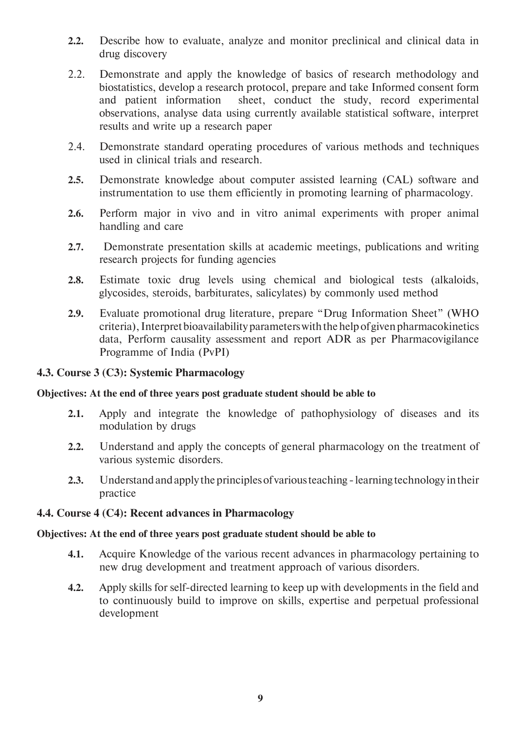- **2.2.** Describe how to evaluate, analyze and monitor preclinical and clinical data in drug discovery
- 2.2. Demonstrate and apply the knowledge of basics of research methodology and biostatistics, develop a research protocol, prepare and take Informed consent form and patient information sheet, conduct the study, record experimental observations, analyse data using currently available statistical software, interpret results and write up a research paper
- 2.4. Demonstrate standard operating procedures of various methods and techniques used in clinical trials and research.
- **2.5.** Demonstrate knowledge about computer assisted learning (CAL) software and instrumentation to use them efficiently in promoting learning of pharmacology.
- **2.6.** Perform major in vivo and in vitro animal experiments with proper animal handling and care
- **2.7.** Demonstrate presentation skills at academic meetings, publications and writing research projects for funding agencies
- **2.8.** Estimate toxic drug levels using chemical and biological tests (alkaloids, glycosides, steroids, barbiturates, salicylates) by commonly used method
- **2.9.** Evaluate promotional drug literature, prepare "Drug Information Sheet" (WHO criteria), Interpret bioavailability parameters with the help of given pharmacokinetics data, Perform causality assessment and report ADR as per Pharmacovigilance Programme of India (PvPI)

#### **4.3. Course 3 (C3): Systemic Pharmacology**

#### **Objectives: At the end of three years post graduate student should be able to**

- **2.1.** Apply and integrate the knowledge of pathophysiology of diseases and its modulation by drugs
- **2.2.** Understand and apply the concepts of general pharmacology on the treatment of various systemic disorders.
- **2.3.** Understand and apply the principles of various teaching learning technology in their practice

#### **4.4. Course 4 (C4): Recent advances in Pharmacology**

#### **Objectives: At the end of three years post graduate student should be able to**

- **4.1.** Acquire Knowledge of the various recent advances in pharmacology pertaining to new drug development and treatment approach of various disorders.
- **4.2.** Apply skills for self-directed learning to keep up with developments in the field and to continuously build to improve on skills, expertise and perpetual professional development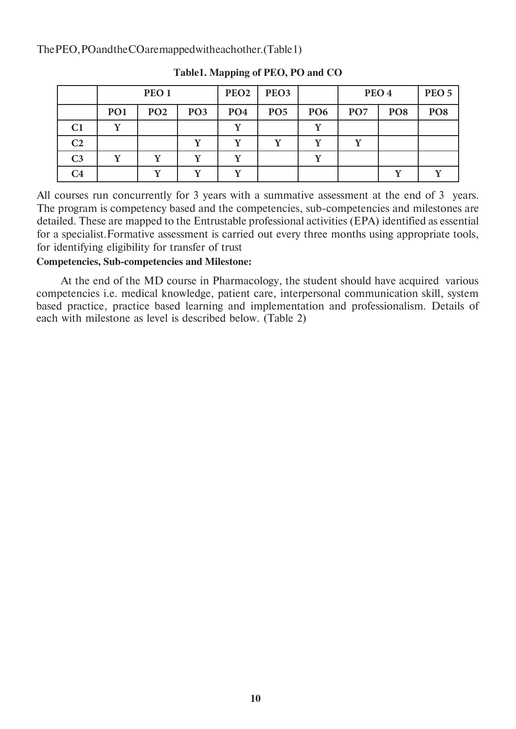The PEO, PO and the CO are mapped with each other. (Table 1)

|                |                                                 | PEO <sub>1</sub> |                 | PEO <sub>2</sub> | PEO <sub>3</sub> |                 |                 | PEO <sub>4</sub> | PEO <sub>5</sub> |
|----------------|-------------------------------------------------|------------------|-----------------|------------------|------------------|-----------------|-----------------|------------------|------------------|
|                | PO <sub>1</sub>                                 | PO <sub>2</sub>  | PO <sub>3</sub> | PO <sub>4</sub>  | PO <sub>5</sub>  | PO <sub>6</sub> | PO <sub>7</sub> | PO <sub>8</sub>  | PO <sub>8</sub>  |
| C <sub>1</sub> | $\overline{\mathbf{x}}$ $\overline{\mathbf{r}}$ |                  |                 |                  |                  | $\mathbf{v}$    |                 |                  |                  |
| C <sub>2</sub> |                                                 |                  |                 |                  |                  |                 |                 |                  |                  |
| C <sub>3</sub> |                                                 |                  | v               |                  |                  |                 |                 |                  |                  |
| $\mathcal{C}4$ |                                                 |                  |                 |                  |                  |                 |                 |                  |                  |

**Table1. Mapping of PEO, PO and CO**

All courses run concurrently for 3 years with a summative assessment at the end of 3 years. The program is competency based and the competencies, sub-competencies and milestones are detailed. These are mapped to the Entrustable professional activities (EPA) identified as essential for a specialist.Formative assessment is carried out every three months using appropriate tools, for identifying eligibility for transfer of trust

**Competencies, Sub-competencies and Milestone:**

 At the end of the MD course in Pharmacology, the student should have acquired various competencies i.e. medical knowledge, patient care, interpersonal communication skill, system based practice, practice based learning and implementation and professionalism. Details of each with milestone as level is described below. (Table 2)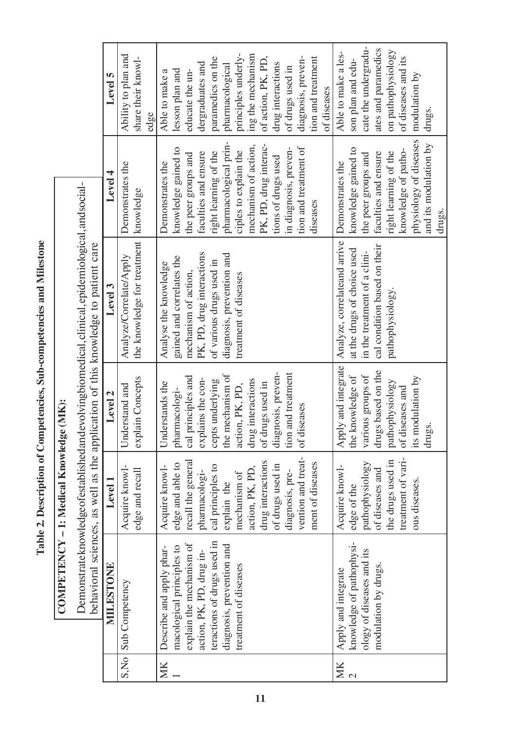Table 2. Description of Competencies, Sub-competencies and Milestone **Table 2. Description of Competencies, Sub-competencies and Milestone**

**COMPETENCY – 1: Medical Knowledge (MK):** 

COMPETENCY - 1: Medical Knowledge (MK):

|                                                                                                                                                                                          | Level 5   | Ability to plan and<br>share their knowl-                          | edge | Able to make a           | lesson plan and           | educate the un-          | dergraduates and          | paramedics on the           | pharmacological           | principles underly-   | ing the mechanism    | of action, PK, PD,    | drug interactions   | of drugs used in      | diagnosis, preven-    | tion and treatment | of diseases | Able to make a les-          | son plan and edu-           | cate the undergradu-         | ates and paramedics          | on pathophysiology    | of diseases and its | modulation by          | drugs.                |        |
|------------------------------------------------------------------------------------------------------------------------------------------------------------------------------------------|-----------|--------------------------------------------------------------------|------|--------------------------|---------------------------|--------------------------|---------------------------|-----------------------------|---------------------------|-----------------------|----------------------|-----------------------|---------------------|-----------------------|-----------------------|--------------------|-------------|------------------------------|-----------------------------|------------------------------|------------------------------|-----------------------|---------------------|------------------------|-----------------------|--------|
|                                                                                                                                                                                          | Level 4   | Demonstrates the                                                   |      | Demonstrates the         | knowledge gained to       | the peer groups and      | faculties and ensure      | right learning of the       | pharmacological prin-     | ciples to explain the | mechanism of action, | PK, PD, drug interac- | tions of drugs used | in diagnosis, preven- | tion and treatment of | diseases           |             | Demonstrates the             | knowledge gained to         | the peer groups and          | faculties and ensure         | right learning of the | knowledge of patho- | physiology of diseases | and its modulation by | drugs. |
| Demonstrateknowledge of established and evolving biomedical, clinical, epidemiological, and social-<br>behavioral sciences, as well as the application of this knowledge to patient care | Level 3   | the knowledge for treatment   knowledge<br>Analyze/Correlate/Apply |      | Analyse the knowledge    | gained and correlates the | mechanism of action,     | PK, PD, drug interactions | of various drugs used in    | diagnosis, prevention and | treatment of diseases |                      |                       |                     |                       |                       |                    |             | Analyze, correlateand arrive | at the drugs of choice used | in the treatment of a clini- | cal condition based on their | pathophysiology.      |                     |                        |                       |        |
|                                                                                                                                                                                          | Level 2   | explain Concepts<br>Understand and                                 |      | Understands the          | pharmacologi-             | cal principles and       | explains the con-         | cepts underlying            | the mechanism of          | action, PK, PD,       | drug interactions    | of drugs used in      | diagnosis, preven-  | tion and treatment    | of diseases           |                    |             | Apply and integrate          | the knowledge of            | various groups of            | drugs based on the           | pathophysiology       | of diseases and     | its modulation by      | drugs.                |        |
|                                                                                                                                                                                          | Level 1   | Acquire knowl-<br>edge and recall                                  |      | Acquire knowl-           | edge and able to          | recall the general       | pharmacologi-             | cal principles to           | explain the               | mechanism of          | action, PK, PD,      | drug interactions     | of drugs used in    | diagnosis, pre-       | vention and treat-    | ment of diseases   |             | Acquire knowl-               | edge of the                 | pathophysiology              | of diseases and              | the drugs used in     | treatment of vari-  | ous diseases.          |                       |        |
|                                                                                                                                                                                          | MILESTONE | S, No Sub Competency                                               |      | Describe and apply phar- | macological principles to | explain the mechanism of | action, PK, PD, drug in-  | teractions of drugs used in | diagnosis, prevention and | treatment of diseases |                      |                       |                     |                       |                       |                    |             | Apply and integrate          | knowledge of pathophysi-    | ology of diseases and its    | modulation by drugs.         |                       |                     |                        |                       |        |
|                                                                                                                                                                                          |           |                                                                    |      | MK                       |                           |                          |                           |                             |                           |                       |                      |                       |                     |                       |                       |                    |             | MK                           | $\mathbf{\Omega}$           |                              |                              |                       |                     |                        |                       |        |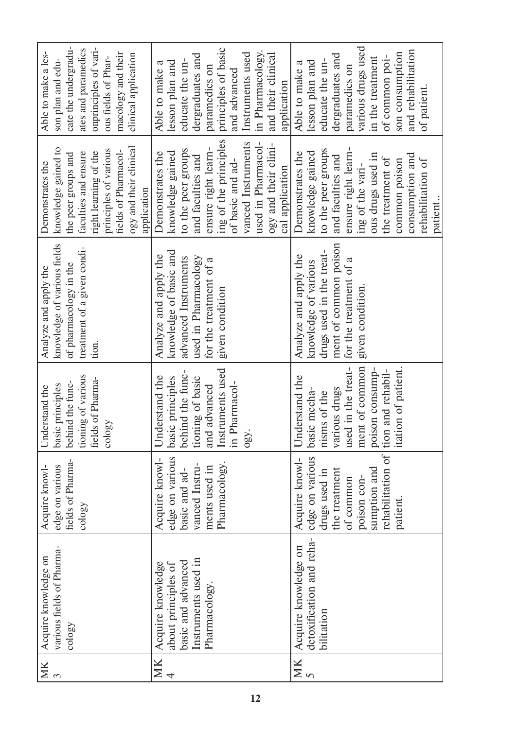| cate the undergradu-<br>onprinciples of vari-<br>ates and paramedics<br>Able to make a les-<br>macology and their<br>clinical application<br>ous fields of Phar-<br>son plan and edu-<br>ogy and their clinical<br>knowledge gained to<br>principles of various<br>fields of Pharmacol-<br>right learning of the<br>faculties and ensure<br>the peer groups and<br>Demonstrates the<br>application | principles of basic<br>in Pharmacology.<br>Instruments used<br>and their clinical<br>dergraduates and<br>educate the un-<br>lesson plan and<br>Able to make a<br>paramedics on<br>and advanced<br>application<br>ing of the principles<br>vanced Instruments<br>used in Pharmacol-<br>ogy and their clini-<br>ensure right learn-<br>to the peer groups<br>Demonstrates the<br>knowledge gained<br>and faculties and<br>of basic and ad-<br>cal application | various drugs used<br>and rehabilitation<br>son consumption<br>dergraduates and<br>of common poi-<br>in the treatment<br>educate the un-<br>lesson plan and<br>Able to make a<br>paramedics on<br>of patient.<br>ensure right learn-<br>to the peer groups<br>knowledge gained<br>Demonstrates the<br>ous drugs used in<br>consumption and<br>and faculties and<br>the treatment of<br>rehabilitation of<br>common poison<br>ing of the vari-<br>patient. |
|----------------------------------------------------------------------------------------------------------------------------------------------------------------------------------------------------------------------------------------------------------------------------------------------------------------------------------------------------------------------------------------------------|-------------------------------------------------------------------------------------------------------------------------------------------------------------------------------------------------------------------------------------------------------------------------------------------------------------------------------------------------------------------------------------------------------------------------------------------------------------|-----------------------------------------------------------------------------------------------------------------------------------------------------------------------------------------------------------------------------------------------------------------------------------------------------------------------------------------------------------------------------------------------------------------------------------------------------------|
| knowledge of various fields<br>treatment of a given condi-<br>of pharmacology in the<br>Analyze and apply the<br>tion.                                                                                                                                                                                                                                                                             | knowledge of basic and<br>Analyze and apply the<br>used in Pharmacology<br>advanced Instruments<br>for the treatment of a<br>given condition                                                                                                                                                                                                                                                                                                                | ment of common poison<br>drugs used in the treat-<br>Analyze and apply the<br>for the treatment of a<br>knowledge of various<br>given condition.                                                                                                                                                                                                                                                                                                          |
| tioning of various<br>fields of Pharma-<br>behind the func-<br>basic principles<br>Understand the<br>cology                                                                                                                                                                                                                                                                                        | Instruments used<br>behind the func-<br>Understand the<br>basic principles<br>tioning of basic<br>in Pharmacol-<br>and advanced<br>ogy.                                                                                                                                                                                                                                                                                                                     | ment of common<br>itation of patient.<br>used in the treat-<br>poison consump-<br>tion and rehabil-<br>Understand the<br>various drugs<br>basic mecha-<br>nisms of the                                                                                                                                                                                                                                                                                    |
| fields of Pharma-<br>edge on various<br>Acquire knowl-<br>cology                                                                                                                                                                                                                                                                                                                                   | edge on various<br>Acquire knowl-<br>Pharmacology.<br>vanced Instru-<br>ments used in<br>basic and ad-                                                                                                                                                                                                                                                                                                                                                      | rehabilitation of<br>edge on various<br>Acquire knowl-<br>sumption and<br>the treatment<br>drugs used in<br>poison con-<br>of common<br>patient.                                                                                                                                                                                                                                                                                                          |
| various fields of Pharma-<br>Acquire knowledge on<br>cology                                                                                                                                                                                                                                                                                                                                        | Instruments used in<br>basic and advanced<br>Acquire knowledge<br>about principles of<br>Pharmacology.                                                                                                                                                                                                                                                                                                                                                      | detoxification and reha-<br>Acquire knowledge on<br>bilitation                                                                                                                                                                                                                                                                                                                                                                                            |
| MK<br>$\epsilon$                                                                                                                                                                                                                                                                                                                                                                                   | $\frac{NK}{4}$                                                                                                                                                                                                                                                                                                                                                                                                                                              | $\frac{NK}{5}$                                                                                                                                                                                                                                                                                                                                                                                                                                            |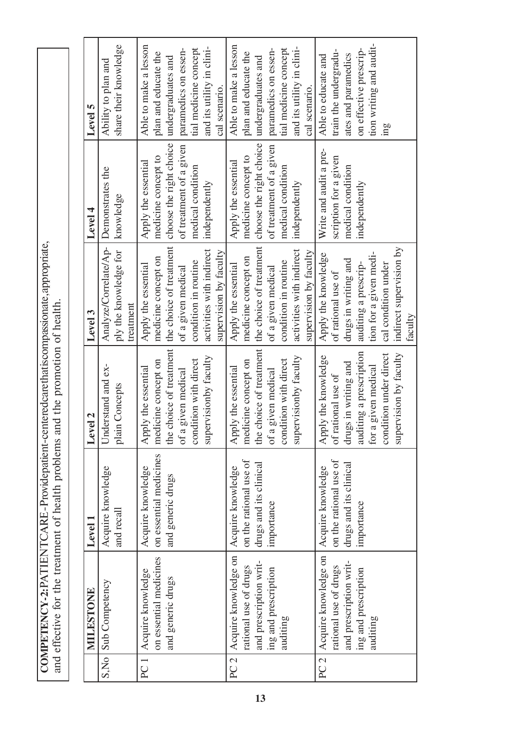**COMPETENCY - 2:** PATIENT CARE - Provide patient-centered care that is compassionate, appropriate, **COMPETENCY-2:PATIENTCARE-Providepatient-centeredcarethatiscompassionate, appropriate,**<br>and effective for the treatment of health problems and the promotion of health. and effective for the treatment of health problems and the promotion of health.

|                 | MILESTONE              | ${\rm Level}\,1$       | $\overline{a}$<br>Level | Level 3                  | Level 4                 | Level 5                   |
|-----------------|------------------------|------------------------|-------------------------|--------------------------|-------------------------|---------------------------|
| S.No            | Sub Competency         | Acquire knowledge      | Understand and ex-      | Analyze/Correlate/Ap-    | Demonstrates the        | Ability to plan and       |
|                 |                        | and recall             | plain Concepts          | ply the knowledge for    | knowledge               | share their knowledge     |
|                 |                        |                        |                         | treatment                |                         |                           |
| PC <sub>1</sub> | Acquire knowledge      | Acquire knowledge      | Apply the essential     | Apply the essential      | Apply the essential     | Able to make a lesson     |
|                 | on essential medicines | on essential medicines | medicine concept on     | medicine concept on      | medicine concept to     | plan and educate the      |
|                 | and generic drugs      | and generic drugs      | the choice of treatment | the choice of treatment  | choose the right choice | undergraduates and        |
|                 |                        |                        | of a given medical      | of a given medical       | of treatment of a given | paramedics on essen-      |
|                 |                        |                        | condition with direct   | condition in routine     | medical condition       | tial medicine concept     |
|                 |                        |                        | supervisionby faculty   | activities with indirect | independently           | and its utility in clini- |
|                 |                        |                        |                         | supervision by faculty   |                         | cal scenario.             |
| PC2             | Acquire knowledge on   | Acquire knowledge      | Apply the essential     | Apply the essential      | Apply the essential     | Able to make a lesson     |
|                 | rational use of drugs  | on the rational use of | medicine concept on     | medicine concept on      | medicine concept to     | plan and educate the      |
|                 | and prescription writ- | drugs and its clinical | the choice of treatment | the choice of treatment  | choose the right choice | undergraduates and        |
|                 | ing and prescription   | importance             | of a given medical      | of a given medical       | of treatment of a given | paramedics on essen-      |
|                 | auditing               |                        | condition with direct   | condition in routine     | medical condition       | tial medicine concept     |
|                 |                        |                        | supervisionby faculty   | activities with indirect | independently           | and its utility in clini- |
|                 |                        |                        |                         | supervision by faculty   |                         | cal scenario.             |
| PC2             | Acquire knowledge on   | Acquire knowledge      | Apply the knowledge     | Apply the knowledge      | Write and audit a pre-  | Able to educate and       |
|                 | rational use of drugs  | on the rational use of | of rational use of      | of rational use of       | scription for a given   | train the undergradu-     |
|                 | and prescription writ- | drugs and its clinical | drugs in writing and    | drugs in writing and     | medical condition       | ates and paramedics       |
|                 | ing and prescription   | importance             | auditing a prescription | auditing a prescrip-     | independently           | on effective prescrip-    |
|                 | auditing               |                        | given medical<br>for a  | tion for a given medi-   |                         | tion writing and audit-   |
|                 |                        |                        | condition under direct  | cal condition under      |                         | mg                        |
|                 |                        |                        | supervision by faculty  | indirect supervision by  |                         |                           |
|                 |                        |                        |                         | faculty                  |                         |                           |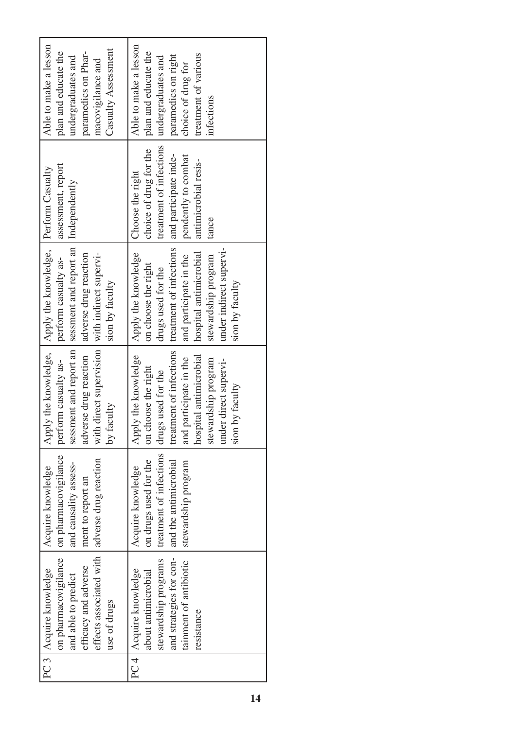| PC 3   Acquire knowledge |                         |                                                |                                                                 |                         |                       |
|--------------------------|-------------------------|------------------------------------------------|-----------------------------------------------------------------|-------------------------|-----------------------|
|                          | Acquire knowledge       | Apply the knowledge,                           | Apply the knowledge,                                            | Perform Casualty        | Able to make a lesson |
| on pharmacovigilance     | on pharmacovigilance    | perform casualty as-                           | perform casualty as-                                            | assessment, report      | plan and educate the  |
| and able to predict      | and causality assess-   |                                                | sessment and report an   sessment and report an   Independently |                         | undergraduates and    |
| efficacy and adverse     | ment to report an       | adverse drug reaction                          | adverse drug reaction                                           |                         | paramedics on Phar-   |
| effects associated with  | adverse drug reaction   | with direct supervision with indirect supervi- |                                                                 |                         | macovigilance and     |
| use of drugs             |                         | by faculty                                     | sion by faculty                                                 |                         | Casualty Assessment   |
| PC 4   Acquire knowledge | Acquire knowledge       | Apply the knowledge                            | Apply the knowledge                                             | Choose the right        | Able to make a lesson |
| about antimicrobial      | on drugs used for the   | on choose the right                            | on choose the right                                             | choice of drug for the  | plan and educate the  |
| stewardship programs     | treatment of infections | drugs used for the                             | drugs used for the                                              | treatment of infections | undergraduates and    |
| and strategies for con-  | and the antimicrobial   | treatment of infections                        | treatment of infections                                         | and participate inde-   | paramedics on right   |
| tainment of antibiotic   | stewardship program     | and participate in the                         | and participate in the                                          | pendently to combat     | choice of drug for    |
| resistance               |                         | hospital antimicrobial                         | hospital antimicrobial                                          | antimicrobial resis-    | treatment of various  |
|                          |                         | stewardship program                            | stewardship program                                             | tance                   | infections            |
|                          |                         | under direct supervi-                          | under indirect supervi-                                         |                         |                       |
|                          |                         | by faculty<br>sion b                           | sion by faculty                                                 |                         |                       |
|                          |                         |                                                |                                                                 |                         |                       |
|                          |                         |                                                |                                                                 |                         |                       |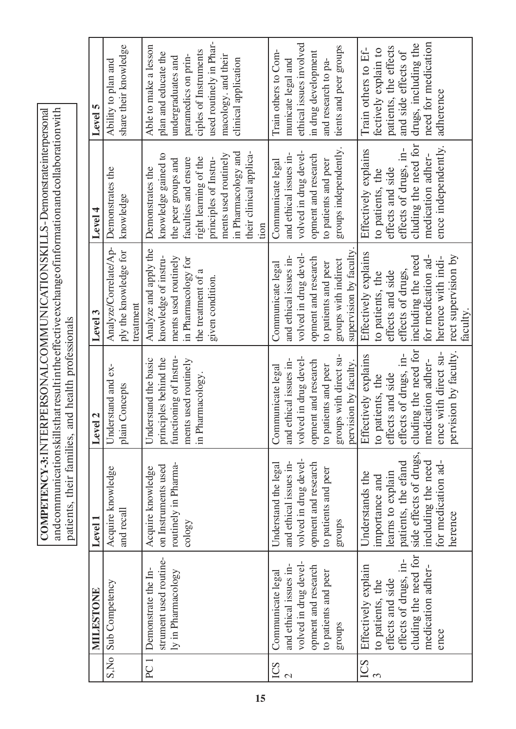| COMPETENCY-3: INTERPERSONAL COMMUNICATIONSKILLS-Demonstrate interpersonal | $\mid$ and communications kills that result in the effective exchange of information and collaboration with $\mid$ |                                                    |
|---------------------------------------------------------------------------|--------------------------------------------------------------------------------------------------------------------|----------------------------------------------------|
|                                                                           |                                                                                                                    |                                                    |
|                                                                           |                                                                                                                    |                                                    |
|                                                                           |                                                                                                                    |                                                    |
|                                                                           |                                                                                                                    | patients, their families, and health professionals |
|                                                                           |                                                                                                                    |                                                    |
|                                                                           |                                                                                                                    |                                                    |
|                                                                           |                                                                                                                    |                                                    |
|                                                                           |                                                                                                                    |                                                    |

|                                 | MILESTONE                                                                                                                                 | Level 1                                                                                                                                                        | Level <sub>2</sub>                                                                                                                                                                  | Level 3                                                                                                                                                                                | Level 4                                                                                                                                                                                                                    | Level 5                                                                                                                                                                                       |
|---------------------------------|-------------------------------------------------------------------------------------------------------------------------------------------|----------------------------------------------------------------------------------------------------------------------------------------------------------------|-------------------------------------------------------------------------------------------------------------------------------------------------------------------------------------|----------------------------------------------------------------------------------------------------------------------------------------------------------------------------------------|----------------------------------------------------------------------------------------------------------------------------------------------------------------------------------------------------------------------------|-----------------------------------------------------------------------------------------------------------------------------------------------------------------------------------------------|
|                                 | S, No Sub Competency                                                                                                                      | Acquire knowledge<br>and recall                                                                                                                                | Understand and ex-<br>plain Concepts                                                                                                                                                | Analyze/Correlate/Ap-<br>ply the knowledge for<br>treatment                                                                                                                            | Demonstrates the<br>knowledge                                                                                                                                                                                              | share their knowledge<br>Ability to plan and                                                                                                                                                  |
| PC <sub>1</sub>                 | strument used routine-<br>Demonstrate the In-<br>ly in Pharmacology                                                                       | routinely in Pharma-<br>on Instruments used<br>Acquire knowledge<br>cology                                                                                     | functioning of Instru-<br>principles behind the<br>Understand the basic<br>ments used routinely<br>in Pharmacology.                                                                 | Analyze and apply the<br>knowledge of instru-<br>ments used routinely<br>in Pharmacology for<br>the treatment of a<br>given condition.                                                 | in Pharmacology and<br>their clinical applica-<br>knowledge gained to<br>ments used routinely<br>right learning of the<br>faculties and ensure<br>principles of Instru-<br>the peer groups and<br>Demonstrates the<br>tion | used routinely in Phar-<br>Able to make a lesson<br>ciples of Instruments<br>plan and educate the<br>paramedics on prin-<br>macology. and their<br>undergraduates and<br>clinical application |
| ICS<br>$\overline{\mathcal{C}}$ | volved in drug devel-<br>and ethical issues in-<br>opment and research<br>to patients and peer<br>Communicate legal<br>groups             | volved in drug devel-<br>and ethical issues in-<br>Understand the legal<br>opment and research<br>to patients and peer<br>sdnong                               | groups with direct su-<br>volved in drug devel-<br>and ethical issues in-<br>opment and research<br>pervision by faculty.<br>to patients and peer<br>Communicate legal              | supervision by faculty.<br>volved in drug devel-<br>and ethical issues in-<br>opment and research<br>groups with indirect<br>to patients and peer<br>Communicate legal                 | groups independently.<br>volved in drug devel-<br>and ethical issues in-<br>opment and research<br>to patients and peer<br>Communicate legal                                                                               | ethical issues involved<br>tients and peer groups<br>Train others to Com-<br>in drug development<br>municate legal and<br>and research to pa-                                                 |
| ICS                             | cluding the need for<br>effects of drugs, in-<br>Effectively explain<br>medication adher-<br>effects and side<br>to patients, the<br>ence | side effects of drugs,<br>for medication ad-<br>patients, the efand<br>including the need<br>learns to explain<br>Understands the<br>importance and<br>herence | cluding the need for<br>pervision by faculty.<br>ence with direct su-<br>effects of drugs, in-<br>Effectively explains<br>medication adher-<br>effects and side<br>to patients, the | Effectively explains<br>rect supervision by<br>for medication ad-<br>including the need<br>herence with indi-<br>effects of drugs,<br>effects and side<br>to patients, the<br>faculty. | cluding the need for<br>ence independently.<br>effects of drugs, in-<br>Effectively explains<br>medication adher-<br>effects and side<br>to patients, the                                                                  | need for medication<br>drugs, including the<br>patients, the effects<br>Train others to Ef-<br>fectively explain to<br>and side effects of<br>adherence                                       |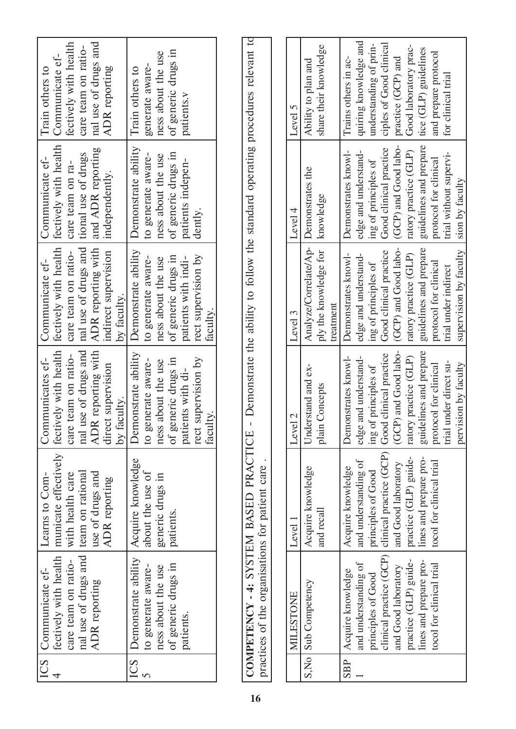| ICS      | Communicate ef-                                 | Learns to Com-           | Communicates ef-                  | Communicate ef-                                                                 | Communicate ef-        | Train others to         |
|----------|-------------------------------------------------|--------------------------|-----------------------------------|---------------------------------------------------------------------------------|------------------------|-------------------------|
|          | fectively with health                           | municate effectively     | fectively with health             | fectively with health                                                           | fectively with health  | Communicate ef-         |
|          | care team on ratio-                             | with health care         | team on ratio-<br>care 1          | care team on ratio-                                                             | care team on ra-       | fectively with health   |
|          | nal use of drugs and                            | team on rational         | nal use of drugs and              | nal use of drugs and                                                            | tional use of drugs    | care team on ratio-     |
|          | ADR reporting                                   | use of drugs and         | ADR reporting with                | ADR reporting with                                                              | and ADR reporting      | nal use of drugs and    |
|          |                                                 | ADR reporting            | direct supervision<br>by faculty. | indirect supervision<br>by faculty.                                             | independently.         | ADR reporting           |
| ICS      | Demonstrate ability                             | Acquire knowledge        | Demonstrate ability               | Demonstrate ability                                                             | Demonstrate ability    | Train others to         |
| $\Omega$ | to generate aware-                              | about the use of         | to generate aware-                | to generate aware-                                                              | to generate aware-     | generate aware-         |
|          | ness about the use                              | generic drugs in         | ness about the use                | ness about the use                                                              | ness about the use     | ness about the use      |
|          | of generic drugs in                             | patients.                | of generic drugs in               | of generic drugs in                                                             | of generic drugs in    | of generic drugs in     |
|          | patients.                                       |                          | patients with di-                 | patients with indi-                                                             | patients indepen-      | patients.v              |
|          |                                                 |                          | rect supervision by               | rect supervision by                                                             | dently.                |                         |
|          |                                                 |                          | faculty.                          | faculty                                                                         |                        |                         |
|          |                                                 |                          |                                   |                                                                                 |                        |                         |
|          | COMPETENCY-4: SYSTEM BASED PRACTICE             |                          | $\mathbf{I}$                      | Demonstrate the ability to follow the standard operating procedures relevant to |                        |                         |
|          | practices of the organisations for patient care |                          |                                   |                                                                                 |                        |                         |
|          |                                                 |                          |                                   |                                                                                 |                        |                         |
|          | MILESTONE                                       | Level 1                  | $\mathcal{L}$<br>Level            | Level 3                                                                         | Level 4                | Level 5                 |
| S.No     | Sub Competency                                  | Acquire knowledge        | Understand and ex-                | Analyze/Correlate/Ap-                                                           | Demonstrates the       | Ability to plan and     |
|          |                                                 | and recall               | Concepts<br>plain (               | ply the knowledge for<br>treatment                                              | knowledge              | share their knowledge   |
| SBP      | Acquire knowledge                               | Acquire knowledge        | Demonstrates knowl-               | Demonstrates knowl-                                                             | Demonstrates knowl-    | Trains others in ac-    |
|          | and understanding of                            | and understanding of     | edge and understand-              | edge and understand-                                                            | edge and understand-   | quiring knowledge and   |
|          | principles of Good                              | principles of Good       | ing of principles of              | ing of principles of                                                            | ing of principles of   | understanding of prin-  |
|          | clinical practice (GCP)                         | clinical practice (GCP)  | Good clinical practice            | Good clinical practice                                                          | Good clinical practice | ciples of Good clinical |
|          | and Good laboratory                             | and Good laboratory      | (GCP) and Good labo-              | (GCP) and Good labo-                                                            | (GCP) and Good labo-   | practice (GCP) and      |
|          | practice (GLP) guide-                           | practice (GLP) guide-    | practice (GLP)<br>ratory          | ratory practice (GLP)                                                           | ratory practice (GLP)  | Good laboratory prac-   |
|          | lines and prepare pro-                          | lines and prepare pro-   | guidelines and prepare            | guidelines and prepare                                                          | guidelines and prepare | tice (GLP) guidelines   |
|          | tocol for clinical trial                        | tocol for clinical trial | protocol for clinical             | protocol for clinical                                                           | protocol for clinical  | and prepare protocol    |
|          |                                                 |                          | trial under direct su-            | trial under indirect                                                            | trial without supervi- | for clinical trial      |

trial under direct supervision by faculty

pervision by faculty

trial under indirect supervision by faculty

supervision by faculty

sion by faculty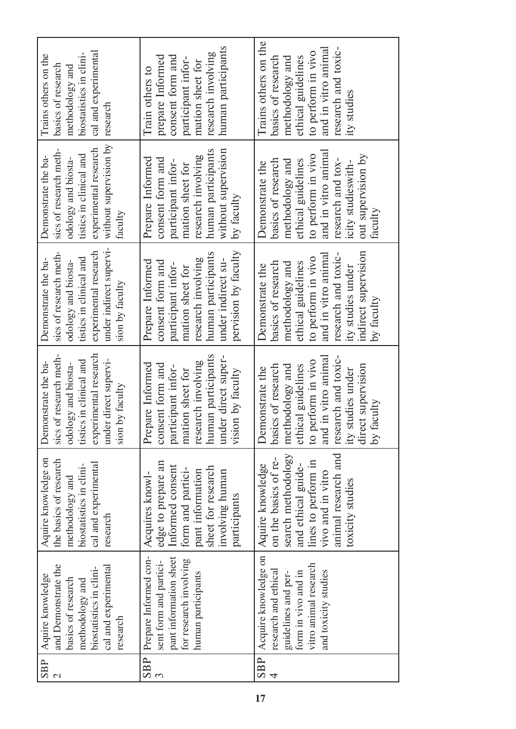| cal and experimental<br>biostatistics in clini-<br>Trains others on the<br>basics of research<br>methodology and<br>research                                            | human participants<br>research involving<br>consent form and<br>prepare Informed<br>participant infor-<br>mation sheet for<br>Train others to                            | Trains others on the<br>and in vitro animal<br>research and toxic-<br>to perform in vivo<br>basics of research<br>ethical guidelines<br>methodology and<br>ity studies                                        |
|-------------------------------------------------------------------------------------------------------------------------------------------------------------------------|--------------------------------------------------------------------------------------------------------------------------------------------------------------------------|---------------------------------------------------------------------------------------------------------------------------------------------------------------------------------------------------------------|
| without supervision by<br>experimental research<br>sics of research meth-<br>tistics in clinical and<br>Demonstrate the ba-<br>odology and biosta-<br>faculty           | human participants<br>without supervision<br>research involving<br>Prepare Informed<br>consent form and<br>participant infor-<br>mation sheet for<br>by faculty          | and in vitro animal<br>to perform in vivo<br>out supervision by<br>basics of research<br>research and tox-<br>ethical guidelines<br>methodology and<br>icity studieswith-<br>Demonstrate the<br>faculty       |
| under indirect supervi-<br>experimental research<br>sics of research meth-<br>tistics in clinical and<br>Demonstrate the ba-<br>odology and biosta-<br>sion by faculty  | pervision by faculty<br>human participants<br>research involving<br>under indirect su-<br>Prepare Informed<br>consent form and<br>participant infor-<br>mation sheet for | indirect supervision<br>and in vitro animal<br>research and toxic-<br>to perform in vivo<br>basics of research<br>ethical guidelines<br>methodology and<br>Demonstrate the<br>ity studies under<br>by faculty |
| experimental research<br>sics of research meth-<br>under direct supervi-<br>tistics in clinical and<br>Demonstrate the ba-<br>odology and biosta-<br>by faculty<br>sion | human participants<br>under direct super-<br>research involving<br>Prepare Informed<br>consent form and<br>participant infor-<br>mation sheet for<br>vision by faculty   | research and toxic-<br>and in vitro animal<br>to perform in vivo<br>basics of research<br>ethical guidelines<br>methodology and<br>direct supervision<br>Demonstrate the<br>ity studies under<br>by faculty   |
| Aquire knowledge on<br>the basics of research<br>cal and experimental<br>biostatistics in clini-<br>methodology and<br>research                                         | edge to prepare an<br>Informed consent<br>sheet for research<br>form and partici-<br>pant information<br>involving human<br>Acquires knowl-<br>participants              | animal research and<br>search methodology<br>on the basics of re-<br>lines to perform in<br>and ethical guide-<br>Aquire knowledge<br>vivo and in vitro<br>toxicity studies                                   |
| and Demonstrate the<br>cal and experimental<br>biostatistics in clini-<br>Aquire knowledge<br>basics of research<br>methodology and<br>research                         | pant information sheet<br>Prepare Informed con-<br>for research involving<br>sent form and partici-<br>human participants                                                | SBP   Acquire knowledge on<br>vitro animal research<br>research and ethical<br>and toxicity studies<br>form in vivo and in<br>guidelines and per-                                                             |
| SBP                                                                                                                                                                     | <b>SBP</b>                                                                                                                                                               | 4                                                                                                                                                                                                             |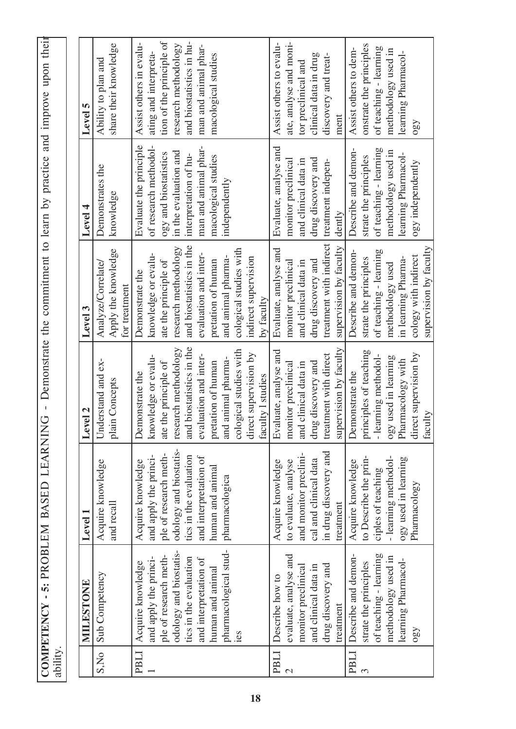| Demonstrate the commitment to learn by practice and improve upon their |  |
|------------------------------------------------------------------------|--|
|                                                                        |  |
|                                                                        |  |
|                                                                        |  |
|                                                                        |  |
|                                                                        |  |
|                                                                        |  |
|                                                                        |  |
|                                                                        |  |
|                                                                        |  |
|                                                                        |  |
|                                                                        |  |
|                                                                        |  |
|                                                                        |  |
| $\mathbf{I}$<br>ľ<br>⊃                                                 |  |
|                                                                        |  |
| Ĺ                                                                      |  |
|                                                                        |  |
|                                                                        |  |
|                                                                        |  |
|                                                                        |  |
|                                                                        |  |
| OMPETENCY - 5: PROBLEM BASED L                                         |  |
|                                                                        |  |
|                                                                        |  |
|                                                                        |  |

|                         | MILESTONE                                                                                                                                                                                                   | Level 1                                                                                                                                                                                | Level 2                                                                                                                                                                                                           | Level 3                                                                                                                                                                                                           | Level 4                                                                                                                                                                                    | Level 5                                                                                                                                                                         |
|-------------------------|-------------------------------------------------------------------------------------------------------------------------------------------------------------------------------------------------------------|----------------------------------------------------------------------------------------------------------------------------------------------------------------------------------------|-------------------------------------------------------------------------------------------------------------------------------------------------------------------------------------------------------------------|-------------------------------------------------------------------------------------------------------------------------------------------------------------------------------------------------------------------|--------------------------------------------------------------------------------------------------------------------------------------------------------------------------------------------|---------------------------------------------------------------------------------------------------------------------------------------------------------------------------------|
| S,No                    | Sub Competency                                                                                                                                                                                              | Acquire knowledge<br>and recall                                                                                                                                                        | Understand and ex-<br>plain Concepts                                                                                                                                                                              | Apply the knowledge<br>Analyze/Correlate/<br>for treatment                                                                                                                                                        | Demonstrates the<br>knowledge                                                                                                                                                              | share their knowledge<br>Ability to plan and                                                                                                                                    |
| PBLI                    | pharmacological stud-<br>odology and biostatis-<br>ple of research meth-<br>tics in the evaluation<br>and apply the princi-<br>and interpretation of<br>Acquire knowledge<br>human and animal<br><b>1es</b> | odology and biostatis-<br>ple of research meth-<br>and apply the princi-<br>tics in the evaluation<br>and interpretation of<br>Acquire knowledge<br>human and animal<br>pharmacologica | and biostatistics in the<br>research methodology<br>cological studies with<br>evaluation and inter-<br>knowledge or evalu-<br>and animal pharma-<br>pretation of human<br>ate the principle of<br>Demonstrate the | and biostatistics in the<br>research methodology<br>cological studies with<br>evaluation and inter-<br>knowledge or evalu-<br>and animal pharma-<br>pretation of human<br>ate the principle of<br>Demonstrate the | Evaluate the principle<br>of research methodol-<br>man and animal phar-<br>in the evaluation and<br>ogy and biostatistics<br>interpretation of hu-<br>macological studies<br>independently | tion of the principle of<br>and biostatistics in hu-<br>Assist others in evalu-<br>research methodology<br>man and animal phar-<br>ating and interpreta-<br>macological studies |
| PBLI<br>$\mathcal{C}$   | Describe how to                                                                                                                                                                                             | Acquire knowledge                                                                                                                                                                      | Evaluate, analyse and<br>direct supervision by<br>faculty 1 studies                                                                                                                                               | Evaluate, analyse and<br>indirect supervision<br>by faculty                                                                                                                                                       | Evaluate, analyse and                                                                                                                                                                      | Assist others to evalu-                                                                                                                                                         |
|                         | evaluate, analyse and<br>drug discovery and<br>monitor preclinical<br>and clinical data in<br>treatment                                                                                                     | in drug discovery and<br>and monitor preclini-<br>cal and clinical data<br>to evaluate, analyse<br>treatment                                                                           | supervision by faculty<br>treatment with direct<br>drug discovery and<br>and clinical data in<br>monitor preclinical                                                                                              | treatment with indirect<br>supervision by faculty<br>drug discovery and<br>and clinical data in<br>monitor preclinical                                                                                            | drug discovery and<br>monitor preclinical<br>and clinical data in<br>treatment indepen-<br>dently                                                                                          | ate, analyse and moni-<br>clinical data in drug<br>discovery and treat-<br>tor preclinical and<br>ment                                                                          |
| <b>PBLI</b><br>$\infty$ | of teaching - learning<br>Describe and demon-<br>methodology used in<br>learning Pharmacol-<br>strate the principles<br>$\Omega_{\rm SO}$                                                                   | to Describe the prin-<br>-learning methodol-<br>ogy used in learning<br>Acquire knowledge<br>ciples of teaching<br>Pharmacology                                                        | principles of teaching<br>direct supervision by<br>-learning methodol-<br>ogy used in learning<br>Pharmacology with<br>Demonstrate the<br>faculty                                                                 | supervision by faculty<br>of teaching - learning<br>Describe and demon-<br>cology with indirect<br>in learning Pharma-<br>strate the principles<br>methodology used                                               | of teaching - learning<br>Describe and demon-<br>methodology used in<br>learning Pharmacol-<br>strate the principles<br>ogy independently                                                  | onstrate the principles<br>of teaching - learning<br>Assist others to dem-<br>methodology used in<br>learning Pharmacol-<br>$\Omega$                                            |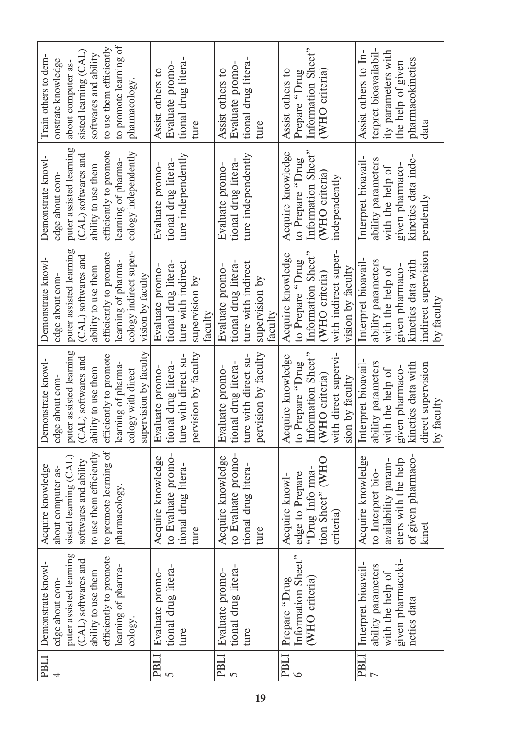| <b>PBLI</b>    | Demonstrate knowl-        | Acquire knowledge       | Demonstrate knowl-             | Demonstrate knowl-      | Demonstrate knowl-      | Train others to dem-    |
|----------------|---------------------------|-------------------------|--------------------------------|-------------------------|-------------------------|-------------------------|
| 4              | edge about com-           | about computer as-      | edge about com-                | edge about com-         | edge about com-         | onstrate knowledge      |
|                | puter assisted learning   | sisted learning (CAL)   | puter assisted learning        | puter assisted learning | puter assisted learning | about computer as-      |
|                | (CAL) softwares and       | softwares and ability   | (CAL) softwares and            | (CAL) softwares and     | (CAL) softwares and     | sisted learning (CAL)   |
|                | ability to use them       | to use them efficiently | ability to use them            | ability to use them     | ability to use them     | softwares and ability   |
|                | efficiently to promote    | to promote learning of  | efficiently to promote         | efficiently to promote  | efficiently to promote  | to use them efficiently |
|                | learning of pharma-       | pharmacology.           | learning of pharma-            | learning of pharma-     | learning of pharma-     | to promote learning of  |
|                | $\frac{\cosh y}{\cosh y}$ |                         | cology with direct             | cology indirect super-  | cology independently    | pharmacology            |
|                |                           |                         | supervision by faculty         | vision by faculty       |                         |                         |
| <b>PBLI</b>    | Evaluate promo-           | Acquire knowledge       | Evaluate promo-                | Evaluate promo-         | Evaluate promo-         | Assist others to        |
| $\overline{S}$ | tional drug litera-       | to Evaluate promo-      | tional drug litera-            | tional drug litera-     | tional drug litera      | Evaluate promo-         |
|                | ture                      | tional drug litera-     | ture with direct su-           | ture with indirect      | ture independently      | tional drug litera      |
|                |                           | ture                    | pervision by faculty           | supervision by          |                         | ture                    |
|                |                           |                         |                                | taculty                 |                         |                         |
| <b>PBLI</b>    | Evaluate promo-           | Acquire knowledge       | Evaluate promo-                | Evaluate promo-         | Evaluate promo-         | Assist others to        |
| $\Omega$       | tional drug litera-       | to Evaluate promo-      | tional drug litera-            | tional drug litera-     | tional drug litera      | Evaluate promo-         |
|                | ture                      | tional drug litera-     | ture with direct su-           | ture with indirect      | ture independently      | tional drug litera      |
|                |                           | ture                    | pervision by faculty           | supervision by          |                         | ture                    |
|                |                           |                         |                                | faculty                 |                         |                         |
| <b>PBLI</b>    | Prepare "Drug             | Acquire knowl-          | Acquire knowledge              | Acquire knowledge       | Acquire knowledge       | Assist others to        |
| $\circ$        | Information Sheet"        | edge to Prepare         | Prepare "Drug<br>$\frac{1}{2}$ | to Prepare "Drug        | to Prepare "Drug        | Prepare "Drug           |
|                | (WHO criteria)            | "Drug Info rma-         | Information Sheet"             | Information Sheet"      | Information Sheet"      | Information Sheet"      |
|                |                           | tion Sheet" (WHO        | (WHO criteria)                 | (WHO criteria)          | (WHO criteria)          | <b>WHO</b> criteria     |
|                |                           | criteria)               | with direct supervi-           | with indirect super-    | independently           |                         |
|                |                           |                         | sion by faculty                | vision by faculty       |                         |                         |
| <b>PBLI</b>    | Interpret bioavail-       | Acquire knowledge       | Interpret bioavail-            | Interpret bioavail-     | Interpret bioavail-     | Assist others to In-    |
| $\overline{ }$ | ability parameters        | to Interpret bio-       | ability parameters             | ability parameters      | ability parameters      | terpret bioavailabil-   |
|                | with the help of          | availability param-     | with the help of               | with the help of        | with the help of        | ity parameters with     |
|                | given pharmacoki-         | eters with the help     | given pharmaco-                | given pharmaco-         | given pharmaco-         | the help of given       |
|                | netics data               | of given pharmaco-      | kinetics data with             | kinetics data with      | kinetics data inde-     | pharmacokinetics        |
|                |                           | kinet                   | direct supervision             | indirect supervision    | pendently               | data                    |
|                |                           |                         | by faculty                     | by faculty              |                         |                         |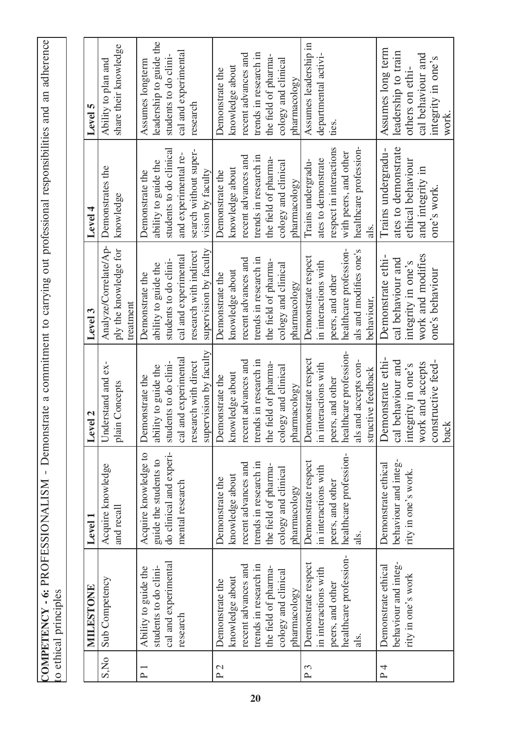| strate a commitment to carrying out professional responsibilities and an adherence |                       |
|------------------------------------------------------------------------------------|-----------------------|
|                                                                                    |                       |
|                                                                                    |                       |
|                                                                                    |                       |
|                                                                                    |                       |
|                                                                                    |                       |
|                                                                                    |                       |
|                                                                                    |                       |
|                                                                                    |                       |
|                                                                                    |                       |
|                                                                                    |                       |
|                                                                                    |                       |
|                                                                                    |                       |
|                                                                                    |                       |
|                                                                                    |                       |
|                                                                                    |                       |
|                                                                                    |                       |
|                                                                                    |                       |
|                                                                                    |                       |
|                                                                                    |                       |
|                                                                                    |                       |
|                                                                                    |                       |
|                                                                                    |                       |
|                                                                                    |                       |
|                                                                                    |                       |
|                                                                                    |                       |
|                                                                                    |                       |
| COMPETENCY - 6: PROFESSIONALISM - Demonsu                                          | to ethical principles |
|                                                                                    |                       |

|                 | MILESTONE                                                                                                                                         | Level 1                                                                                                                                           | Level 2                                                                                                                                           | Level <sub>3</sub>                                                                                                                                | Level 4                                                                                                                                           | Level 5                                                                                                                                           |
|-----------------|---------------------------------------------------------------------------------------------------------------------------------------------------|---------------------------------------------------------------------------------------------------------------------------------------------------|---------------------------------------------------------------------------------------------------------------------------------------------------|---------------------------------------------------------------------------------------------------------------------------------------------------|---------------------------------------------------------------------------------------------------------------------------------------------------|---------------------------------------------------------------------------------------------------------------------------------------------------|
| S,No            | Sub Competency                                                                                                                                    | Acquire knowledge<br>and recall                                                                                                                   | Understand and ex-<br>plain Concepts                                                                                                              | Analyze/Correlate/Ap-<br>ply the knowledge for<br>treatment                                                                                       | Demonstrates the<br>knowledge                                                                                                                     | share their knowledge<br>Ability to plan and                                                                                                      |
| $P_1$           | cal and experimental<br>students to do clini-<br>Ability to guide the<br>research                                                                 | do clinical and experi-<br>Acquire knowledge to<br>guide the students to<br>mental research                                                       | supervision by faculty<br>cal and experimental<br>students to do clini-<br>research with direct<br>ability to guide the<br>Demonstrate the        | supervision by faculty<br>research with indirect<br>cal and experimental<br>students to do clini-<br>ability to guide the<br>Demonstrate the      | students to do clinical<br>search without super-<br>and experimental re-<br>ability to guide the<br>vision by faculty<br>Demonstrate the          | leadership to guide the<br>cal and experimental<br>students to do clini-<br>Assumes longterm<br>research                                          |
| P <sub>2</sub>  | trends in research in<br>recent advances and<br>the field of pharma-<br>cology and clinical<br>knowledge about<br>Demonstrate the<br>pharmacology | trends in research in<br>recent advances and<br>the field of pharma-<br>cology and clinical<br>knowledge about<br>Demonstrate the<br>pharmacology | trends in research in<br>recent advances and<br>the field of pharma-<br>cology and clinical<br>knowledge about<br>Demonstrate the<br>pharmacology | trends in research in<br>recent advances and<br>the field of pharma-<br>cology and clinical<br>knowledge about<br>Demonstrate the<br>pharmacology | trends in research in<br>recent advances and<br>the field of pharma-<br>cology and clinical<br>knowledge about<br>Demonstrate the<br>pharmacology | trends in research in<br>recent advances and<br>the field of pharma-<br>cology and clinical<br>knowledge about<br>Demonstrate the<br>pharmacology |
| P <sub>3</sub>  | healthcare profession-<br>Demonstrate respect<br>in interactions with<br>peers, and other<br>als.                                                 | healthcare profession-<br>Demonstrate respect<br>in interactions with<br>peers, and other<br>als.                                                 | healthcare profession-<br>Demonstrate respect<br>als and accepts con-<br>in interactions with<br>structive feedback<br>peers, and other           | healthcare profession-<br>als and modifies one's<br>Demonstrate respect<br>in interactions with<br>peers, and other<br>behaviour,                 | healthcare profession-<br>respect in interactions<br>with peers, and other<br>ates to demonstrate<br>Trains undergradu-<br>als.                   | Assumes leadership in<br>departmental activi-<br>ties.                                                                                            |
| $P\overline{4}$ | behaviour and integ-<br>Demonstrate ethical<br>rity in one's work                                                                                 | behaviour and integ-<br>Demonstrate ethical<br>rity in one's work.                                                                                | Demonstrate ethi-<br>constructive feed-<br>cal behaviour and<br>work and accepts<br>integrity in one's<br>back                                    | work and modifies<br>Demonstrate ethi-<br>cal behaviour and<br>integrity in one's<br>one's behaviour                                              | ates to demonstrate<br>Trains undergradu-<br>ethical behaviour<br>and integrity in<br>one's work.                                                 | Assumes long term<br>leadership to train<br>cal behaviour and<br>integrity in one's<br>others on ethi-<br>work                                    |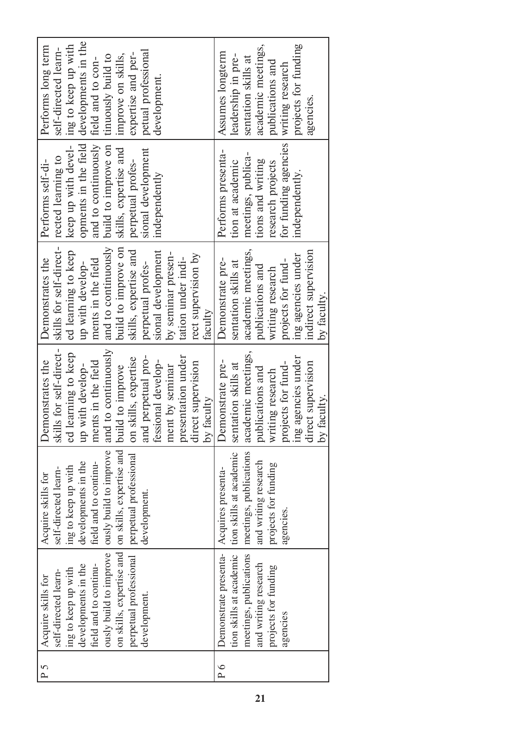| Performs long term | self-directed learn-    | ing to keep up with | developments in the  | field and to con-     | tinuously build to     | improve on skills,                                                 | expertise and per-     | petual professional | development.       |                    |                    |                     |            | Assumes longterm      | leadership in pre-      | sentation skills at    | academic meetings,   | publications and     | writing research     |                    | projects for funding |
|--------------------|-------------------------|---------------------|----------------------|-----------------------|------------------------|--------------------------------------------------------------------|------------------------|---------------------|--------------------|--------------------|--------------------|---------------------|------------|-----------------------|-------------------------|------------------------|----------------------|----------------------|----------------------|--------------------|----------------------|
| Performs self-di-  | rected learning to      | keep up with devel- | opments in the field | and to continuously   | build to improve on    | skills, expertise and                                              | perpetual profes-      | sional development  | independently      |                    |                    |                     |            | Performs presenta-    | tion at academic        | meetings, publica-     | tions and writing    | research projects    | for funding agencies |                    | independently.       |
| Demonstrates the   | skills for self-direct- | ed learning to keep | up with develop-     | ments in the field    | and to continuously    | build to improve on                                                | skills, expertise and  | perpetual profes-   | sional development | by seminar presen- | tation under indi- | rect supervision by | faculty    | Demonstrate pre-      | sentation skills at     | academic meetings,     | publications and     | writing research     | projects for fund-   | ing agencies under | indirect supervision |
| Demonstrates the   | skills for self-direct- | ed learning to keep | up with develop-     | ments in the field    | and to continuously    |                                                                    | on skills, expertise   | and perpetual pro-  | fessional develop- | ment by seminar    | presentation under | direct supervision  | by faculty | Demonstrate pre-      | sentation skills at     | academic meetings,     | publications and     | writing research     | projects for fund-   | ing agencies under |                      |
| Acquire skills for | self-directed learn-    | ing to keep up with | developments in the  | field and to continu- | ously build to improve | on skills, expertise and on skills, expertise and build to improve | perpetual professional | development.        |                    |                    |                    |                     |            | Acquires presenta-    | tion skills at academic | meetings, publications | and writing research | projects for funding | agencies.            |                    |                      |
| Acquire skills for | self-directed learn-    | ing to keep up with | developments in the  | field and to continu- | ously build to improve |                                                                    | perpetual professional | development.        |                    |                    |                    |                     |            | Demonstrate presenta- | tion skills at academic | meetings, publications | and writing research | projects for funding | agencies             |                    |                      |
| $P\,5$             |                         |                     |                      |                       |                        |                                                                    |                        |                     |                    |                    |                    |                     |            | $P\sigma$             |                         |                        |                      |                      |                      |                    |                      |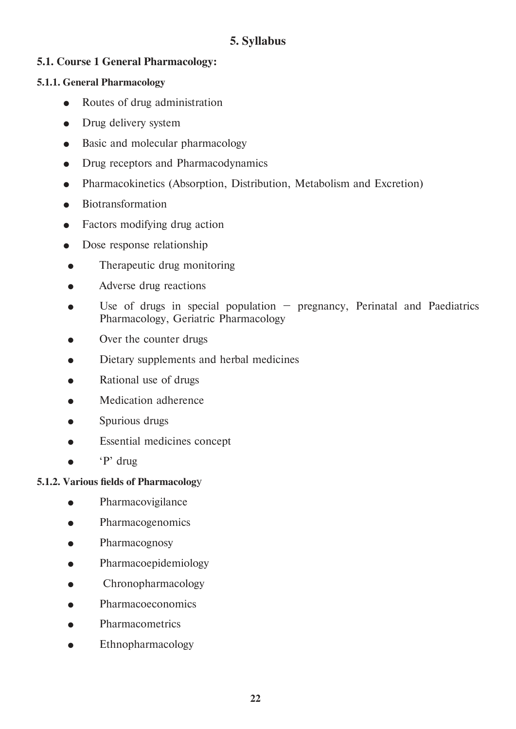#### **5. Syllabus**

#### **5.1. Course 1 General Pharmacology:**

#### **5.1.1. General Pharmacology**

- Routes of drug administration
- Drug delivery system
- Basic and molecular pharmacology
- Drug receptors and Pharmacodynamics
- Pharmacokinetics (Absorption, Distribution, Metabolism and Excretion)
- Biotransformation
- Factors modifying drug action
- Dose response relationship
- Therapeutic drug monitoring
- Adverse drug reactions
- Use of drugs in special population  $-$  pregnancy, Perinatal and Paediatrics Pharmacology, Geriatric Pharmacology
- Over the counter drugs
- Dietary supplements and herbal medicines
- Rational use of drugs
- Medication adherence
- Spurious drugs
- Essential medicines concept
- $\bullet$  'P' drug

#### **5.1.2. Various fields of Pharmacolog**y

- Pharmacovigilance
- Pharmacogenomics
- Pharmacognosy
- Pharmacoepidemiology
- Chronopharmacology
- Pharmacoeconomics
- Pharmacometrics
- Ethnopharmacology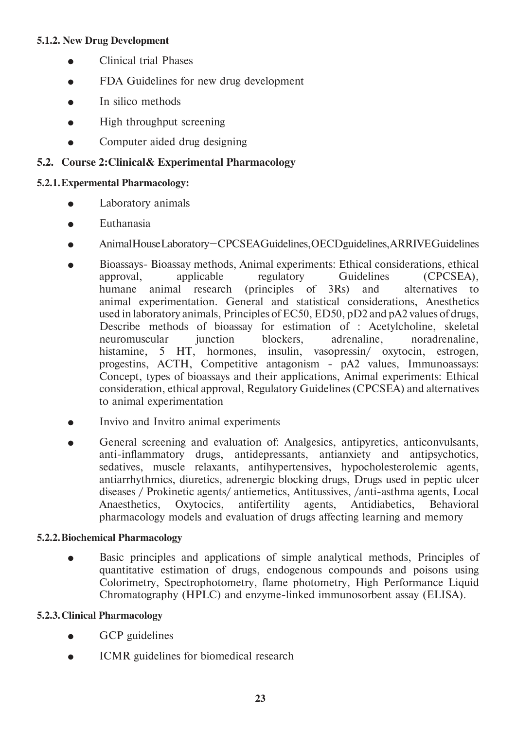#### **5.1.2. New Drug Development**

- Clinical trial Phases
- FDA Guidelines for new drug development
- In silico methods
- High throughput screening
- Computer aided drug designing

#### **5.2. Course 2:Clinical& Experimental Pharmacology**

#### **5.2.1. Expermental Pharmacology:**

- Laboratory animals
- **•** Euthanasia
- Animal House Laboratory CPCSEA Guidelines, OECD guidelines, ARRIVE Guidelines
- Bioassays- Bioassay methods, Animal experiments: Ethical considerations, ethical approval, applicable regulatory Guidelines (CPCSEA), humane animal research (principles of 3Rs) and alternatives to animal experimentation. General and statistical considerations, Anesthetics used in laboratory animals, Principles of EC50, ED50, pD2 and pA2 values of drugs, Describe methods of bioassay for estimation of : Acetylcholine, skeletal neuromuscular junction blockers, adrenaline, noradrenaline, histamine, 5 HT, hormones, insulin, vasopressin/ oxytocin, estrogen, progestins, ACTH, Competitive antagonism - pA2 values, Immunoassays: Concept, types of bioassays and their applications, Animal experiments: Ethical consideration, ethical approval, Regulatory Guidelines (CPCSEA) and alternatives to animal experimentation
- Invivo and Invitro animal experiments
- General screening and evaluation of: Analgesics, antipyretics, anticonvulsants, anti-inflammatory drugs, antidepressants, antianxiety and antipsychotics, sedatives, muscle relaxants, antihypertensives, hypocholesterolemic agents, antiarrhythmics, diuretics, adrenergic blocking drugs, Drugs used in peptic ulcer diseases / Prokinetic agents/ antiemetics, Antitussives, /anti-asthma agents, Local Anaesthetics, Oxytocics, antifertility agents, Antidiabetics, Behavioral pharmacology models and evaluation of drugs affecting learning and memory

#### **5.2.2. Biochemical Pharmacology**

 Basic principles and applications of simple analytical methods, Principles of quantitative estimation of drugs, endogenous compounds and poisons using Colorimetry, Spectrophotometry, flame photometry, High Performance Liquid Chromatography (HPLC) and enzyme-linked immunosorbent assay (ELISA).

#### **5.2.3. Clinical Pharmacology**

- GCP guidelines
- ICMR guidelines for biomedical research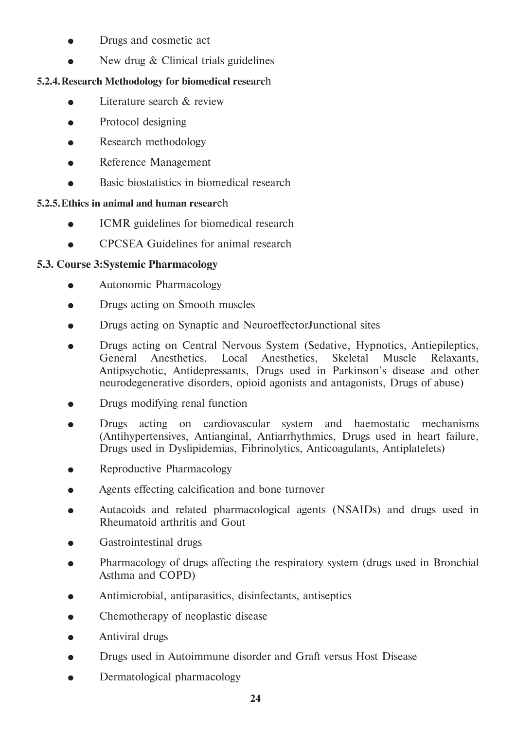- Drugs and cosmetic act
- New drug & Clinical trials guidelines

#### **5.2.4. Research Methodology for biomedical researc**h

- $\bullet$  Literature search  $\&$  review
- Protocol designing
- Research methodology
- Reference Management
- **Basic biostatistics in biomedical research**

#### **5.2.5. Ethics in animal and human resear**ch

- ICMR guidelines for biomedical research
- CPCSEA Guidelines for animal research

#### **5.3. Course 3:Systemic Pharmacology**

- Autonomic Pharmacology
- Drugs acting on Smooth muscles
- Drugs acting on Synaptic and NeuroeffectorJunctional sites
- Drugs acting on Central Nervous System (Sedative, Hypnotics, Antiepileptics, General Anesthetics, Local Anesthetics, Skeletal Muscle Relaxants, Antipsychotic, Antidepressants, Drugs used in Parkinson's disease and other neurodegenerative disorders, opioid agonists and antagonists, Drugs of abuse)
- Drugs modifying renal function
- Drugs acting on cardiovascular system and haemostatic mechanisms (Antihypertensives, Antianginal, Antiarrhythmics, Drugs used in heart failure, Drugs used in Dyslipidemias, Fibrinolytics, Anticoagulants, Antiplatelets)
- Reproductive Pharmacology
- Agents effecting calcification and bone turnover
- Autacoids and related pharmacological agents (NSAIDs) and drugs used in Rheumatoid arthritis and Gout
- Gastrointestinal drugs
- Pharmacology of drugs affecting the respiratory system (drugs used in Bronchial Asthma and COPD)
- Antimicrobial, antiparasitics, disinfectants, antiseptics
- Chemotherapy of neoplastic disease
- Antiviral drugs
- Drugs used in Autoimmune disorder and Graft versus Host Disease
- Dermatological pharmacology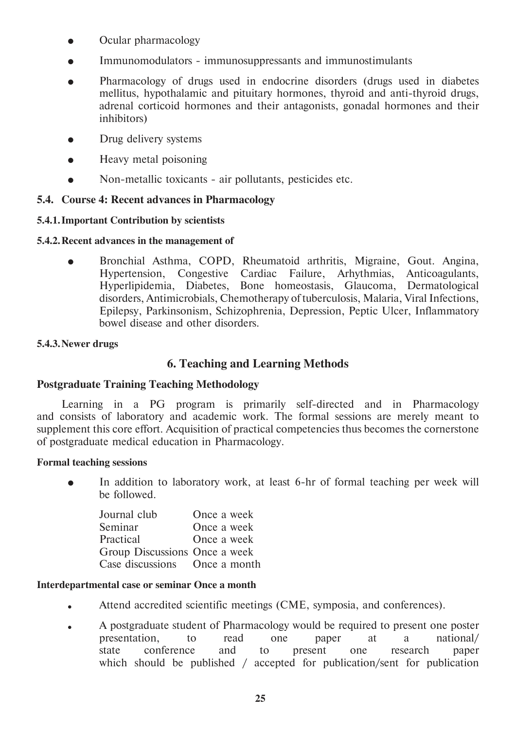- Ocular pharmacology
- Immunomodulators immunosuppressants and immunostimulants
- Pharmacology of drugs used in endocrine disorders (drugs used in diabetes mellitus, hypothalamic and pituitary hormones, thyroid and anti-thyroid drugs, adrenal corticoid hormones and their antagonists, gonadal hormones and their inhibitors)
- Drug delivery systems
- Heavy metal poisoning
- Non-metallic toxicants air pollutants, pesticides etc.

#### **5.4. Course 4: Recent advances in Pharmacology**

#### **5.4.1. Important Contribution by scientists**

**5.4.2. Recent advances in the management of**

 Bronchial Asthma, COPD, Rheumatoid arthritis, Migraine, Gout. Angina, Hypertension, Congestive Cardiac Failure, Arhythmias, Anticoagulants, Hyperlipidemia, Diabetes, Bone homeostasis, Glaucoma, Dermatological disorders, Antimicrobials, Chemotherapy of tuberculosis, Malaria, Viral Infections, Epilepsy, Parkinsonism, Schizophrenia, Depression, Peptic Ulcer, Inflammatory bowel disease and other disorders.

#### **5.4.3. Newer drugs**

#### **6. Teaching and Learning Methods**

#### **Postgraduate Training Teaching Methodology**

 Learning in a PG program is primarily self-directed and in Pharmacology and consists of laboratory and academic work. The formal sessions are merely meant to supplement this core effort. Acquisition of practical competencies thus becomes the cornerstone of postgraduate medical education in Pharmacology.

#### **Formal teaching sessions**

• In addition to laboratory work, at least 6-hr of formal teaching per week will be followed.

| Journal club                  | Once a week |
|-------------------------------|-------------|
| Seminar                       | Once a week |
| Practical                     | Once a week |
| Group Discussions Once a week |             |
| Case discussions Once a month |             |

#### **Interdepartmental case or seminar Once a month**

- Attend accredited scientific meetings (CME, symposia, and conferences).
- A postgraduate student of Pharmacology would be required to present one poster presentation, to read one paper at a national/ state conference and to present one research paper which should be published / accepted for publication/sent for publication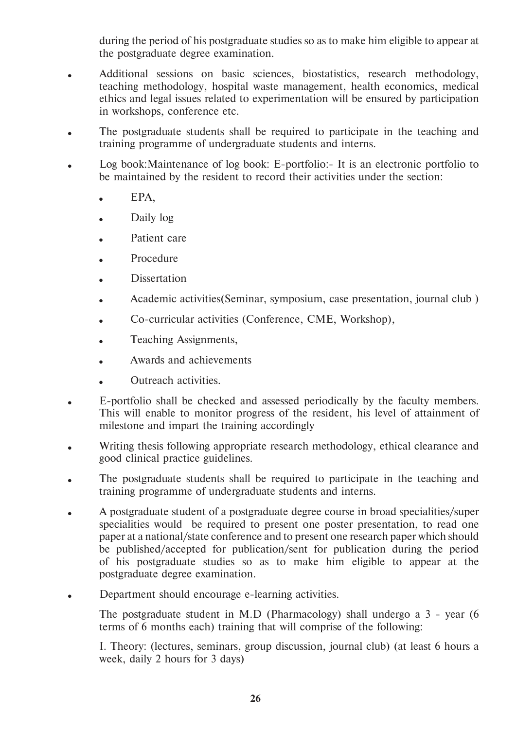during the period of his postgraduate studies so as to make him eligible to appear at the postgraduate degree examination.

- Additional sessions on basic sciences, biostatistics, research methodology, teaching methodology, hospital waste management, health economics, medical ethics and legal issues related to experimentation will be ensured by participation in workshops, conference etc.
- The postgraduate students shall be required to participate in the teaching and training programme of undergraduate students and interns.
- Log book: Maintenance of log book: E-portfolio:- It is an electronic portfolio to be maintained by the resident to record their activities under the section:
	- EPA,
	- Daily log
	- Patient care
	- Procedure
	- Dissertation
	- Academic activities(Seminar, symposium, case presentation, journal club )
	- Co-curricular activities (Conference, CME, Workshop),
	- Teaching Assignments,
	- Awards and achievements
	- Outreach activities.
- E-portfolio shall be checked and assessed periodically by the faculty members. This will enable to monitor progress of the resident, his level of attainment of milestone and impart the training accordingly
- Writing thesis following appropriate research methodology, ethical clearance and good clinical practice guidelines.
- The postgraduate students shall be required to participate in the teaching and training programme of undergraduate students and interns.
- A postgraduate student of a postgraduate degree course in broad specialities/super specialities would be required to present one poster presentation, to read one paper at a national/state conference and to present one research paper which should be published/accepted for publication/sent for publication during the period of his postgraduate studies so as to make him eligible to appear at the postgraduate degree examination.
- Department should encourage e-learning activities.

 The postgraduate student in M.D (Pharmacology) shall undergo a 3 - year (6 terms of 6 months each) training that will comprise of the following:

 I. Theory: (lectures, seminars, group discussion, journal club) (at least 6 hours a week, daily 2 hours for 3 days)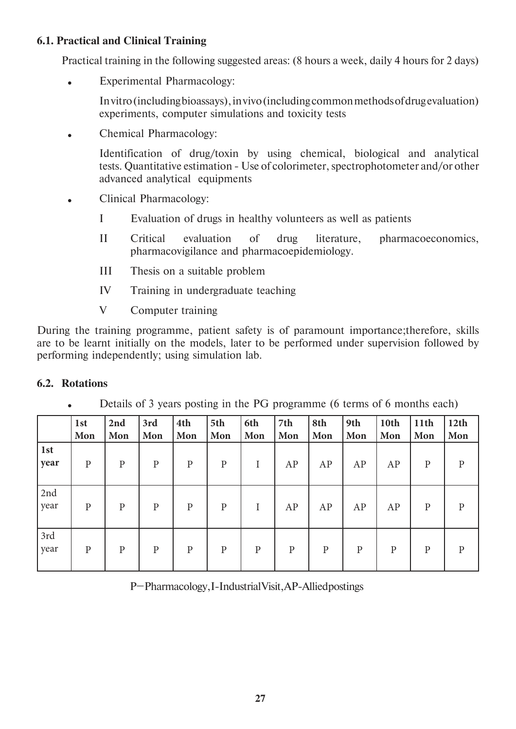#### **6.1. Practical and Clinical Training**

Practical training in the following suggested areas: (8 hours a week, daily 4 hours for 2 days)

Experimental Pharmacology:

 In vitro (including bioassays), in vivo (including common methods of drug evaluation) experiments, computer simulations and toxicity tests

Chemical Pharmacology:

 Identification of drug/toxin by using chemical, biological and analytical tests. Quantitative estimation - Use of colorimeter, spectrophotometer and/or other advanced analytical equipments

- Clinical Pharmacology:
	- I Evaluation of drugs in healthy volunteers as well as patients
	- II Critical evaluation of drug literature, pharmacoeconomics, pharmacovigilance and pharmacoepidemiology.
	- III Thesis on a suitable problem
	- IV Training in undergraduate teaching
	- V Computer training

During the training programme, patient safety is of paramount importance;therefore, skills are to be learnt initially on the models, later to be performed under supervision followed by performing independently; using simulation lab.

#### **6.2. Rotations**

Details of 3 years posting in the PG programme (6 terms of 6 months each)

|             | 1st<br>Mon   | 2nd<br>Mon   | 3rd<br>Mon   | 4th<br>Mon   | 5th<br>Mon   | 6th<br>Mon   | 7th<br>Mon   | 8th<br>Mon   | 9th<br>Mon   | 10th<br>Mon  | 11 <sup>th</sup><br>Mon | 12th<br>Mon  |
|-------------|--------------|--------------|--------------|--------------|--------------|--------------|--------------|--------------|--------------|--------------|-------------------------|--------------|
| 1st<br>year | $\mathbf{P}$ | $\mathbf{P}$ | $\mathbf{P}$ | $\mathbf{P}$ | $\mathbf{P}$ | I            | AP           | AP           | AP           | AP           | ${\bf P}$               | $\mathbf{P}$ |
| 2nd<br>year | $\mathbf{P}$ | $\mathbf{P}$ | $\mathbf{P}$ | $\mathbf{P}$ | ${\bf P}$    | I            | AP           | AP           | AP           | AP           | ${\bf P}$               | $\mathbf{P}$ |
| 3rd<br>year | $\mathbf{P}$ | $\mathbf{P}$ | $\mathbf{P}$ | $\, {\bf p}$ | ${\bf P}$    | $\mathbf{P}$ | $\mathbf{P}$ | $\mathbf{P}$ | $\mathbf{P}$ | $\, {\bf p}$ | ${\bf P}$               | $\mathbf{P}$ |

P– Pharmacology, I-Industrial Visit, AP-Allied postings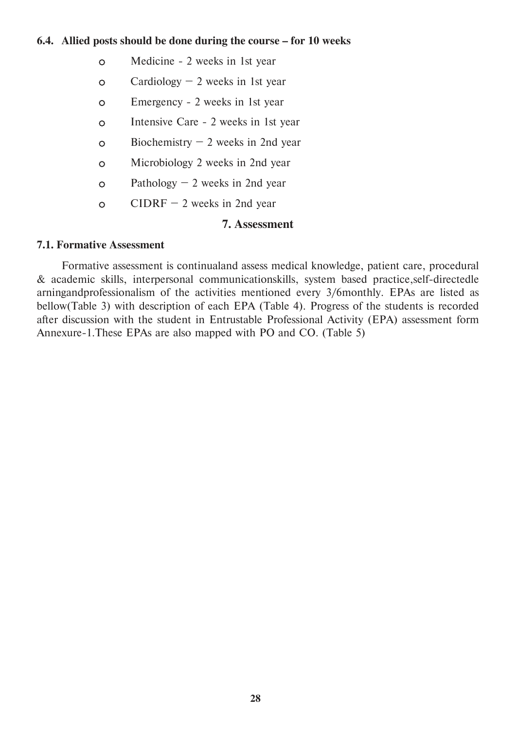#### **6.4. Allied posts should be done during the course – for 10 weeks**

- Medicine 2 weeks in 1st year
- $\circ$  Cardiology 2 weeks in 1st year
- Emergency 2 weeks in 1st year
- Intensive Care 2 weeks in 1st year
- $\circ$  Biochemistry 2 weeks in 2nd year
- Microbiology 2 weeks in 2nd year
- $\circ$  Pathology 2 weeks in 2nd year
- $\circ$  CIDRF 2 weeks in 2nd year

#### **7. Assessment**

#### **7.1. Formative Assessment**

 Formative assessment is continualand assess medical knowledge, patient care, procedural & academic skills, interpersonal communicationskills, system based practice,self-directedle arningandprofessionalism of the activities mentioned every 3/6monthly. EPAs are listed as bellow(Table 3) with description of each EPA (Table 4). Progress of the students is recorded after discussion with the student in Entrustable Professional Activity (EPA) assessment form Annexure-1.These EPAs are also mapped with PO and CO. (Table 5)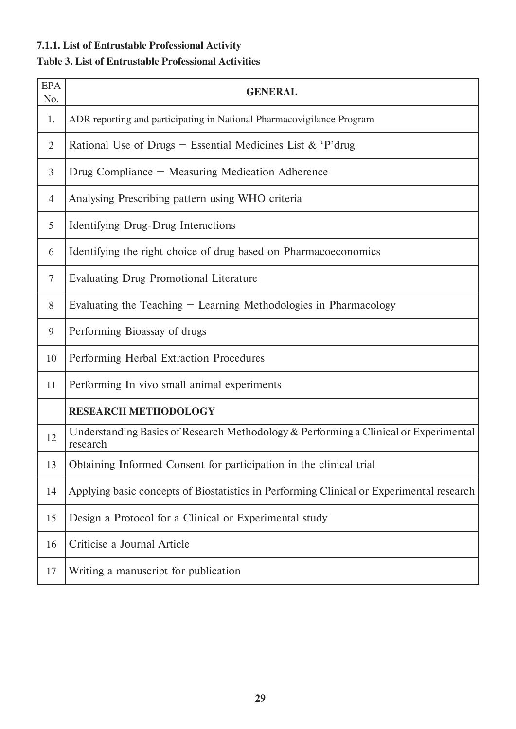### **7.1.1. List of Entrustable Professional Activity**

#### **Table 3. List of Entrustable Professional Activities**

| <b>EPA</b><br>No. | <b>GENERAL</b>                                                                                   |
|-------------------|--------------------------------------------------------------------------------------------------|
| 1.                | ADR reporting and participating in National Pharmacovigilance Program                            |
| $\overline{2}$    | Rational Use of Drugs – Essential Medicines List & 'P'drug                                       |
| 3                 | Drug Compliance - Measuring Medication Adherence                                                 |
| $\overline{4}$    | Analysing Prescribing pattern using WHO criteria                                                 |
| 5                 | <b>Identifying Drug-Drug Interactions</b>                                                        |
| 6                 | Identifying the right choice of drug based on Pharmacoeconomics                                  |
| 7                 | <b>Evaluating Drug Promotional Literature</b>                                                    |
| 8                 | Evaluating the Teaching $-$ Learning Methodologies in Pharmacology                               |
| 9                 | Performing Bioassay of drugs                                                                     |
| 10                | Performing Herbal Extraction Procedures                                                          |
| 11                | Performing In vivo small animal experiments                                                      |
|                   | <b>RESEARCH METHODOLOGY</b>                                                                      |
| 12                | Understanding Basics of Research Methodology & Performing a Clinical or Experimental<br>research |
| 13                | Obtaining Informed Consent for participation in the clinical trial                               |
| 14                | Applying basic concepts of Biostatistics in Performing Clinical or Experimental research         |
| 15                | Design a Protocol for a Clinical or Experimental study                                           |
| 16                | Criticise a Journal Article                                                                      |
| 17                | Writing a manuscript for publication                                                             |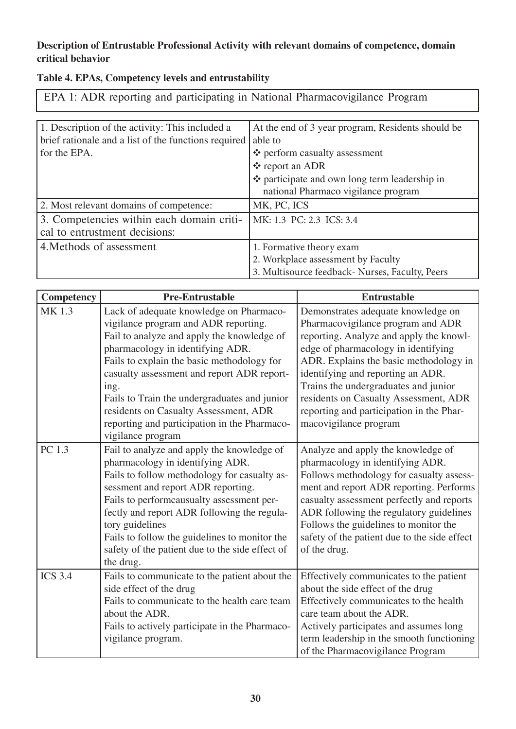#### **Description of Entrustable Professional Activity with relevant domains of competence, domain critical behavior**

| Table 4. EPAs, Competency levels and entrustability |  |  |  |
|-----------------------------------------------------|--|--|--|
|-----------------------------------------------------|--|--|--|

EPA 1: ADR reporting and participating in National Pharmacovigilance Program

| 1. Description of the activity: This included a<br>brief rationale and a list of the functions required<br>for the EPA. | At the end of 3 year program, Residents should be<br>able to<br>❖ perform casualty assessment<br>❖ report an ADR<br>❖ participate and own long term leadership in<br>national Pharmaco vigilance program |
|-------------------------------------------------------------------------------------------------------------------------|----------------------------------------------------------------------------------------------------------------------------------------------------------------------------------------------------------|
| 2. Most relevant domains of competence:                                                                                 | MK, PC, ICS                                                                                                                                                                                              |
| 3. Competencies within each domain criti-<br>cal to entrustment decisions:                                              | MK: 1.3 PC: 2.3 ICS: 3.4                                                                                                                                                                                 |
| 4. Methods of assessment                                                                                                | 1. Formative theory exam<br>2. Workplace assessment by Faculty<br>3. Multisource feedback- Nurses, Faculty, Peers                                                                                        |

| <b>Competency</b> | <b>Pre-Entrustable</b>                                                                                                                                                                                                                                                                                                                                                                                                              | <b>Entrustable</b>                                                                                                                                                                                                                                                                                                                                                                             |
|-------------------|-------------------------------------------------------------------------------------------------------------------------------------------------------------------------------------------------------------------------------------------------------------------------------------------------------------------------------------------------------------------------------------------------------------------------------------|------------------------------------------------------------------------------------------------------------------------------------------------------------------------------------------------------------------------------------------------------------------------------------------------------------------------------------------------------------------------------------------------|
| MK 1.3            | Lack of adequate knowledge on Pharmaco-<br>vigilance program and ADR reporting.<br>Fail to analyze and apply the knowledge of<br>pharmacology in identifying ADR.<br>Fails to explain the basic methodology for<br>casualty assessment and report ADR report-<br>ing.<br>Fails to Train the undergraduates and junior<br>residents on Casualty Assessment, ADR<br>reporting and participation in the Pharmaco-<br>vigilance program | Demonstrates adequate knowledge on<br>Pharmacovigilance program and ADR<br>reporting. Analyze and apply the knowl-<br>edge of pharmacology in identifying<br>ADR. Explains the basic methodology in<br>identifying and reporting an ADR.<br>Trains the undergraduates and junior<br>residents on Casualty Assessment, ADR<br>reporting and participation in the Phar-<br>macovigilance program |
| PC 1.3            | Fail to analyze and apply the knowledge of<br>pharmacology in identifying ADR.<br>Fails to follow methodology for casualty as-<br>sessment and report ADR reporting.<br>Fails to performcausualty assessment per-<br>fectly and report ADR following the regula-<br>tory guidelines<br>Fails to follow the guidelines to monitor the<br>safety of the patient due to the side effect of<br>the drug.                                | Analyze and apply the knowledge of<br>pharmacology in identifying ADR.<br>Follows methodology for casualty assess-<br>ment and report ADR reporting. Performs<br>casualty assessment perfectly and reports<br>ADR following the regulatory guidelines<br>Follows the guidelines to monitor the<br>safety of the patient due to the side effect<br>of the drug.                                 |
| <b>ICS 3.4</b>    | Fails to communicate to the patient about the<br>side effect of the drug<br>Fails to communicate to the health care team<br>about the ADR.<br>Fails to actively participate in the Pharmaco-<br>vigilance program.                                                                                                                                                                                                                  | Effectively communicates to the patient<br>about the side effect of the drug<br>Effectively communicates to the health<br>care team about the ADR.<br>Actively participates and assumes long<br>term leadership in the smooth functioning<br>of the Pharmacovigilance Program                                                                                                                  |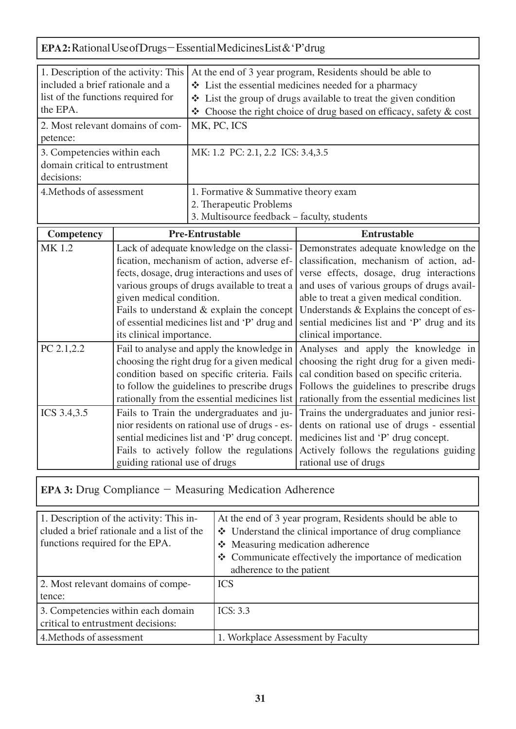## **EPA 2:** Rational Use of Drugs – Essential Medicines List & 'P'drug

| 1. Description of the activity: This |                          |                                               | At the end of 3 year program, Residents should be able to                    |  |  |
|--------------------------------------|--------------------------|-----------------------------------------------|------------------------------------------------------------------------------|--|--|
| included a brief rationale and a     |                          |                                               | $\triangleleft$ List the essential medicines needed for a pharmacy           |  |  |
| list of the functions required for   |                          |                                               | • List the group of drugs available to treat the given condition             |  |  |
| the EPA.                             |                          |                                               | $\triangle$ Choose the right choice of drug based on efficacy, safety & cost |  |  |
| 2. Most relevant domains of com-     |                          | MK, PC, ICS                                   |                                                                              |  |  |
| petence:                             |                          |                                               |                                                                              |  |  |
| 3. Competencies within each          |                          | MK: 1.2 PC: 2.1, 2.2 ICS: 3.4, 3.5            |                                                                              |  |  |
| domain critical to entrustment       |                          |                                               |                                                                              |  |  |
| decisions:                           |                          |                                               |                                                                              |  |  |
| 4. Methods of assessment             |                          | 1. Formative & Summative theory exam          |                                                                              |  |  |
|                                      |                          | 2. Therapeutic Problems                       |                                                                              |  |  |
|                                      |                          | 3. Multisource feedback - faculty, students   |                                                                              |  |  |
| Competency                           |                          | <b>Pre-Entrustable</b>                        | <b>Entrustable</b>                                                           |  |  |
| MK 1.2                               |                          | Lack of adequate knowledge on the classi-     | Demonstrates adequate knowledge on the                                       |  |  |
|                                      |                          | fication, mechanism of action, adverse ef-    | classification, mechanism of action, ad-                                     |  |  |
|                                      |                          | fects, dosage, drug interactions and uses of  | verse effects, dosage, drug interactions                                     |  |  |
|                                      |                          | various groups of drugs available to treat a  | and uses of various groups of drugs avail-                                   |  |  |
|                                      | given medical condition. |                                               | able to treat a given medical condition.                                     |  |  |
|                                      |                          | Fails to understand $&$ explain the concept   | Understands & Explains the concept of es-                                    |  |  |
|                                      |                          | of essential medicines list and 'P' drug and  | sential medicines list and 'P' drug and its                                  |  |  |
|                                      | its clinical importance. |                                               | clinical importance.                                                         |  |  |
| PC 2.1,2.2                           |                          | Fail to analyse and apply the knowledge in    | Analyses and apply the knowledge in                                          |  |  |
|                                      |                          | choosing the right drug for a given medical   | choosing the right drug for a given medi-                                    |  |  |
|                                      |                          | condition based on specific criteria. Fails   | cal condition based on specific criteria.                                    |  |  |
|                                      |                          | to follow the guidelines to prescribe drugs   | Follows the guidelines to prescribe drugs                                    |  |  |
|                                      |                          | rationally from the essential medicines list  | rationally from the essential medicines list                                 |  |  |
| ICS 3.4,3.5                          |                          | Fails to Train the undergraduates and ju-     | Trains the undergraduates and junior resi-                                   |  |  |
|                                      |                          | nior residents on rational use of drugs - es- | dents on rational use of drugs - essential                                   |  |  |
|                                      |                          | sential medicines list and 'P' drug concept.  | medicines list and 'P' drug concept.                                         |  |  |
|                                      |                          | Fails to actively follow the regulations      | Actively follows the regulations guiding                                     |  |  |
|                                      |                          | guiding rational use of drugs                 | rational use of drugs                                                        |  |  |

**EPA 3:** Drug Compliance – Measuring Medication Adherence

| 1. Description of the activity: This in-<br>cluded a brief rationale and a list of the<br>functions required for the EPA. | At the end of 3 year program, Residents should be able to<br>❖ Understand the clinical importance of drug compliance<br>❖ Measuring medication adherence<br>❖ Communicate effectively the importance of medication<br>adherence to the patient |
|---------------------------------------------------------------------------------------------------------------------------|------------------------------------------------------------------------------------------------------------------------------------------------------------------------------------------------------------------------------------------------|
| 2. Most relevant domains of compe-<br>tence:                                                                              | <b>ICS</b>                                                                                                                                                                                                                                     |
|                                                                                                                           |                                                                                                                                                                                                                                                |
| 3. Competencies within each domain<br>critical to entrustment decisions:                                                  | ICS: 3.3                                                                                                                                                                                                                                       |
| 4. Methods of assessment                                                                                                  | 1. Workplace Assessment by Faculty                                                                                                                                                                                                             |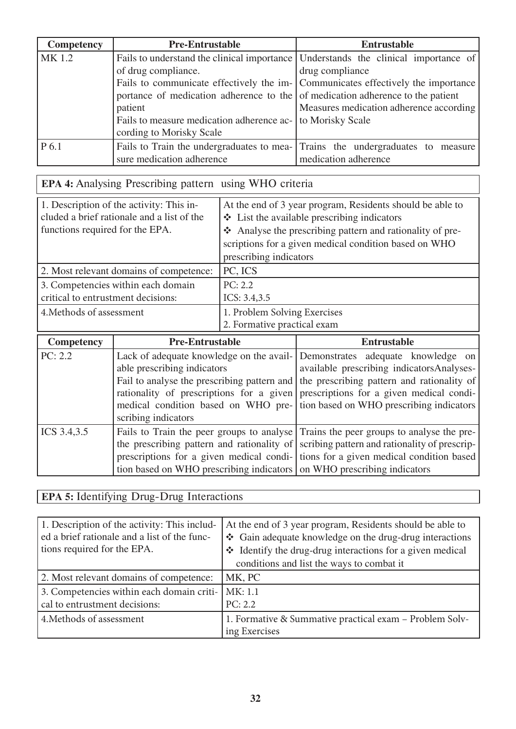| Competency | <b>Pre-Entrustable</b>                                                         | <b>Entrustable</b>                                                                 |  |
|------------|--------------------------------------------------------------------------------|------------------------------------------------------------------------------------|--|
| MK 1.2     |                                                                                | Fails to understand the clinical importance Understands the clinical importance of |  |
|            | of drug compliance.                                                            | drug compliance                                                                    |  |
|            |                                                                                | Fails to communicate effectively the im- Communicates effectively the importance   |  |
|            | portance of medication adherence to the of medication adherence to the patient |                                                                                    |  |
|            | Measures medication adherence according<br>patient                             |                                                                                    |  |
|            | Fails to measure medication adherence ac- to Morisky Scale                     |                                                                                    |  |
|            | cording to Morisky Scale                                                       |                                                                                    |  |
| P 6.1      |                                                                                | Fails to Train the undergraduates to mea- Trains the undergraduates to measure     |  |
|            | sure medication adherence                                                      | medication adherence                                                               |  |

## **EPA 4:** Analysing Prescribing pattern using WHO criteria

| 1. Description of the activity: This in-<br>cluded a brief rationale and a list of the<br>functions required for the EPA. | At the end of 3 year program, Residents should be able to<br>$\bullet$ List the available prescribing indicators<br>Analyse the prescribing pattern and rationality of pre-<br>scriptions for a given medical condition based on WHO<br>prescribing indicators |
|---------------------------------------------------------------------------------------------------------------------------|----------------------------------------------------------------------------------------------------------------------------------------------------------------------------------------------------------------------------------------------------------------|
| 2. Most relevant domains of competence:                                                                                   | PC, ICS                                                                                                                                                                                                                                                        |
| 3. Competencies within each domain<br>critical to entrustment decisions:                                                  | PC: 2.2<br>ICS: $3.4, 3.5$                                                                                                                                                                                                                                     |
| 4. Methods of assessment                                                                                                  | 1. Problem Solving Exercises<br>2. Formative practical exam                                                                                                                                                                                                    |

| <b>Competency</b> | <b>Pre-Entrustable</b>                                                 | <b>Entrustable</b>                                                                       |
|-------------------|------------------------------------------------------------------------|------------------------------------------------------------------------------------------|
| PC: 2.2           |                                                                        | Lack of adequate knowledge on the avail- Demonstrates adequate knowledge on              |
|                   | able prescribing indicators                                            | available prescribing indicatorsAnalyses-                                                |
|                   | Fail to analyse the prescribing pattern and                            | the prescribing pattern and rationality of                                               |
|                   |                                                                        | rationality of prescriptions for a given prescriptions for a given medical condi-        |
|                   |                                                                        | medical condition based on WHO pre- tion based on WHO prescribing indicators             |
|                   | scribing indicators                                                    |                                                                                          |
| ICS 3.4,3.5       |                                                                        | Fails to Train the peer groups to analyse Trains the peer groups to analyse the pre-     |
|                   |                                                                        | the prescribing pattern and rationality of scribing pattern and rationality of prescrip- |
|                   |                                                                        | prescriptions for a given medical condi- tions for a given medical condition based       |
|                   | tion based on WHO prescribing indicators on WHO prescribing indicators |                                                                                          |

## **EPA 5:** Identifying Drug-Drug Interactions

| 1. Description of the activity: This includ-<br>ed a brief rationale and a list of the func-<br>tions required for the EPA. | At the end of 3 year program, Residents should be able to<br>❖ Gain adequate knowledge on the drug-drug interactions<br>* Identify the drug-drug interactions for a given medical<br>conditions and list the ways to combat it |  |
|-----------------------------------------------------------------------------------------------------------------------------|--------------------------------------------------------------------------------------------------------------------------------------------------------------------------------------------------------------------------------|--|
| 2. Most relevant domains of competence:                                                                                     | MK, PC                                                                                                                                                                                                                         |  |
| 3. Competencies within each domain criti-                                                                                   | MK: 1.1                                                                                                                                                                                                                        |  |
| cal to entrustment decisions:                                                                                               | PC: 2.2                                                                                                                                                                                                                        |  |
| 4. Methods of assessment                                                                                                    | 1. Formative & Summative practical exam - Problem Solv-<br>ing Exercises                                                                                                                                                       |  |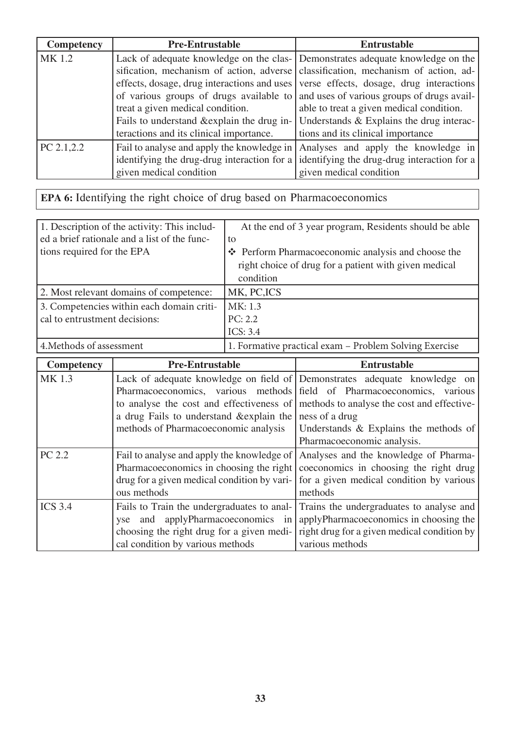| Competency  | <b>Pre-Entrustable</b>                                                                 | <b>Entrustable</b>                                                                |
|-------------|----------------------------------------------------------------------------------------|-----------------------------------------------------------------------------------|
| MK 1.2      |                                                                                        | Lack of adequate knowledge on the clas- Demonstrates adequate knowledge on the    |
|             |                                                                                        | sification, mechanism of action, adverse classification, mechanism of action, ad- |
|             | effects, dosage, drug interactions and uses                                            | verse effects, dosage, drug interactions                                          |
|             | and uses of various groups of drugs avail-<br>of various groups of drugs available to  |                                                                                   |
|             | treat a given medical condition.                                                       | able to treat a given medical condition.                                          |
|             | Fails to understand & explain the drug in-<br>Understands & Explains the drug interac- |                                                                                   |
|             | teractions and its clinical importance.<br>tions and its clinical importance           |                                                                                   |
| PC 2.1, 2.2 | Fail to analyse and apply the knowledge in                                             | Analyses and apply the knowledge in                                               |
|             | identifying the drug-drug interaction for a                                            | identifying the drug-drug interaction for a                                       |
|             | given medical condition                                                                | given medical condition                                                           |

## **EPA 6:** Identifying the right choice of drug based on Pharmacoeconomics

| 1. Description of the activity: This includ- | At the end of 3 year program, Residents should be able |  |
|----------------------------------------------|--------------------------------------------------------|--|
| ed a brief rationale and a list of the func- | to                                                     |  |
| tions required for the EPA                   | ❖ Perform Pharmacoeconomic analysis and choose the     |  |
|                                              | right choice of drug for a patient with given medical  |  |
|                                              | condition                                              |  |
| 2. Most relevant domains of competence:      | MK, PC, ICS                                            |  |
| 3. Competencies within each domain criti-    | MK: 1.3                                                |  |
| cal to entrustment decisions:                | PC: 2.2                                                |  |
|                                              | ICS: $3.4$                                             |  |
| 4. Methods of assessment                     | 1. Formative practical exam – Problem Solving Exercise |  |

| <b>Competency</b> | <b>Pre-Entrustable</b>                                                                                                                                           | <b>Entrustable</b>                                                                                                                                                                                                         |
|-------------------|------------------------------------------------------------------------------------------------------------------------------------------------------------------|----------------------------------------------------------------------------------------------------------------------------------------------------------------------------------------------------------------------------|
| MK 1.3            |                                                                                                                                                                  | Lack of adequate knowledge on field of Demonstrates adequate knowledge on<br>Pharmacoeconomics, various methods field of Pharmacoeconomics, various                                                                        |
|                   | a drug Fails to understand & explain the ness of a drug<br>methods of Pharmacoeconomic analysis                                                                  | to analyse the cost and effectiveness of methods to analyse the cost and effective-<br>Understands $\&$ Explains the methods of<br>Pharmacoeconomic analysis.                                                              |
| PC 2.2            | Fail to analyse and apply the knowledge of<br>ous methods                                                                                                        | Analyses and the knowledge of Pharma-<br>Pharmacoeconomics in choosing the right coeconomics in choosing the right drug<br>drug for a given medical condition by vari- for a given medical condition by various<br>methods |
| <b>ICS 3.4</b>    | Fails to Train the undergraduates to anal-<br>yse and applyPharmacoeconomics in<br>choosing the right drug for a given medi-<br>cal condition by various methods | Trains the undergraduates to analyse and<br>applyPharmacoeconomics in choosing the<br>right drug for a given medical condition by<br>various methods                                                                       |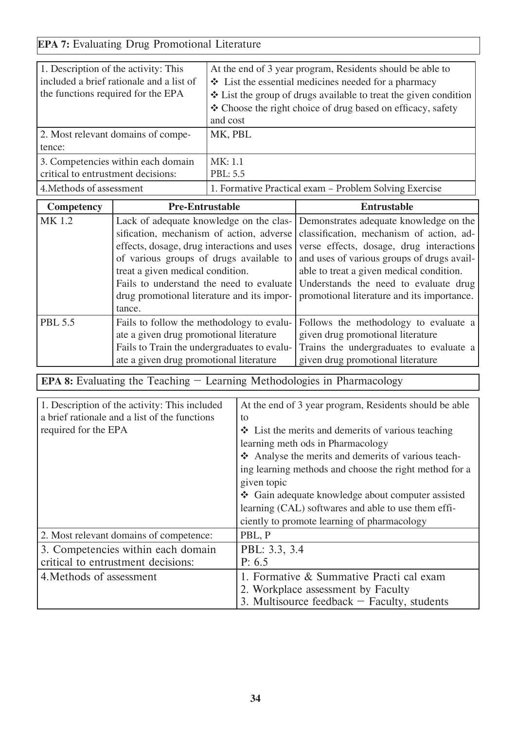### **EPA 7:** Evaluating Drug Promotional Literature

| 1. Description of the activity: This<br>included a brief rationale and a list of<br>the functions required for the EPA | At the end of 3 year program, Residents should be able to<br>$\bullet$ List the essential medicines needed for a pharmacy<br>❖ List the group of drugs available to treat the given condition<br>❖ Choose the right choice of drug based on efficacy, safety<br>and cost |
|------------------------------------------------------------------------------------------------------------------------|--------------------------------------------------------------------------------------------------------------------------------------------------------------------------------------------------------------------------------------------------------------------------|
| 2. Most relevant domains of compe-<br>tence:                                                                           | MK, PBL                                                                                                                                                                                                                                                                  |
| 3. Competencies within each domain<br>critical to entrustment decisions:                                               | MK: 1.1<br>PBL: 5.5                                                                                                                                                                                                                                                      |
| 4. Methods of assessment                                                                                               | 1. Formative Practical exam - Problem Solving Exercise                                                                                                                                                                                                                   |

| <b>Competency</b> | <b>Pre-Entrustable</b>                                                                   | <b>Entrustable</b>                                                                 |
|-------------------|------------------------------------------------------------------------------------------|------------------------------------------------------------------------------------|
| MK 1.2            |                                                                                          | Lack of adequate knowledge on the clas- Demonstrates adequate knowledge on the     |
|                   |                                                                                          | sification, mechanism of action, adverse classification, mechanism of action, ad-  |
|                   | effects, dosage, drug interactions and uses                                              | verse effects, dosage, drug interactions                                           |
|                   |                                                                                          | of various groups of drugs available to and uses of various groups of drugs avail- |
|                   | treat a given medical condition.                                                         | able to treat a given medical condition.                                           |
|                   | Fails to understand the need to evaluate Understands the need to evaluate drug           |                                                                                    |
|                   | promotional literature and its importance.<br>drug promotional literature and its impor- |                                                                                    |
|                   | tance.                                                                                   |                                                                                    |
| <b>PBL 5.5</b>    | Fails to follow the methodology to evalu-                                                | Follows the methodology to evaluate a                                              |
|                   | ate a given drug promotional literature                                                  | given drug promotional literature                                                  |
|                   | Fails to Train the undergraduates to evalu-                                              | Trains the undergraduates to evaluate a                                            |
|                   | ate a given drug promotional literature                                                  | given drug promotional literature                                                  |

**EPA 8:** Evaluating the Teaching – Learning Methodologies in Pharmacology

| 1. Description of the activity: This included | At the end of 3 year program, Residents should be able       |  |
|-----------------------------------------------|--------------------------------------------------------------|--|
| a brief rationale and a list of the functions | to                                                           |  |
| required for the EPA                          | $\triangle$ List the merits and demerits of various teaching |  |
|                                               | learning methods in Pharmacology                             |  |
|                                               | Analyse the merits and demerits of various teach-            |  |
|                                               | ing learning methods and choose the right method for a       |  |
|                                               | given topic                                                  |  |
|                                               | ❖ Gain adequate knowledge about computer assisted            |  |
|                                               | learning (CAL) softwares and able to use them effi-          |  |
|                                               | ciently to promote learning of pharmacology                  |  |
| 2. Most relevant domains of competence:       | PBL, P                                                       |  |
| 3. Competencies within each domain            | PBL: 3.3, 3.4                                                |  |
| critical to entrustment decisions:            | P: 6.5                                                       |  |
| 4. Methods of assessment                      | 1. Formative & Summative Practi cal exam                     |  |
|                                               | 2. Workplace assessment by Faculty                           |  |
|                                               | 3. Multisource feedback $-$ Faculty, students                |  |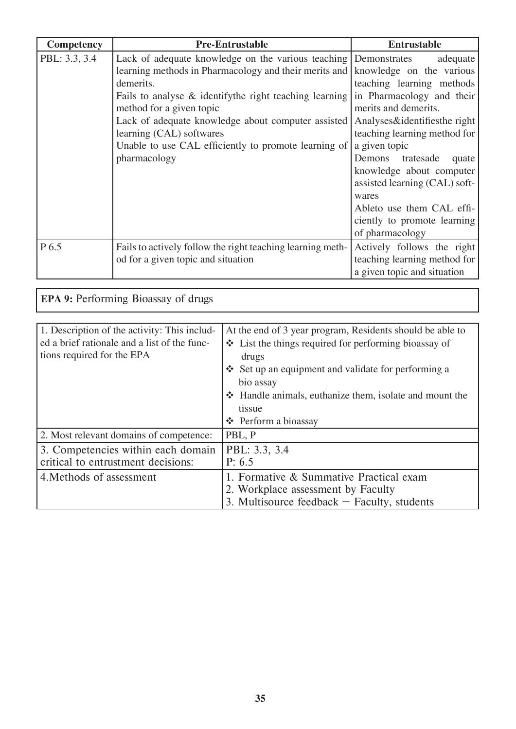| Competency    | <b>Pre-Entrustable</b>                                                                                                                                                                                                                                                                                                                                                                    | <b>Entrustable</b>                                                                                                                                                                                                                                                                                   |
|---------------|-------------------------------------------------------------------------------------------------------------------------------------------------------------------------------------------------------------------------------------------------------------------------------------------------------------------------------------------------------------------------------------------|------------------------------------------------------------------------------------------------------------------------------------------------------------------------------------------------------------------------------------------------------------------------------------------------------|
| PBL: 3.3, 3.4 | Lack of adequate knowledge on the various teaching Demonstrates<br>learning methods in Pharmacology and their merits and<br>demerits.<br>Fails to analyse $\&$ identify the right teaching learning<br>method for a given topic<br>Lack of adequate knowledge about computer assisted<br>learning (CAL) softwares<br>Unable to use CAL efficiently to promote learning of<br>pharmacology | adequate<br>knowledge on the various<br>teaching learning methods<br>in Pharmacology and their<br>merits and demerits.<br>Analyses&identifiesthe right<br>teaching learning method for<br>a given topic<br>Demons<br>tratesade<br>quate<br>knowledge about computer<br>assisted learning (CAL) soft- |
| P 6.5         | Fails to actively follow the right teaching learning meth-                                                                                                                                                                                                                                                                                                                                | wares<br>Ableto use them CAL effi-<br>ciently to promote learning<br>of pharmacology<br>Actively follows the right                                                                                                                                                                                   |
|               | od for a given topic and situation                                                                                                                                                                                                                                                                                                                                                        | teaching learning method for<br>a given topic and situation                                                                                                                                                                                                                                          |

| <b>EPA 9: Performing Bioassay of drugs</b>   |                                                           |
|----------------------------------------------|-----------------------------------------------------------|
|                                              |                                                           |
| 1. Description of the activity: This includ- | At the end of 3 year program, Residents should be able to |
| ed a brief rationale and a list of the func- | ❖ List the things required for performing bioassay of     |
| tions required for the EPA                   | drugs                                                     |
|                                              | ❖ Set up an equipment and validate for performing a       |
|                                              | bio assay                                                 |
|                                              | ❖ Handle animals, euthanize them, isolate and mount the   |
|                                              | tissue                                                    |
|                                              | ❖ Perform a bioassay                                      |
| 2. Most relevant domains of competence:      | PBL, P                                                    |
| 3. Competencies within each domain           | PBL: 3.3, 3.4                                             |
| critical to entrustment decisions:           | P: 6.5                                                    |
| 4. Methods of assessment                     | 1. Formative & Summative Practical exam                   |
|                                              | 2. Workplace assessment by Faculty                        |
|                                              | 3. Multisource feedback $-$ Faculty, students             |

 $\overline{\phantom{a}}$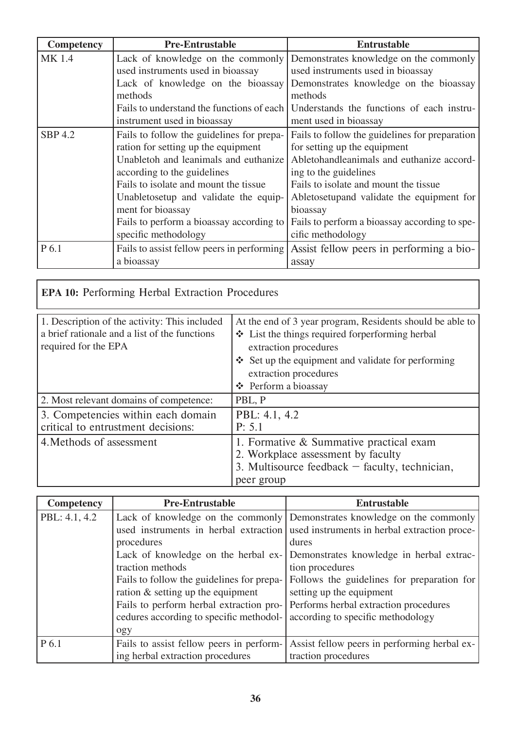| Competency     | <b>Pre-Entrustable</b>                     | <b>Entrustable</b>                                                       |
|----------------|--------------------------------------------|--------------------------------------------------------------------------|
| MK 1.4         |                                            | Lack of knowledge on the commonly Demonstrates knowledge on the commonly |
|                | used instruments used in bioassay          | used instruments used in bioassay                                        |
|                | Lack of knowledge on the bioassay          | Demonstrates knowledge on the bioassay                                   |
|                | methods                                    | methods                                                                  |
|                | Fails to understand the functions of each  | Understands the functions of each instru-                                |
|                | instrument used in bioassay                | ment used in bioassay                                                    |
| <b>SBP 4.2</b> | Fails to follow the guidelines for prepa-  | Fails to follow the guidelines for preparation                           |
|                | ration for setting up the equipment        | for setting up the equipment                                             |
|                | Unabletoh and leanimals and euthanize      | Abletohandleanimals and euthanize accord-                                |
|                | according to the guidelines                | ing to the guidelines                                                    |
|                | Fails to isolate and mount the tissue      | Fails to isolate and mount the tissue                                    |
|                | Unabletosetup and validate the equip-      | Abletosetupand validate the equipment for                                |
|                | ment for bioassay                          | bioassay                                                                 |
|                | Fails to perform a bioassay according to   | Fails to perform a bioassay according to spe-                            |
|                | specific methodology                       | cific methodology                                                        |
| P 6.1          | Fails to assist fellow peers in performing | Assist fellow peers in performing a bio-                                 |
|                | a bioassay                                 | assay                                                                    |

| EPA 10: Performing Herbal Extraction Procedures                                                                        |                                                                                                                                                                                                                                                             |  |
|------------------------------------------------------------------------------------------------------------------------|-------------------------------------------------------------------------------------------------------------------------------------------------------------------------------------------------------------------------------------------------------------|--|
| 1. Description of the activity: This included<br>a brief rationale and a list of the functions<br>required for the EPA | At the end of 3 year program, Residents should be able to<br>❖ List the things required forperforming herbal<br>extraction procedures<br>Set up the equipment and validate for performing<br>$\frac{1}{2}$<br>extraction procedures<br>❖ Perform a bioassay |  |
| 2. Most relevant domains of competence:                                                                                | PBL, P                                                                                                                                                                                                                                                      |  |
| 3. Competencies within each domain<br>critical to entrustment decisions:                                               | PBL: 4.1, 4.2<br>P: 5.1                                                                                                                                                                                                                                     |  |
| 4. Methods of assessment                                                                                               | 1. Formative & Summative practical exam<br>2. Workplace assessment by faculty<br>3. Multisource feedback $-$ faculty, technician,<br>peer group                                                                                                             |  |

| <b>Competency</b> | <b>Pre-Entrustable</b>                    | <b>Entrustable</b>                                                       |
|-------------------|-------------------------------------------|--------------------------------------------------------------------------|
| PBL: 4.1, 4.2     |                                           | Lack of knowledge on the commonly Demonstrates knowledge on the commonly |
|                   | used instruments in herbal extraction     | used instruments in herbal extraction proce-                             |
|                   | procedures                                | dures                                                                    |
|                   | Lack of knowledge on the herbal ex-       | Demonstrates knowledge in herbal extrac-                                 |
|                   | traction methods                          | tion procedures                                                          |
|                   | Fails to follow the guidelines for prepa- | Follows the guidelines for preparation for                               |
|                   | ration $\&$ setting up the equipment      | setting up the equipment                                                 |
|                   | Fails to perform herbal extraction pro-   | Performs herbal extraction procedures                                    |
|                   | cedures according to specific methodol-   | according to specific methodology                                        |
|                   | ogy                                       |                                                                          |
| P 6.1             | Fails to assist fellow peers in perform-  | Assist fellow peers in performing herbal ex-                             |
|                   | ing herbal extraction procedures          | traction procedures                                                      |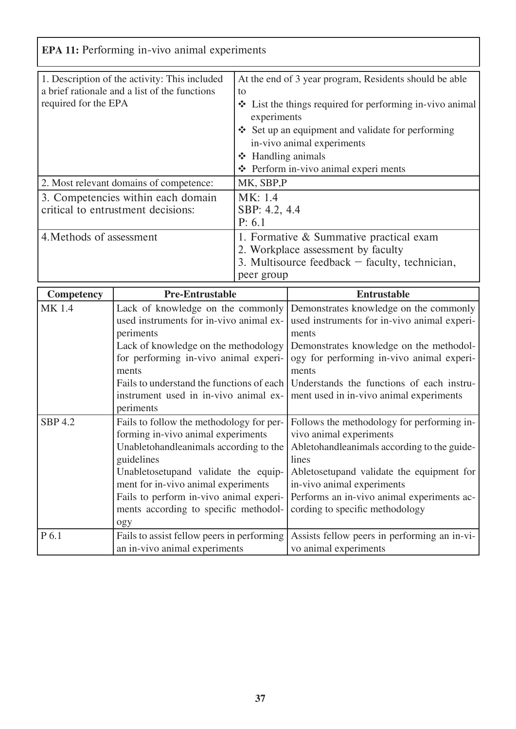| <b>EPA 11:</b> Performing in-vivo animal experiments                                                                   |                                                                                                                                                                                                                                                                                                                  |  |
|------------------------------------------------------------------------------------------------------------------------|------------------------------------------------------------------------------------------------------------------------------------------------------------------------------------------------------------------------------------------------------------------------------------------------------------------|--|
| 1. Description of the activity: This included<br>a brief rationale and a list of the functions<br>required for the EPA | At the end of 3 year program, Residents should be able<br>to<br>$\triangleleft$ List the things required for performing in-vivo animal<br>experiments<br>$\div$ Set up an equipment and validate for performing<br>in-vivo animal experiments<br>$\div$ Handling animals<br>❖ Perform in-vivo animal experiments |  |
| 2. Most relevant domains of competence:                                                                                | MK, SBP,P                                                                                                                                                                                                                                                                                                        |  |
| 3. Competencies within each domain<br>critical to entrustment decisions:                                               | MK: 1.4<br>SBP: 4.2, 4.4<br>P: 6.1                                                                                                                                                                                                                                                                               |  |
| 4. Methods of assessment                                                                                               | 1. Formative & Summative practical exam<br>2. Workplace assessment by faculty<br>3. Multisource feedback $-$ faculty, technician,<br>peer group                                                                                                                                                                  |  |

| <b>Competency</b> | <b>Pre-Entrustable</b>                     | <b>Entrustable</b>                           |
|-------------------|--------------------------------------------|----------------------------------------------|
| <b>MK1.4</b>      | Lack of knowledge on the commonly          | Demonstrates knowledge on the commonly       |
|                   | used instruments for in-vivo animal ex-    | used instruments for in-vivo animal experi-  |
|                   | periments                                  | ments                                        |
|                   | Lack of knowledge on the methodology       | Demonstrates knowledge on the methodol-      |
|                   | for performing in-vivo animal experi-      | ogy for performing in-vivo animal experi-    |
|                   | ments                                      | ments                                        |
|                   | Fails to understand the functions of each  | Understands the functions of each instru-    |
|                   | instrument used in in-vivo animal ex-      | ment used in in-vivo animal experiments      |
|                   | periments                                  |                                              |
| <b>SBP 4.2</b>    | Fails to follow the methodology for per-   | Follows the methodology for performing in-   |
|                   | forming in-vivo animal experiments         | vivo animal experiments                      |
|                   | Unabletohandleanimals according to the     | Abletohandleanimals according to the guide-  |
|                   | guidelines                                 | lines                                        |
|                   | Unabletosetupand validate the equip-       | Abletosetupand validate the equipment for    |
|                   | ment for in-vivo animal experiments        | in-vivo animal experiments                   |
|                   | Fails to perform in-vivo animal experi-    | Performs an in-vivo animal experiments ac-   |
|                   | ments according to specific methodol-      | cording to specific methodology              |
|                   | ogy                                        |                                              |
| P 6.1             | Fails to assist fellow peers in performing | Assists fellow peers in performing an in-vi- |
|                   | an in-vivo animal experiments              | vo animal experiments                        |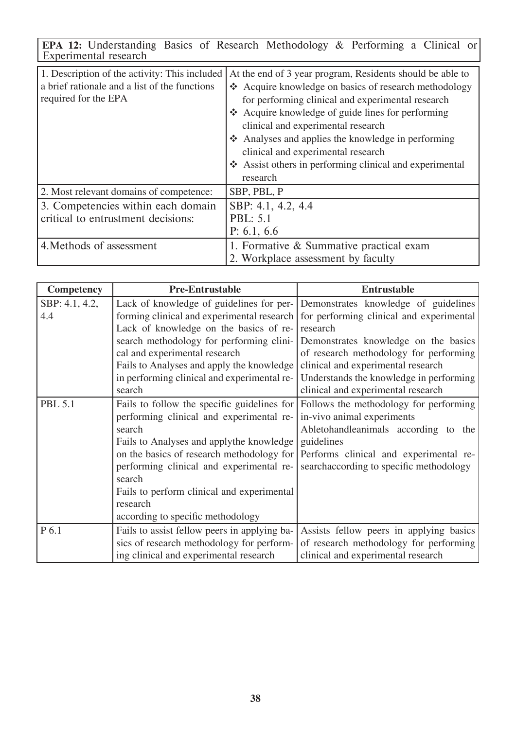**EPA 12:** Understanding Basics of Research Methodology & Performing a Clinical or Experimental research

| 1. Description of the activity: This included<br>a brief rationale and a list of the functions<br>required for the EPA | At the end of 3 year program, Residents should be able to<br>❖ Acquire knowledge on basics of research methodology<br>for performing clinical and experimental research<br>❖ Acquire knowledge of guide lines for performing<br>clinical and experimental research<br>Analyses and applies the knowledge in performing<br>clinical and experimental research<br>❖ Assist others in performing clinical and experimental<br>research |
|------------------------------------------------------------------------------------------------------------------------|-------------------------------------------------------------------------------------------------------------------------------------------------------------------------------------------------------------------------------------------------------------------------------------------------------------------------------------------------------------------------------------------------------------------------------------|
| 2. Most relevant domains of competence:                                                                                | SBP, PBL, P                                                                                                                                                                                                                                                                                                                                                                                                                         |
| 3. Competencies within each domain<br>critical to entrustment decisions:                                               | SBP: 4.1, 4.2, 4.4<br><b>PBL: 5.1</b><br>P: 6.1, 6.6                                                                                                                                                                                                                                                                                                                                                                                |
| 4. Methods of assessment                                                                                               | 1. Formative & Summative practical exam<br>2. Workplace assessment by faculty                                                                                                                                                                                                                                                                                                                                                       |

| <b>Competency</b> | <b>Pre-Entrustable</b>                       | <b>Entrustable</b>                       |
|-------------------|----------------------------------------------|------------------------------------------|
| SBP: 4.1, 4.2,    | Lack of knowledge of guidelines for per-     | Demonstrates knowledge of guidelines     |
| 4.4               | forming clinical and experimental research   | for performing clinical and experimental |
|                   | Lack of knowledge on the basics of re-       | research                                 |
|                   | search methodology for performing clini-     | Demonstrates knowledge on the basics     |
|                   | cal and experimental research                | of research methodology for performing   |
|                   | Fails to Analyses and apply the knowledge    | clinical and experimental research       |
|                   | in performing clinical and experimental re-  | Understands the knowledge in performing  |
|                   | search                                       | clinical and experimental research       |
| <b>PBL 5.1</b>    | Fails to follow the specific guidelines for  | Follows the methodology for performing   |
|                   | performing clinical and experimental re-     | in-vivo animal experiments               |
|                   | search                                       | Abletohandleanimals according to the     |
|                   | Fails to Analyses and applythe knowledge     | guidelines                               |
|                   | on the basics of research methodology for    | Performs clinical and experimental re-   |
|                   | performing clinical and experimental re-     | searchaccording to specific methodology  |
|                   | search                                       |                                          |
|                   | Fails to perform clinical and experimental   |                                          |
|                   | research                                     |                                          |
|                   | according to specific methodology            |                                          |
| P 6.1             | Fails to assist fellow peers in applying ba- | Assists fellow peers in applying basics  |
|                   | sics of research methodology for perform-    | of research methodology for performing   |
|                   | ing clinical and experimental research       | clinical and experimental research       |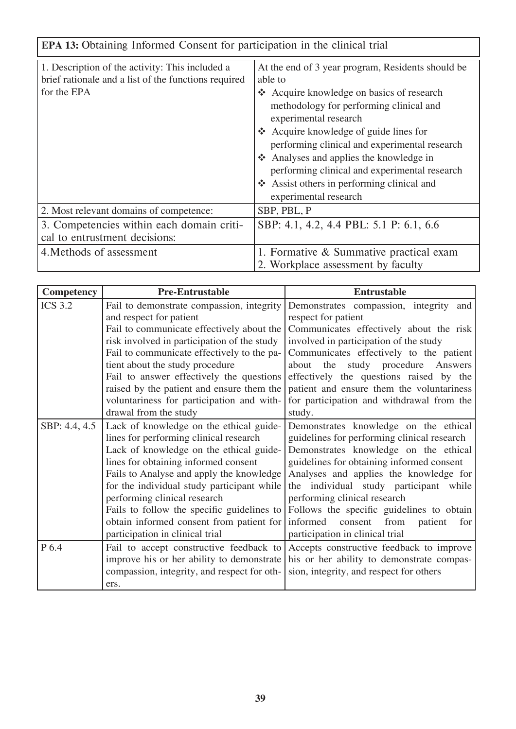| <b>EPA 13:</b> Obtaining Informed Consent for participation in the clinical trial                                      |                                                                                                                                                                                                                                                                                                                                                                                                                                           |  |
|------------------------------------------------------------------------------------------------------------------------|-------------------------------------------------------------------------------------------------------------------------------------------------------------------------------------------------------------------------------------------------------------------------------------------------------------------------------------------------------------------------------------------------------------------------------------------|--|
| 1. Description of the activity: This included a<br>brief rationale and a list of the functions required<br>for the EPA | At the end of 3 year program, Residents should be<br>able to<br>❖ Acquire knowledge on basics of research<br>methodology for performing clinical and<br>experimental research<br>❖ Acquire knowledge of guide lines for<br>performing clinical and experimental research<br>Analyses and applies the knowledge in<br>performing clinical and experimental research<br>❖ Assist others in performing clinical and<br>experimental research |  |
| 2. Most relevant domains of competence:                                                                                | SBP, PBL, P                                                                                                                                                                                                                                                                                                                                                                                                                               |  |
| 3. Competencies within each domain criti-<br>cal to entrustment decisions:                                             | SBP: 4.1, 4.2, 4.4 PBL: 5.1 P: 6.1, 6.6                                                                                                                                                                                                                                                                                                                                                                                                   |  |
| 4. Methods of assessment                                                                                               | 1. Formative & Summative practical exam<br>2. Workplace assessment by faculty                                                                                                                                                                                                                                                                                                                                                             |  |

٦

| <b>Competency</b> | <b>Pre-Entrustable</b>                      | <b>Entrustable</b>                            |
|-------------------|---------------------------------------------|-----------------------------------------------|
| <b>ICS 3.2</b>    | Fail to demonstrate compassion, integrity   | Demonstrates compassion, integrity<br>and     |
|                   | and respect for patient                     | respect for patient                           |
|                   | Fail to communicate effectively about the   | Communicates effectively about the risk       |
|                   | risk involved in participation of the study | involved in participation of the study        |
|                   | Fail to communicate effectively to the pa-  | Communicates effectively to the patient       |
|                   | tient about the study procedure             | about the study procedure Answers             |
|                   | Fail to answer effectively the questions    | effectively the questions raised by the       |
|                   | raised by the patient and ensure them the   | patient and ensure them the voluntariness     |
|                   | voluntariness for participation and with-   | for participation and withdrawal from the     |
|                   | drawal from the study                       | study.                                        |
| SBP: 4.4, 4.5     | Lack of knowledge on the ethical guide-     | Demonstrates knowledge on the ethical         |
|                   | lines for performing clinical research      | guidelines for performing clinical research   |
|                   | Lack of knowledge on the ethical guide-     | Demonstrates knowledge on the ethical         |
|                   | lines for obtaining informed consent        | guidelines for obtaining informed consent     |
|                   | Fails to Analyse and apply the knowledge    | Analyses and applies the knowledge for        |
|                   | for the individual study participant while  | the individual study participant while        |
|                   | performing clinical research                | performing clinical research                  |
|                   | Fails to follow the specific guidelines to  | Follows the specific guidelines to obtain     |
|                   | obtain informed consent from patient for    | informed<br>consent<br>from<br>patient<br>for |
|                   | participation in clinical trial             | participation in clinical trial               |
| P 6.4             | Fail to accept constructive feedback to     | Accepts constructive feedback to improve      |
|                   | improve his or her ability to demonstrate   | his or her ability to demonstrate compas-     |
|                   | compassion, integrity, and respect for oth- | sion, integrity, and respect for others       |
|                   | ers.                                        |                                               |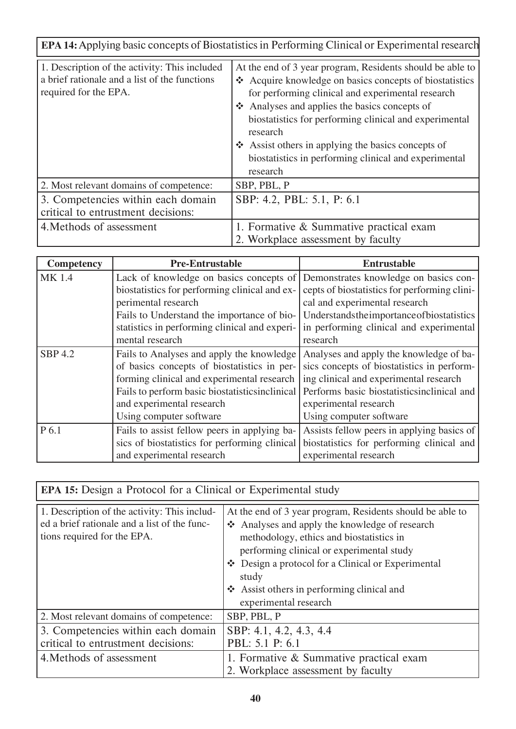| <b>EPA 14:</b> Applying basic concepts of Biostatistics in Performing Clinical or Experimental research                 |                                                                                                                                                                                                                                                                                                                                                                                                                           |  |
|-------------------------------------------------------------------------------------------------------------------------|---------------------------------------------------------------------------------------------------------------------------------------------------------------------------------------------------------------------------------------------------------------------------------------------------------------------------------------------------------------------------------------------------------------------------|--|
| 1. Description of the activity: This included<br>a brief rationale and a list of the functions<br>required for the EPA. | At the end of 3 year program, Residents should be able to<br>❖ Acquire knowledge on basics concepts of biostatistics<br>for performing clinical and experimental research<br>Analyses and applies the basics concepts of<br>biostatistics for performing clinical and experimental<br>research<br>❖ Assist others in applying the basics concepts of<br>biostatistics in performing clinical and experimental<br>research |  |
| 2. Most relevant domains of competence:                                                                                 | SBP, PBL, P                                                                                                                                                                                                                                                                                                                                                                                                               |  |
| 3. Competencies within each domain<br>critical to entrustment decisions:                                                | SBP: 4.2, PBL: 5.1, P: 6.1                                                                                                                                                                                                                                                                                                                                                                                                |  |
| 4. Methods of assessment                                                                                                | 1. Formative & Summative practical exam<br>2. Workplace assessment by faculty                                                                                                                                                                                                                                                                                                                                             |  |

| <b>Competency</b> | <b>Pre-Entrustable</b>                         | <b>Entrustable</b>                           |
|-------------------|------------------------------------------------|----------------------------------------------|
| <b>MK1.4</b>      | Lack of knowledge on basics concepts of        | Demonstrates knowledge on basics con-        |
|                   | biostatistics for performing clinical and ex-  | cepts of biostatistics for performing clini- |
|                   | perimental research                            | cal and experimental research                |
|                   | Fails to Understand the importance of bio-     | Understandstheimportanceofbiostatistics      |
|                   | statistics in performing clinical and experi-  | in performing clinical and experimental      |
|                   | mental research                                | research                                     |
| <b>SBP 4.2</b>    | Fails to Analyses and apply the knowledge      | Analyses and apply the knowledge of ba-      |
|                   | of basics concepts of biostatistics in per-    | sics concepts of biostatistics in perform-   |
|                   | forming clinical and experimental research     | ing clinical and experimental research       |
|                   | Fails to perform basic biostatisticsinclinical | Performs basic biostatisticsinclinical and   |
|                   | and experimental research                      | experimental research                        |
|                   | Using computer software                        | Using computer software                      |
| P 6.1             | Fails to assist fellow peers in applying ba-   | Assists fellow peers in applying basics of   |
|                   | sics of biostatistics for performing clinical  | biostatistics for performing clinical and    |
|                   | and experimental research                      | experimental research                        |

| <b>EPA 15:</b> Design a Protocol for a Clinical or Experimental study                                                       |                                                                                                                                                                                                                                                                                                                                          |
|-----------------------------------------------------------------------------------------------------------------------------|------------------------------------------------------------------------------------------------------------------------------------------------------------------------------------------------------------------------------------------------------------------------------------------------------------------------------------------|
| 1. Description of the activity: This includ-<br>ed a brief rationale and a list of the func-<br>tions required for the EPA. | At the end of 3 year program, Residents should be able to<br>Analyses and apply the knowledge of research<br>methodology, ethics and biostatistics in<br>performing clinical or experimental study<br>❖ Design a protocol for a Clinical or Experimental<br>study<br>❖ Assist others in performing clinical and<br>experimental research |
| 2. Most relevant domains of competence:                                                                                     | SBP, PBL, P                                                                                                                                                                                                                                                                                                                              |
| 3. Competencies within each domain<br>critical to entrustment decisions:<br>4. Methods of assessment                        | SBP: 4.1, 4.2, 4.3, 4.4<br>PBL: 5.1 P: 6.1<br>1. Formative & Summative practical exam<br>2. Workplace assessment by faculty                                                                                                                                                                                                              |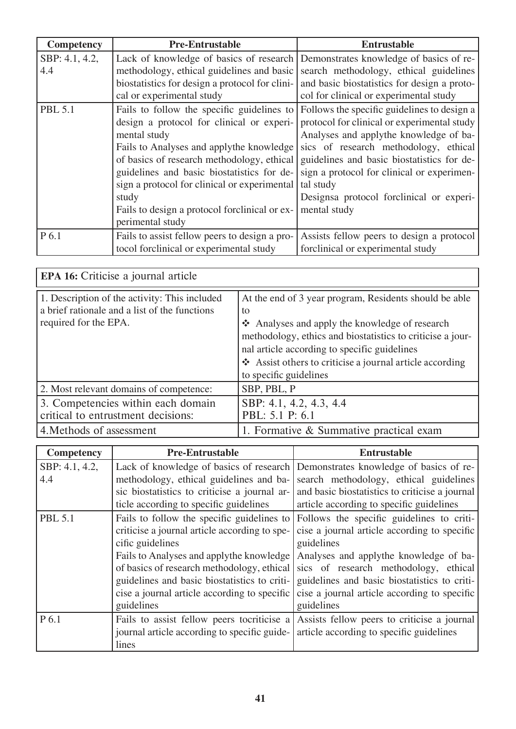| <b>Competency</b> | <b>Pre-Entrustable</b>                         | <b>Entrustable</b>                          |
|-------------------|------------------------------------------------|---------------------------------------------|
| SBP: 4.1, 4.2,    | Lack of knowledge of basics of research        | Demonstrates knowledge of basics of re-     |
| 4.4               | methodology, ethical guidelines and basic      | search methodology, ethical guidelines      |
|                   | biostatistics for design a protocol for clini- | and basic biostatistics for design a proto- |
|                   | cal or experimental study                      | col for clinical or experimental study      |
| <b>PBL 5.1</b>    | Fails to follow the specific guidelines to     | Follows the specific guidelines to design a |
|                   | design a protocol for clinical or experi-      | protocol for clinical or experimental study |
|                   | mental study                                   | Analyses and applythe knowledge of ba-      |
|                   | Fails to Analyses and applythe knowledge       | sics of research methodology, ethical       |
|                   | of basics of research methodology, ethical     | guidelines and basic biostatistics for de-  |
|                   | guidelines and basic biostatistics for de-     | sign a protocol for clinical or experimen-  |
|                   | sign a protocol for clinical or experimental   | tal study                                   |
|                   | study                                          | Designsa protocol forclinical or experi-    |
|                   | Fails to design a protocol forclinical or ex-  | mental study                                |
|                   | perimental study                               |                                             |
| P 6.1             | Fails to assist fellow peers to design a pro-  | Assists fellow peers to design a protocol   |
|                   | tocol forclinical or experimental study        | forclinical or experimental study           |

| <b>EPA 16:</b> Criticise a journal article                                                                              |                                                                                                                                                                                                                                                                                                                    |
|-------------------------------------------------------------------------------------------------------------------------|--------------------------------------------------------------------------------------------------------------------------------------------------------------------------------------------------------------------------------------------------------------------------------------------------------------------|
| 1. Description of the activity: This included<br>a brief rationale and a list of the functions<br>required for the EPA. | At the end of 3 year program, Residents should be able<br>to<br>❖ Analyses and apply the knowledge of research<br>methodology, ethics and biostatistics to criticise a jour-<br>nal article according to specific guidelines<br>❖ Assist others to criticise a journal article according<br>to specific guidelines |
| 2. Most relevant domains of competence:                                                                                 | SBP, PBL, P                                                                                                                                                                                                                                                                                                        |
| 3. Competencies within each domain<br>critical to entrustment decisions:                                                | SBP: 4.1, 4.2, 4.3, 4.4<br>PBL: 5.1 P: 6.1                                                                                                                                                                                                                                                                         |
| 4. Methods of assessment                                                                                                | 1. Formative & Summative practical exam                                                                                                                                                                                                                                                                            |

| <b>Competency</b> | <b>Pre-Entrustable</b>                        | <b>Entrustable</b>                             |
|-------------------|-----------------------------------------------|------------------------------------------------|
| SBP: 4.1, 4.2,    | Lack of knowledge of basics of research       | Demonstrates knowledge of basics of re-        |
| 4.4               | methodology, ethical guidelines and ba-       | search methodology, ethical guidelines         |
|                   | sic biostatistics to criticise a journal ar-  | and basic biostatistics to criticise a journal |
|                   | ticle according to specific guidelines        | article according to specific guidelines       |
| <b>PBL 5.1</b>    | Fails to follow the specific guidelines to    | Follows the specific guidelines to criti-      |
|                   | criticise a journal article according to spe- | cise a journal article according to specific   |
|                   | cific guidelines                              | guidelines                                     |
|                   | Fails to Analyses and applythe knowledge      | Analyses and applythe knowledge of ba-         |
|                   | of basics of research methodology, ethical    | sics of research methodology, ethical          |
|                   | guidelines and basic biostatistics to criti-  | guidelines and basic biostatistics to criti-   |
|                   | cise a journal article according to specific  | cise a journal article according to specific   |
|                   | guidelines                                    | guidelines                                     |
| P 6.1             | Fails to assist fellow peers tocriticise a    | Assists fellow peers to criticise a journal    |
|                   | journal article according to specific guide-  | article according to specific guidelines       |
|                   | lines                                         |                                                |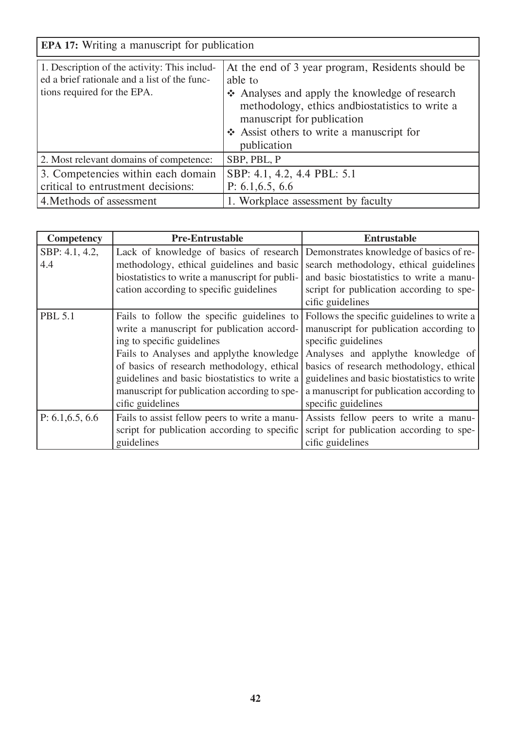|                                                                                                                             | <b>EPA 17:</b> Writing a manuscript for publication                                                                                                                                                                                                        |  |  |  |  |
|-----------------------------------------------------------------------------------------------------------------------------|------------------------------------------------------------------------------------------------------------------------------------------------------------------------------------------------------------------------------------------------------------|--|--|--|--|
| 1. Description of the activity: This includ-<br>ed a brief rationale and a list of the func-<br>tions required for the EPA. | At the end of 3 year program, Residents should be<br>able to<br>Analyses and apply the knowledge of research<br>methodology, ethics and biostatistics to write a<br>manuscript for publication<br>❖ Assist others to write a manuscript for<br>publication |  |  |  |  |
| 2. Most relevant domains of competence:                                                                                     | SBP, PBL, P                                                                                                                                                                                                                                                |  |  |  |  |
| 3. Competencies within each domain<br>critical to entrustment decisions:                                                    | SBP: 4.1, 4.2, 4.4 PBL: 5.1<br>P: $6.1, 6.5, 6.6$                                                                                                                                                                                                          |  |  |  |  |
| 4. Methods of assessment                                                                                                    | 1. Workplace assessment by faculty                                                                                                                                                                                                                         |  |  |  |  |

| <b>Competency</b> | <b>Pre-Entrustable</b>                         | <b>Entrustable</b>                          |
|-------------------|------------------------------------------------|---------------------------------------------|
| SBP: 4.1, 4.2,    | Lack of knowledge of basics of research        | Demonstrates knowledge of basics of re-     |
| 4.4               | methodology, ethical guidelines and basic      | search methodology, ethical guidelines      |
|                   | biostatistics to write a manuscript for publi- | and basic biostatistics to write a manu-    |
|                   | cation according to specific guidelines        | script for publication according to spe-    |
|                   |                                                | cific guidelines                            |
| <b>PBL 5.1</b>    | Fails to follow the specific guidelines to     | Follows the specific guidelines to write a  |
|                   | write a manuscript for publication accord-     | manuscript for publication according to     |
|                   | ing to specific guidelines                     | specific guidelines                         |
|                   | Fails to Analyses and applythe knowledge       | Analyses and applythe knowledge of          |
|                   | of basics of research methodology, ethical     | basics of research methodology, ethical     |
|                   | guidelines and basic biostatistics to write a  | guidelines and basic biostatistics to write |
|                   | manuscript for publication according to spe-   | a manuscript for publication according to   |
|                   | cific guidelines                               | specific guidelines                         |
| P: 6.1, 6.5, 6.6  | Fails to assist fellow peers to write a manu-  | Assists fellow peers to write a manu-       |
|                   | script for publication according to specific   | script for publication according to spe-    |
|                   | guidelines                                     | cific guidelines                            |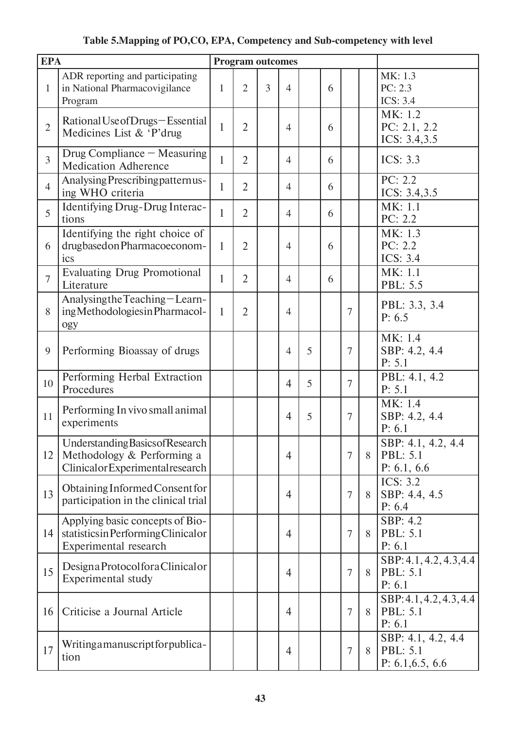## **Table 5.Mapping of PO,CO, EPA, Competency and Sub-competency with level**

| <b>EPA</b>     |                                                                                                    |              | <b>Program outcomes</b> |   |                          |   |   |                |   |                                                      |
|----------------|----------------------------------------------------------------------------------------------------|--------------|-------------------------|---|--------------------------|---|---|----------------|---|------------------------------------------------------|
| $\mathbf{1}$   | ADR reporting and participating<br>in National Pharmacovigilance<br>Program                        | $\mathbf{1}$ | $\overline{2}$          | 3 | $\overline{\mathcal{A}}$ |   | 6 |                |   | MK: 1.3<br>PC: 2.3<br><b>ICS: 3.4</b>                |
| $\overline{2}$ | Rational Use of Drugs-Essential<br>Medicines List & 'P'drug                                        | 1            | $\overline{2}$          |   | $\overline{4}$           |   | 6 |                |   | MK: 1.2<br>PC: $2.1, 2.2$<br>ICS: 3.4,3.5            |
| $\overline{3}$ | Drug Compliance – Measuring<br><b>Medication Adherence</b>                                         | 1            | $\overline{2}$          |   | $\overline{4}$           |   | 6 |                |   | <b>ICS: 3.3</b>                                      |
| $\overline{4}$ | Analysing Prescribing patternus-<br>ing WHO criteria                                               | $\mathbf{1}$ | $\overline{2}$          |   | $\overline{4}$           |   | 6 |                |   | PC: 2.2<br>ICS: 3.4,3.5                              |
| 5              | Identifying Drug-Drug Interac-<br>tions                                                            | 1            | $\overline{2}$          |   | $\overline{4}$           |   | 6 |                |   | MK: 1.1<br>PC: 2.2                                   |
| 6              | Identifying the right choice of<br>drugbased on Pharmacoeconom-<br>ics                             | 1            | $\overline{2}$          |   | $\overline{4}$           |   | 6 |                |   | MK: 1.3<br>PC: 2.2<br><b>ICS: 3.4</b>                |
| $\overline{7}$ | <b>Evaluating Drug Promotional</b><br>Literature                                                   | 1            | $\overline{2}$          |   | $\overline{4}$           |   | 6 |                |   | MK: 1.1<br>PBL: 5.5                                  |
| 8              | Analysing the Teaching-Learn-<br>ing Methodologies in Pharmacol-<br>ogy                            | 1            | $\overline{2}$          |   | $\overline{4}$           |   |   | 7              |   | PBL: 3.3, 3.4<br>P: 6.5                              |
| 9              | Performing Bioassay of drugs                                                                       |              |                         |   | 4                        | 5 |   | 7              |   | MK: 1.4<br>SBP: 4.2, 4.4<br>P: 5.1                   |
| 10             | Performing Herbal Extraction<br>Procedures                                                         |              |                         |   | $\overline{4}$           | 5 |   | 7              |   | PBL: 4.1, 4.2<br>P: 5.1                              |
| 11             | Performing In vivo small animal<br>experiments                                                     |              |                         |   | $\overline{4}$           | 5 |   | 7              |   | MK: 1.4<br>SBP: 4.2, 4.4<br>P: 6.1                   |
| 12             | Understanding Basics of Research<br>Methodology & Performing a<br>Clinicalor Experimental research |              |                         |   | $\overline{4}$           |   |   | $\overline{7}$ | 8 | SBP: 4.1, 4.2, 4.4<br><b>PBL: 5.1</b><br>P: 6.1, 6.6 |
| 13             | Obtaining Informed Consent for<br>participation in the clinical trial                              |              |                         |   | $\overline{4}$           |   |   | 7              | 8 | <b>ICS: 3.2</b><br>SBP: 4.4, 4.5<br>P: 6.4           |
| 14             | Applying basic concepts of Bio-<br>statistics in Performing Clinical or<br>Experimental research   |              |                         |   | $\overline{4}$           |   |   | $\overline{7}$ | 8 | SBP: 4.2<br><b>PBL: 5.1</b><br>P: 6.1                |
| 15             | Designa Protocolfora Clinicalor<br>Experimental study                                              |              |                         |   | $\overline{4}$           |   |   | $\overline{7}$ | 8 | SBP: 4.1, 4.2, 4.3, 4.4<br><b>PBL: 5.1</b><br>P: 6.1 |
| 16             | Criticise a Journal Article                                                                        |              |                         |   | $\overline{4}$           |   |   | $\overline{7}$ | 8 | SBP: 4.1, 4.2, 4.3, 4.4<br><b>PBL: 5.1</b><br>P: 6.1 |
| 17             | Writingamanuscriptforpublica-<br>tion                                                              |              |                         |   | $\overline{4}$           |   |   | 7              | 8 | SBP: 4.1, 4.2, 4.4<br>PBL: 5.1<br>P: $6.1, 6.5, 6.6$ |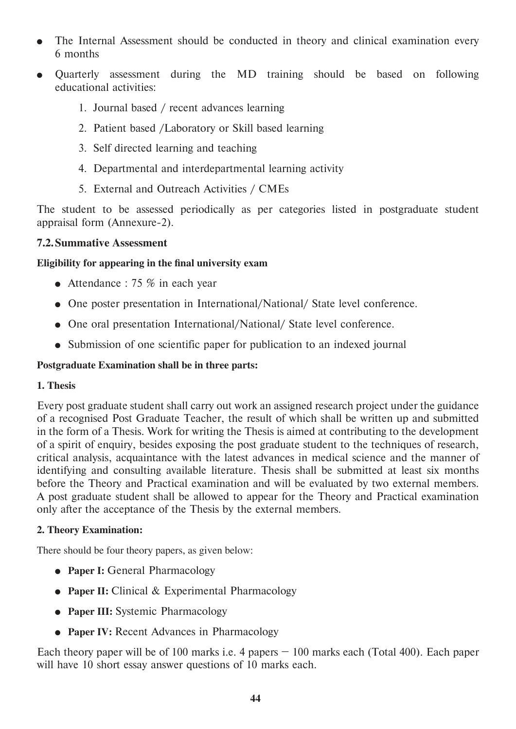- The Internal Assessment should be conducted in theory and clinical examination every 6 months
- Ouarterly assessment during the MD training should be based on following educational activities:
	- 1. Journal based / recent advances learning
	- 2. Patient based /Laboratory or Skill based learning
	- 3. Self directed learning and teaching
	- 4. Departmental and interdepartmental learning activity
	- 5. External and Outreach Activities / CMEs

The student to be assessed periodically as per categories listed in postgraduate student appraisal form (Annexure-2).

#### **7.2. Summative Assessment**

#### **Eligibility for appearing in the final university exam**

- Attendance : 75  $\%$  in each year
- One poster presentation in International/National/ State level conference.
- One oral presentation International/National/ State level conference.
- Submission of one scientific paper for publication to an indexed journal

#### **Postgraduate Examination shall be in three parts:**

#### **1. Thesis**

Every post graduate student shall carry out work an assigned research project under the guidance of a recognised Post Graduate Teacher, the result of which shall be written up and submitted in the form of a Thesis. Work for writing the Thesis is aimed at contributing to the development of a spirit of enquiry, besides exposing the post graduate student to the techniques of research, critical analysis, acquaintance with the latest advances in medical science and the manner of identifying and consulting available literature. Thesis shall be submitted at least six months before the Theory and Practical examination and will be evaluated by two external members. A post graduate student shall be allowed to appear for the Theory and Practical examination only after the acceptance of the Thesis by the external members.

#### **2. Theory Examination:**

There should be four theory papers, as given below:

- **Paper I: General Pharmacology**
- Paper II: Clinical & Experimental Pharmacology
- **Paper III:** Systemic Pharmacology
- **Paper IV:** Recent Advances in Pharmacology

Each theory paper will be of 100 marks i.e. 4 papers  $-100$  marks each (Total 400). Each paper will have 10 short essay answer questions of 10 marks each.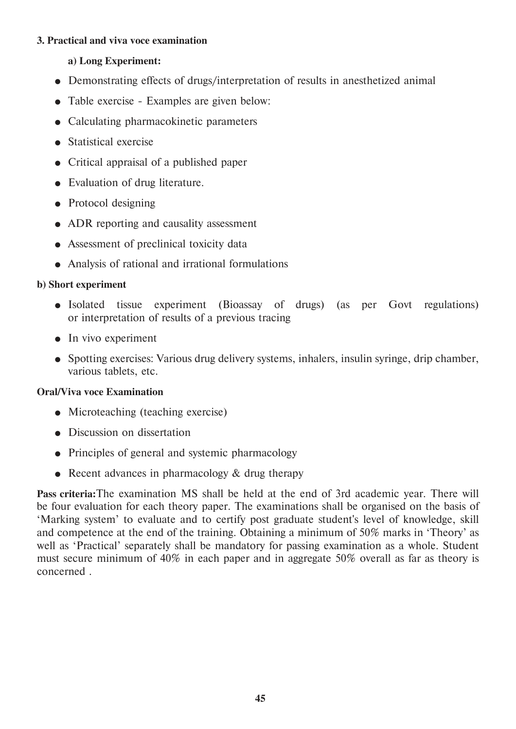#### **3. Practical and viva voce examination**

#### **a) Long Experiment:**

- Demonstrating effects of drugs/interpretation of results in anesthetized animal
- Table exercise Examples are given below:
- Calculating pharmacokinetic parameters
- **Statistical exercise**
- Critical appraisal of a published paper
- Evaluation of drug literature.
- Protocol designing
- ADR reporting and causality assessment
- Assessment of preclinical toxicity data
- Analysis of rational and irrational formulations

#### **b) Short experiment**

- Isolated tissue experiment (Bioassay of drugs) (as per Govt regulations) or interpretation of results of a previous tracing
- $\bullet$  In vivo experiment
- Spotting exercises: Various drug delivery systems, inhalers, insulin syringe, drip chamber, various tablets, etc.

#### **Oral/Viva voce Examination**

- Microteaching (teaching exercise)
- Discussion on dissertation
- Principles of general and systemic pharmacology
- Recent advances in pharmacology  $&$  drug therapy

**Pass criteria:**The examination MS shall be held at the end of 3rd academic year. There will be four evaluation for each theory paper. The examinations shall be organised on the basis of 'Marking system' to evaluate and to certify post graduate student's level of knowledge, skill and competence at the end of the training. Obtaining a minimum of 50% marks in 'Theory' as well as 'Practical' separately shall be mandatory for passing examination as a whole. Student must secure minimum of 40% in each paper and in aggregate 50% overall as far as theory is concerned .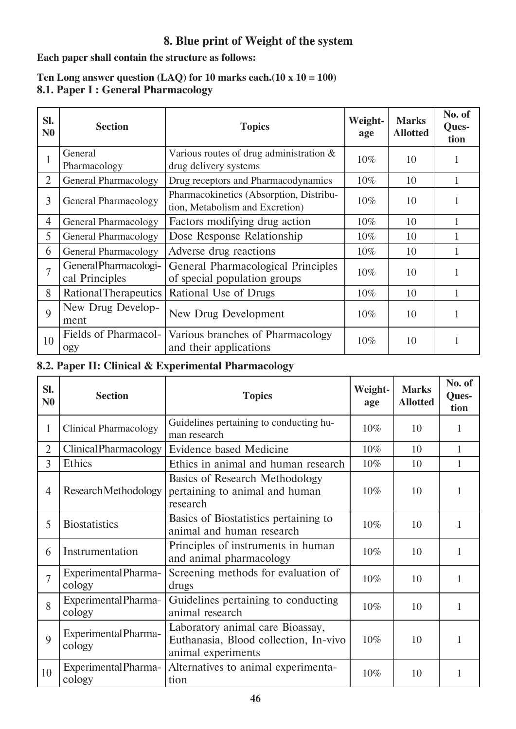#### **8. Blue print of Weight of the system**

**Each paper shall contain the structure as follows:**

#### **8.1. Paper I : General Pharmacology Ten Long answer question (LAQ) for 10 marks each.(10 x 10 = 100)**

| Sl.<br>N <sub>0</sub> | <b>Section</b>                          | <b>Topics</b>                                                              | Weight-<br>age | <b>Marks</b><br><b>Allotted</b> | No. of<br>Ques-<br>tion |
|-----------------------|-----------------------------------------|----------------------------------------------------------------------------|----------------|---------------------------------|-------------------------|
| 1                     | General<br>Pharmacology                 | Various routes of drug administration $\&$<br>drug delivery systems        | 10%            | 10                              |                         |
| $\overline{2}$        | <b>General Pharmacology</b>             | Drug receptors and Pharmacodynamics                                        | $10\%$         | 10                              |                         |
| 3                     | <b>General Pharmacology</b>             | Pharmacokinetics (Absorption, Distribu-<br>tion, Metabolism and Excretion) | $10\%$         | 10                              |                         |
| $\overline{4}$        | <b>General Pharmacology</b>             | Factors modifying drug action                                              | 10%            | 10                              |                         |
| 5                     | <b>General Pharmacology</b>             | Dose Response Relationship                                                 | 10%            | 10                              |                         |
| 6                     | <b>General Pharmacology</b>             | Adverse drug reactions                                                     | 10%            | 10                              |                         |
| $\overline{7}$        | General Pharmacologi-<br>cal Principles | General Pharmacological Principles<br>of special population groups         | 10%            | 10                              |                         |
| 8                     | <b>Rational Therapeutics</b>            | Rational Use of Drugs                                                      | $10\%$         | 10                              |                         |
| 9                     | New Drug Develop-<br>ment               | New Drug Development                                                       | $10\%$         | 10                              |                         |
| 10                    | Fields of Pharmacol-<br>ogy             | Various branches of Pharmacology<br>and their applications                 | 10%            | 10                              |                         |

#### **8.2. Paper II: Clinical & Experimental Pharmacology**

| SI.<br>N <sub>0</sub> | <b>Section</b>                 | <b>Topics</b>                                                                                   | Weight-<br>age | <b>Marks</b><br><b>Allotted</b> | No. of<br>Ques-<br>tion |
|-----------------------|--------------------------------|-------------------------------------------------------------------------------------------------|----------------|---------------------------------|-------------------------|
| 1                     | <b>Clinical Pharmacology</b>   | Guidelines pertaining to conducting hu-<br>man research                                         | $10\%$         | 10                              | 1                       |
| $\overline{2}$        | Clinical Pharmacology          | Evidence based Medicine                                                                         | 10%            | 10                              | 1                       |
| 3                     | Ethics                         | Ethics in animal and human research                                                             | 10%            | 10                              | 1                       |
| $\overline{4}$        | <b>ResearchMethodology</b>     | <b>Basics of Research Methodology</b><br>pertaining to animal and human<br>research             | 10%            | 10                              | 1                       |
| 5                     | <b>Biostatistics</b>           | Basics of Biostatistics pertaining to<br>animal and human research                              | 10%            | 10                              | 1                       |
| 6                     | Instrumentation                | Principles of instruments in human<br>and animal pharmacology                                   | 10%            | 10                              | 1                       |
| $\overline{7}$        | Experimental Pharma-<br>cology | Screening methods for evaluation of<br>drugs                                                    | 10%            | 10                              | 1                       |
| 8                     | Experimental Pharma-<br>cology | Guidelines pertaining to conducting<br>animal research                                          | 10%            | 10                              | 1                       |
| 9                     | Experimental Pharma-<br>cology | Laboratory animal care Bioassay,<br>Euthanasia, Blood collection, In-vivo<br>animal experiments | 10%            | 10                              | 1                       |
| 10                    | Experimental Pharma-<br>cology | Alternatives to animal experimenta-<br>tion                                                     | 10%            | 10                              | 1                       |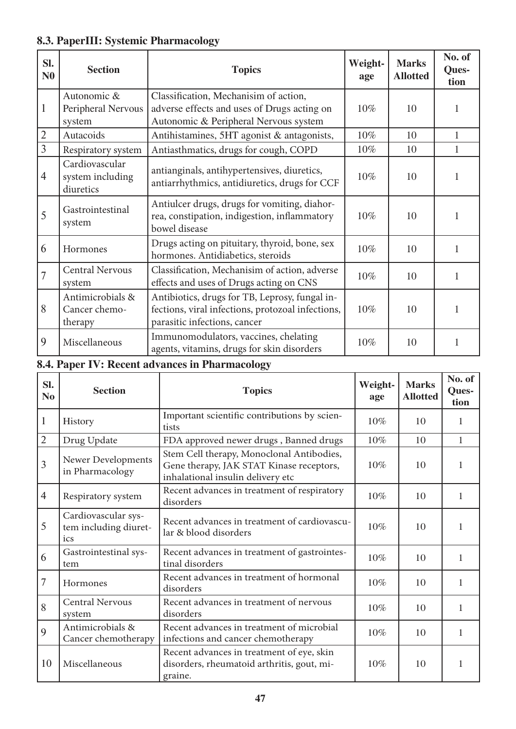## **8.3. PaperIII: Systemic Pharmacology**

| SI.<br>N <sub>0</sub> | <b>Section</b>                                  | <b>Topics</b>                                                                                                                       | Weight-<br>age | <b>Marks</b><br><b>Allotted</b> | No. of<br><b>Ques-</b><br>tion |
|-----------------------|-------------------------------------------------|-------------------------------------------------------------------------------------------------------------------------------------|----------------|---------------------------------|--------------------------------|
| $\mathbf{1}$          | Autonomic &<br>Peripheral Nervous<br>system     | Classification, Mechanisim of action,<br>adverse effects and uses of Drugs acting on<br>Autonomic & Peripheral Nervous system       | 10%            | 10                              |                                |
| $\overline{2}$        | Autacoids                                       | Antihistamines, 5HT agonist & antagonists,                                                                                          | 10%            | 10                              | 1                              |
| $\overline{3}$        | Respiratory system                              | Antiasthmatics, drugs for cough, COPD                                                                                               | 10%            | 10                              | 1                              |
| $\overline{4}$        | Cardiovascular<br>system including<br>diuretics | antianginals, antihypertensives, diuretics,<br>antiarrhythmics, antidiuretics, drugs for CCF                                        | 10%            | 10                              |                                |
| 5                     | Gastrointestinal<br>system                      | Antiulcer drugs, drugs for vomiting, diahor-<br>rea, constipation, indigestion, inflammatory<br>bowel disease                       | 10%            | 10                              |                                |
| 6                     | Hormones                                        | Drugs acting on pituitary, thyroid, bone, sex<br>hormones. Antidiabetics, steroids                                                  | 10%            | 10                              | 1                              |
| $\overline{7}$        | <b>Central Nervous</b><br>system                | Classification, Mechanisim of action, adverse<br>effects and uses of Drugs acting on CNS                                            | 10%            | 10                              | 1                              |
| 8                     | Antimicrobials &<br>Cancer chemo-<br>therapy    | Antibiotics, drugs for TB, Leprosy, fungal in-<br>fections, viral infections, protozoal infections,<br>parasitic infections, cancer | 10%            | 10                              |                                |
| 9                     | Miscellaneous                                   | Immunomodulators, vaccines, chelating<br>agents, vitamins, drugs for skin disorders                                                 | 10%            | 10                              | 1                              |

## **8.4. Paper IV: Recent advances in Pharmacology**

| SI.<br>N <sub>0</sub> | <b>Section</b>                                      | <b>Topics</b>                                                                                                              | Weight-<br>age | <b>Marks</b><br><b>Allotted</b> | No. of<br>Ques-<br>tion |
|-----------------------|-----------------------------------------------------|----------------------------------------------------------------------------------------------------------------------------|----------------|---------------------------------|-------------------------|
| 1                     | <b>History</b>                                      | Important scientific contributions by scien-<br>tists                                                                      | $10\%$         | 10                              | 1                       |
| $\overline{2}$        | Drug Update                                         | FDA approved newer drugs, Banned drugs                                                                                     | 10%            | 10                              | $\mathbf{1}$            |
| 3                     | Newer Developments<br>in Pharmacology               | Stem Cell therapy, Monoclonal Antibodies,<br>Gene therapy, JAK STAT Kinase receptors,<br>inhalational insulin delivery etc | $10\%$         | 10                              | 1                       |
| $\overline{4}$        | Respiratory system                                  | Recent advances in treatment of respiratory<br>disorders                                                                   | $10\%$         | 10                              | 1                       |
| 5                     | Cardiovascular sys-<br>tem including diuret-<br>ics | Recent advances in treatment of cardiovascu-<br>lar & blood disorders                                                      | $10\%$         | 10                              | 1                       |
| 6                     | Gastrointestinal sys-<br>tem                        | Recent advances in treatment of gastrointes-<br>tinal disorders                                                            | 10%            | 10                              | 1                       |
| $\overline{7}$        | Hormones                                            | Recent advances in treatment of hormonal<br>disorders                                                                      | $10\%$         | 10                              | 1                       |
| 8                     | <b>Central Nervous</b><br>system                    | Recent advances in treatment of nervous<br>disorders                                                                       | $10\%$         | 10                              | 1                       |
| 9                     | Antimicrobials &<br>Cancer chemotherapy             | Recent advances in treatment of microbial<br>infections and cancer chemotherapy                                            | 10%            | 10                              | 1                       |
| 10                    | Miscellaneous                                       | Recent advances in treatment of eye, skin<br>disorders, rheumatoid arthritis, gout, mi-<br>graine.                         | 10%            | 10                              |                         |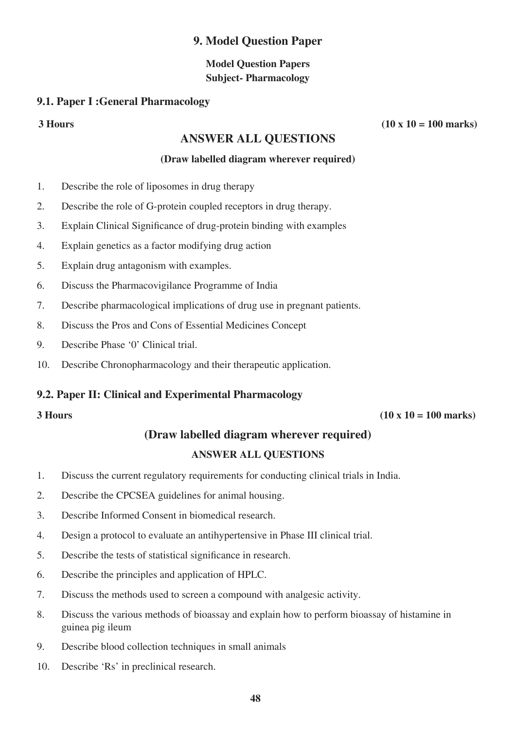#### **9. Model Question Paper**

#### **Model Question Papers Subject- Pharmacology**

#### **9.1. Paper I :General Pharmacology**

#### **ANSWER ALL QUESTIONS**

#### **(Draw labelled diagram wherever required)**

- 1. Describe the role of liposomes in drug therapy
- 2. Describe the role of G-protein coupled receptors in drug therapy.
- 3. Explain Clinical Significance of drug-protein binding with examples
- 4. Explain genetics as a factor modifying drug action
- 5. Explain drug antagonism with examples.
- 6. Discuss the Pharmacovigilance Programme of India
- 7. Describe pharmacological implications of drug use in pregnant patients.
- 8. Discuss the Pros and Cons of Essential Medicines Concept
- 9. Describe Phase '0' Clinical trial.
- 10. Describe Chronopharmacology and their therapeutic application.

#### **9.2. Paper II: Clinical and Experimental Pharmacology**

#### $3 \text{ Hours}$  (10 x 10 = 100 marks)

#### **(Draw labelled diagram wherever required)**

#### **ANSWER ALL QUESTIONS**

- 1. Discuss the current regulatory requirements for conducting clinical trials in India.
- 2. Describe the CPCSEA guidelines for animal housing.
- 3. Describe Informed Consent in biomedical research.
- 4. Design a protocol to evaluate an antihypertensive in Phase III clinical trial.
- 5. Describe the tests of statistical significance in research.
- 6. Describe the principles and application of HPLC.
- 7. Discuss the methods used to screen a compound with analgesic activity.
- 8. Discuss the various methods of bioassay and explain how to perform bioassay of histamine in guinea pig ileum
- 9. Describe blood collection techniques in small animals
- 10. Describe 'Rs' in preclinical research.

**3 Hours (10 x 10 = 100 marks)**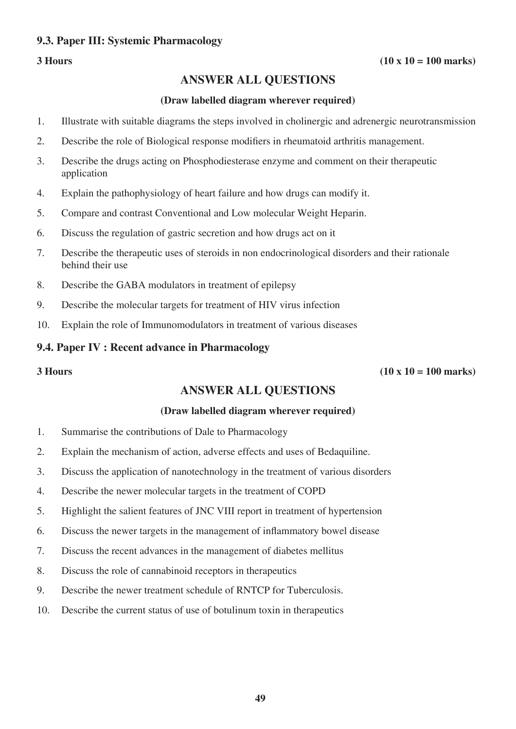#### **9.3. Paper III: Systemic Pharmacology**

#### $3 \text{ Hours}$  (10 x 10 = 100 marks)

#### **ANSWER ALL QUESTIONS**

#### **(Draw labelled diagram wherever required)**

- 1. Illustrate with suitable diagrams the steps involved in cholinergic and adrenergic neurotransmission
- 2. Describe the role of Biological response modifiers in rheumatoid arthritis management.
- 3. Describe the drugs acting on Phosphodiesterase enzyme and comment on their therapeutic application
- 4. Explain the pathophysiology of heart failure and how drugs can modify it.
- 5. Compare and contrast Conventional and Low molecular Weight Heparin.
- 6. Discuss the regulation of gastric secretion and how drugs act on it
- 7. Describe the therapeutic uses of steroids in non endocrinological disorders and their rationale behind their use
- 8. Describe the GABA modulators in treatment of epilepsy
- 9. Describe the molecular targets for treatment of HIV virus infection
- 10. Explain the role of Immunomodulators in treatment of various diseases

#### **9.4. Paper IV : Recent advance in Pharmacology**

 $3 \text{ Hours}$  (10 x 10 = 100 marks)

#### **ANSWER ALL QUESTIONS**

#### **(Draw labelled diagram wherever required)**

- 1. Summarise the contributions of Dale to Pharmacology
- 2. Explain the mechanism of action, adverse effects and uses of Bedaquiline.
- 3. Discuss the application of nanotechnology in the treatment of various disorders
- 4. Describe the newer molecular targets in the treatment of COPD
- 5. Highlight the salient features of JNC VIII report in treatment of hypertension
- 6. Discuss the newer targets in the management of inflammatory bowel disease
- 7. Discuss the recent advances in the management of diabetes mellitus
- 8. Discuss the role of cannabinoid receptors in therapeutics
- 9. Describe the newer treatment schedule of RNTCP for Tuberculosis.
- 10. Describe the current status of use of botulinum toxin in therapeutics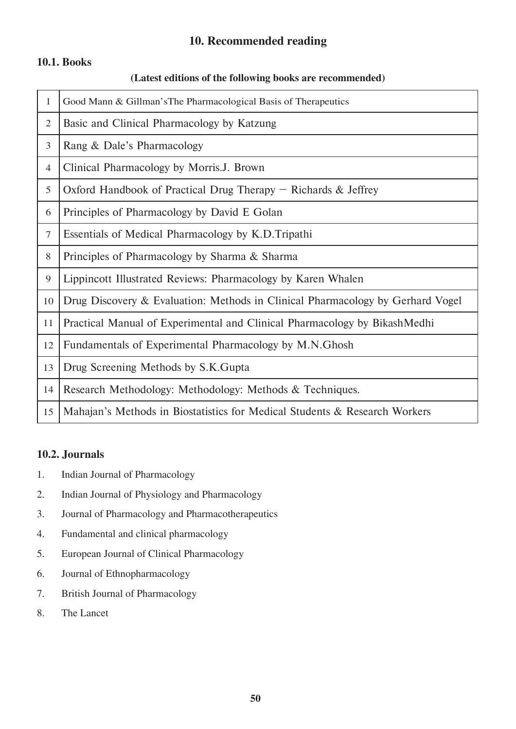#### **10. Recommended reading**

#### **10.1. Books**

#### **(Latest editions of the following books are recommended)**

| $\mathbf{1}$   | Good Mann & Gillman's The Pharmacological Basis of Therapeutics                |
|----------------|--------------------------------------------------------------------------------|
| $\overline{2}$ | Basic and Clinical Pharmacology by Katzung                                     |
| 3              | Rang & Dale's Pharmacology                                                     |
| 4              | Clinical Pharmacology by Morris. J. Brown                                      |
| 5              | Oxford Handbook of Practical Drug Therapy $-$ Richards & Jeffrey               |
| 6              | Principles of Pharmacology by David E Golan                                    |
| $\overline{7}$ | Essentials of Medical Pharmacology by K.D.Tripathi                             |
| 8              | Principles of Pharmacology by Sharma & Sharma                                  |
| 9              | Lippincott Illustrated Reviews: Pharmacology by Karen Whalen                   |
| 10             | Drug Discovery & Evaluation: Methods in Clinical Pharmacology by Gerhard Vogel |
| 11             | Practical Manual of Experimental and Clinical Pharmacology by BikashMedhi      |
| 12             | Fundamentals of Experimental Pharmacology by M.N.Ghosh                         |
| 13             | Drug Screening Methods by S.K.Gupta                                            |
| 14             | Research Methodology: Methodology: Methods & Techniques.                       |
| 15             | Mahajan's Methods in Biostatistics for Medical Students & Research Workers     |

#### **10.2. Journals**

- 1. Indian Journal of Pharmacology
- 2. Indian Journal of Physiology and Pharmacology
- 3. Journal of Pharmacology and Pharmacotherapeutics
- 4. Fundamental and clinical pharmacology
- 5. European Journal of Clinical Pharmacology
- 6. Journal of Ethnopharmacology
- 7. British Journal of Pharmacology
- 8. The Lancet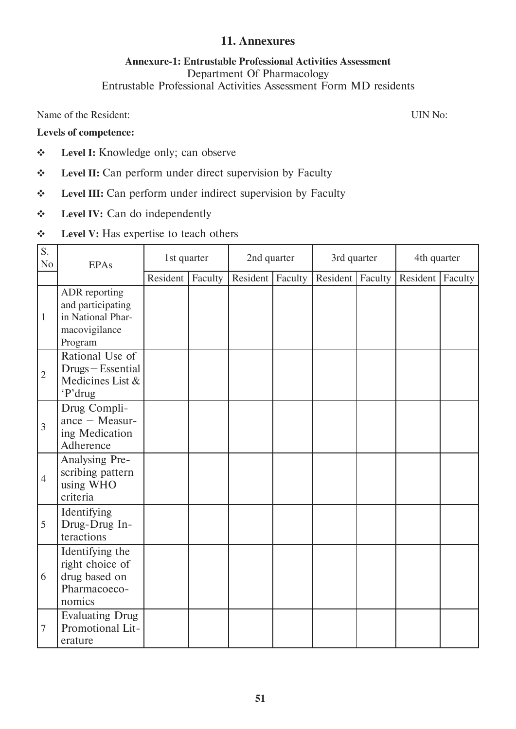#### **11. Annexures**

#### **Annexure-1: Entrustable Professional Activities Assessment**  Department Of Pharmacology Entrustable Professional Activities Assessment Form MD residents

Name of the Resident: UIN No:

#### **Levels of competence:**

- **Level I:** Knowledge only; can observe
- **Level II:** Can perform under direct supervision by Faculty
- **Level III:** Can perform under indirect supervision by Faculty
- **Level IV:** Can do independently
- **↓** Level **V**: Has expertise to teach others

| S.<br>N <sub>0</sub> | <b>EPAs</b>                                                                         | 1st quarter |         | 2nd quarter |         | 3rd quarter |         | 4th quarter |         |
|----------------------|-------------------------------------------------------------------------------------|-------------|---------|-------------|---------|-------------|---------|-------------|---------|
|                      |                                                                                     | Resident    | Faculty | Resident    | Faculty | Resident    | Faculty | Resident    | Faculty |
| $\mathbf{1}$         | ADR reporting<br>and participating<br>in National Phar-<br>macovigilance<br>Program |             |         |             |         |             |         |             |         |
| $\overline{2}$       | Rational Use of<br>Drugs-Essential<br>Medicines List &<br>'P'drug                   |             |         |             |         |             |         |             |         |
| 3                    | Drug Compli-<br>ance $-$ Measur-<br>ing Medication<br>Adherence                     |             |         |             |         |             |         |             |         |
| $\overline{4}$       | Analysing Pre-<br>scribing pattern<br>using WHO<br>criteria                         |             |         |             |         |             |         |             |         |
| 5                    | Identifying<br>Drug-Drug In-<br>teractions                                          |             |         |             |         |             |         |             |         |
| 6                    | Identifying the<br>right choice of<br>drug based on<br>Pharmacoeco-<br>nomics       |             |         |             |         |             |         |             |         |
| 7                    | <b>Evaluating Drug</b><br>Promotional Lit-<br>erature                               |             |         |             |         |             |         |             |         |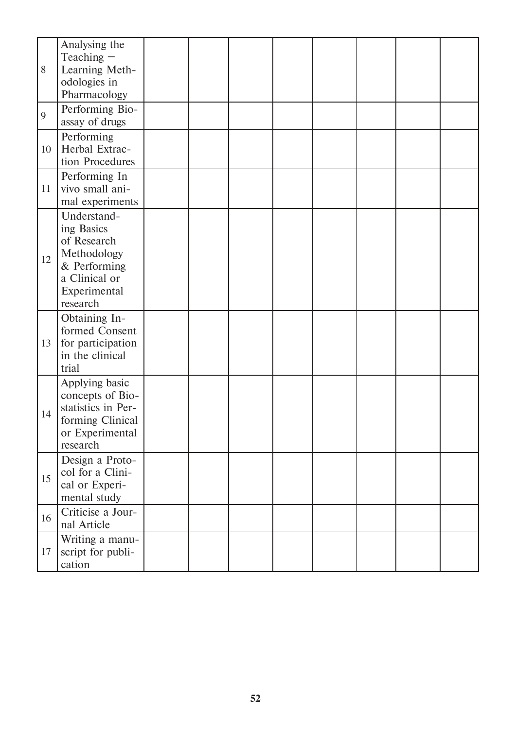| 8  | Analysing the<br>Teaching $-$<br>Learning Meth-<br>odologies in<br>Pharmacology                                      |  |  |  |  |
|----|----------------------------------------------------------------------------------------------------------------------|--|--|--|--|
| 9  | Performing Bio-<br>assay of drugs                                                                                    |  |  |  |  |
| 10 | Performing<br>Herbal Extrac-<br>tion Procedures                                                                      |  |  |  |  |
| 11 | Performing In<br>vivo small ani-<br>mal experiments                                                                  |  |  |  |  |
| 12 | Understand-<br>ing Basics<br>of Research<br>Methodology<br>& Performing<br>a Clinical or<br>Experimental<br>research |  |  |  |  |
| 13 | Obtaining In-<br>formed Consent<br>for participation<br>in the clinical<br>trial                                     |  |  |  |  |
| 14 | Applying basic<br>concepts of Bio-<br>statistics in Per-<br>forming Clinical<br>or Experimental<br>research          |  |  |  |  |
| 15 | Design a Proto-<br>col for a Clini-<br>cal or Experi-<br>mental study                                                |  |  |  |  |
| 16 | Criticise a Jour-<br>nal Article                                                                                     |  |  |  |  |
| 17 | Writing a manu-<br>script for publi-<br>cation                                                                       |  |  |  |  |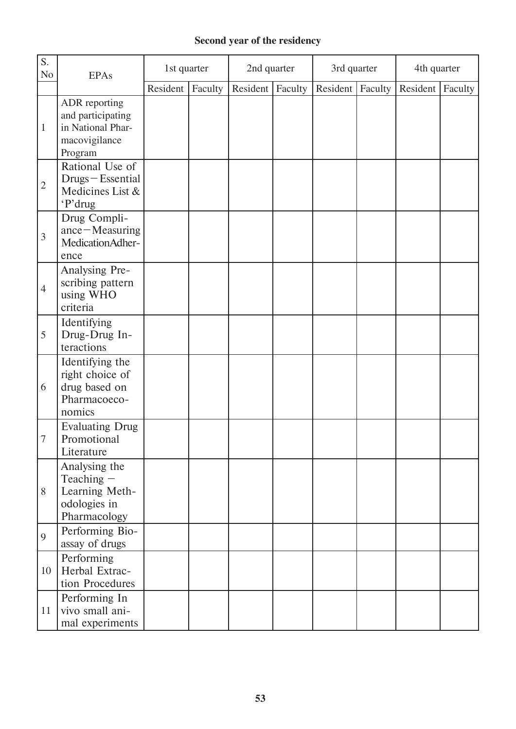#### **Second year of the residency**

| S.<br>N <sub>0</sub> | <b>EPAs</b>                                                                         | 1st quarter |         | 2nd quarter |         | 3rd quarter |         | 4th quarter |         |
|----------------------|-------------------------------------------------------------------------------------|-------------|---------|-------------|---------|-------------|---------|-------------|---------|
|                      |                                                                                     | Resident    | Faculty | Resident    | Faculty | Resident    | Faculty | Resident    | Faculty |
| $\mathbf{1}$         | ADR reporting<br>and participating<br>in National Phar-<br>macovigilance<br>Program |             |         |             |         |             |         |             |         |
| $\overline{2}$       | Rational Use of<br>Drugs-Essential<br>Medicines List &<br>'P'drug                   |             |         |             |         |             |         |             |         |
| $\overline{3}$       | Drug Compli-<br>ance-Measuring<br>MedicationAdher-<br>ence                          |             |         |             |         |             |         |             |         |
| $\overline{4}$       | Analysing Pre-<br>scribing pattern<br>using WHO<br>criteria                         |             |         |             |         |             |         |             |         |
| 5                    | Identifying<br>Drug-Drug In-<br>teractions                                          |             |         |             |         |             |         |             |         |
| 6                    | Identifying the<br>right choice of<br>drug based on<br>Pharmacoeco-<br>nomics       |             |         |             |         |             |         |             |         |
| 7                    | <b>Evaluating Drug</b><br>Promotional<br>Literature                                 |             |         |             |         |             |         |             |         |
| 8                    | Analysing the<br>Teaching $-$<br>Learning Meth-<br>odologies in<br>Pharmacology     |             |         |             |         |             |         |             |         |
| 9                    | Performing Bio-<br>assay of drugs                                                   |             |         |             |         |             |         |             |         |
| 10                   | Performing<br>Herbal Extrac-<br>tion Procedures                                     |             |         |             |         |             |         |             |         |
| 11                   | Performing In<br>vivo small ani-<br>mal experiments                                 |             |         |             |         |             |         |             |         |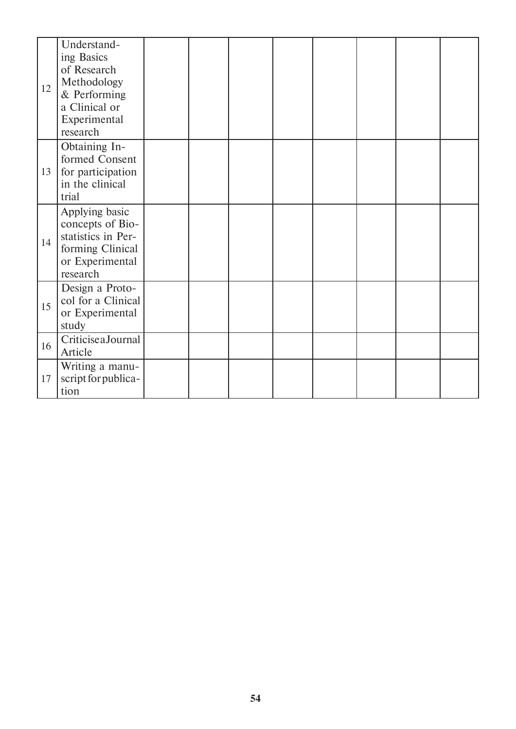| 12 | Understand-<br>ing Basics<br>of Research<br>Methodology<br>& Performing<br>a Clinical or<br>Experimental<br>research |  |  |  |  |
|----|----------------------------------------------------------------------------------------------------------------------|--|--|--|--|
| 13 | Obtaining In-<br>formed Consent<br>for participation<br>in the clinical<br>trial                                     |  |  |  |  |
| 14 | Applying basic<br>concepts of Bio-<br>statistics in Per-<br>forming Clinical<br>or Experimental<br>research          |  |  |  |  |
| 15 | Design a Proto-<br>col for a Clinical<br>or Experimental<br>study                                                    |  |  |  |  |
| 16 | CriticiseaJournal<br>Article                                                                                         |  |  |  |  |
| 17 | Writing a manu-<br>script for publica-<br>tion                                                                       |  |  |  |  |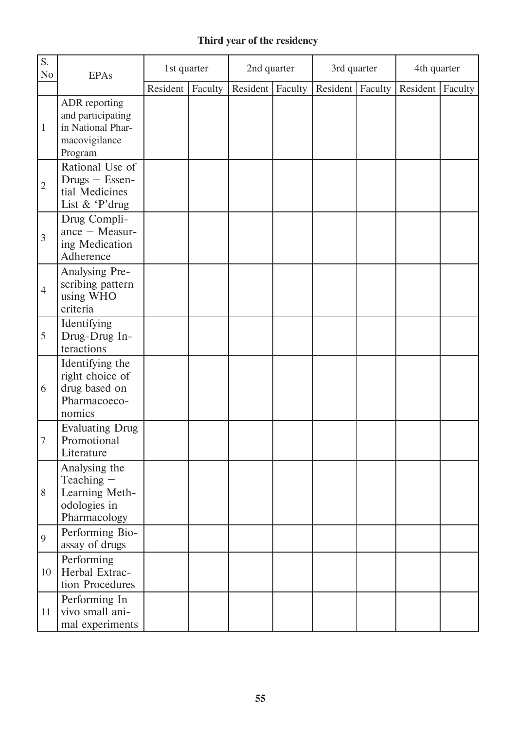### **Third year of the residency**

| S.<br>N <sub>0</sub> | <b>EPAs</b>                                                                         | 1st quarter |         | 2nd quarter |         | 3rd quarter |         | 4th quarter |         |
|----------------------|-------------------------------------------------------------------------------------|-------------|---------|-------------|---------|-------------|---------|-------------|---------|
|                      |                                                                                     | Resident    | Faculty | Resident    | Faculty | Resident    | Faculty | Resident    | Faculty |
| $\mathbf{1}$         | ADR reporting<br>and participating<br>in National Phar-<br>macovigilance<br>Program |             |         |             |         |             |         |             |         |
| $\overline{2}$       | Rational Use of<br>$Drugs - Essen-$<br>tial Medicines<br>List & 'P'drug             |             |         |             |         |             |         |             |         |
| $\overline{3}$       | Drug Compli-<br>ance $-$ Measur-<br>ing Medication<br>Adherence                     |             |         |             |         |             |         |             |         |
| $\overline{4}$       | Analysing Pre-<br>scribing pattern<br>using WHO<br>criteria                         |             |         |             |         |             |         |             |         |
| 5                    | Identifying<br>Drug-Drug In-<br>teractions                                          |             |         |             |         |             |         |             |         |
| 6                    | Identifying the<br>right choice of<br>drug based on<br>Pharmacoeco-<br>nomics       |             |         |             |         |             |         |             |         |
| 7                    | <b>Evaluating Drug</b><br>Promotional<br>Literature                                 |             |         |             |         |             |         |             |         |
| 8                    | Analysing the<br>Teaching -<br>Learning Meth-<br>odologies in<br>Pharmacology       |             |         |             |         |             |         |             |         |
| 9                    | Performing Bio-<br>assay of drugs                                                   |             |         |             |         |             |         |             |         |
| 10                   | Performing<br>Herbal Extrac-<br>tion Procedures                                     |             |         |             |         |             |         |             |         |
| 11                   | Performing In<br>vivo small ani-<br>mal experiments                                 |             |         |             |         |             |         |             |         |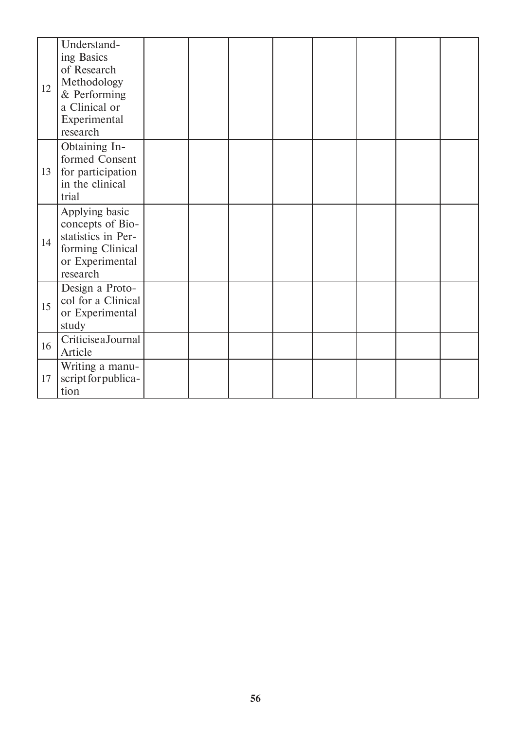| 12 | Understand-<br>ing Basics<br>of Research<br>Methodology<br>& Performing<br>a Clinical or<br>Experimental<br>research |  |  |  |  |
|----|----------------------------------------------------------------------------------------------------------------------|--|--|--|--|
| 13 | Obtaining In-<br>formed Consent<br>for participation<br>in the clinical<br>trial                                     |  |  |  |  |
| 14 | Applying basic<br>concepts of Bio-<br>statistics in Per-<br>forming Clinical<br>or Experimental<br>research          |  |  |  |  |
| 15 | Design a Proto-<br>col for a Clinical<br>or Experimental<br>study                                                    |  |  |  |  |
| 16 | CriticiseaJournal<br>Article                                                                                         |  |  |  |  |
| 17 | Writing a manu-<br>script for publica-<br>tion                                                                       |  |  |  |  |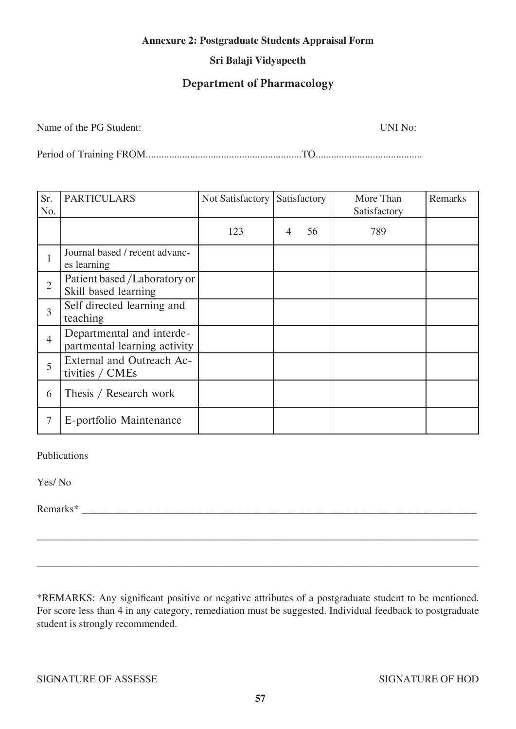#### **Annexure 2: Postgraduate Students Appraisal Form**

#### **Sri Balaji Vidyapeeth**

#### **Department of Pharmacology**

Name of the PG Student: UNI No:

Period of Training FROM............................................................TO.........................................

| Sr.<br>No.     | <b>PARTICULARS</b>                                        | Not Satisfactory | Satisfactory |    | More Than<br>Satisfactory | Remarks |
|----------------|-----------------------------------------------------------|------------------|--------------|----|---------------------------|---------|
|                |                                                           | 123              | 4            | 56 | 789                       |         |
| 1              | Journal based / recent advanc-<br>es learning             |                  |              |    |                           |         |
| $\overline{2}$ | Patient based /Laboratory or<br>Skill based learning      |                  |              |    |                           |         |
| 3              | Self directed learning and<br>teaching                    |                  |              |    |                           |         |
| $\overline{4}$ | Departmental and interde-<br>partmental learning activity |                  |              |    |                           |         |
| 5              | External and Outreach Ac-<br>tivities / CMEs              |                  |              |    |                           |         |
| 6              | Thesis / Research work                                    |                  |              |    |                           |         |
| 7              | E-portfolio Maintenance                                   |                  |              |    |                           |         |

Publications

Yes/ No

Remarks\*

\*REMARKS: Any significant positive or negative attributes of a postgraduate student to be mentioned. For score less than 4 in any category, remediation must be suggested. Individual feedback to postgraduate student is strongly recommended.

\_\_\_\_\_\_\_\_\_\_\_\_\_\_\_\_\_\_\_\_\_\_\_\_\_\_\_\_\_\_\_\_\_\_\_\_\_\_\_\_\_\_\_\_\_\_\_\_\_\_\_\_\_\_\_\_\_\_\_\_\_\_\_\_\_\_\_\_\_\_\_\_\_\_\_\_\_\_\_\_\_\_\_\_\_

\_\_\_\_\_\_\_\_\_\_\_\_\_\_\_\_\_\_\_\_\_\_\_\_\_\_\_\_\_\_\_\_\_\_\_\_\_\_\_\_\_\_\_\_\_\_\_\_\_\_\_\_\_\_\_\_\_\_\_\_\_\_\_\_\_\_\_\_\_\_\_\_\_\_\_\_\_\_\_\_\_\_\_\_\_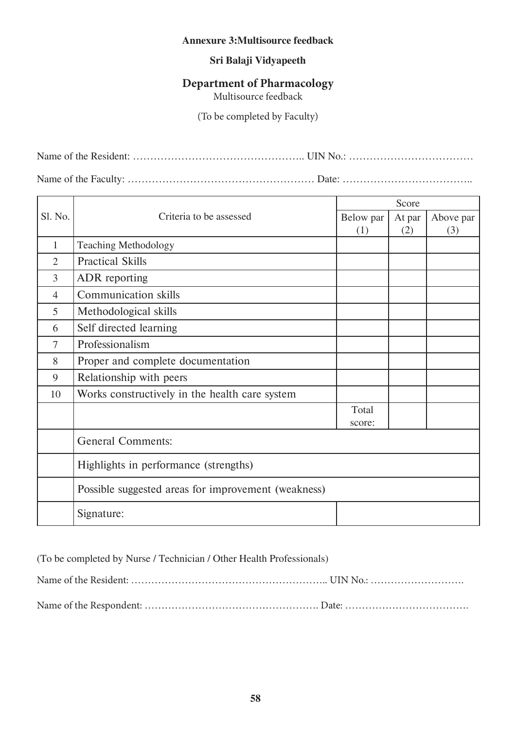#### **Annexure 3:Multisource feedback**

#### **Sri Balaji Vidyapeeth**

#### **Department of Pharmacology**

Multisource feedback

(To be completed by Faculty)

Name of the Resident: ………………………………………….. UIN No.: ………………………………

Name of the Faculty: ……………………………………………… Date: ………………………………..

|                |                                                     | Score     |        |           |  |  |
|----------------|-----------------------------------------------------|-----------|--------|-----------|--|--|
| <b>Sl. No.</b> | Criteria to be assessed                             | Below par | At par | Above par |  |  |
|                |                                                     | (1)       | (2)    | (3)       |  |  |
| 1              | <b>Teaching Methodology</b>                         |           |        |           |  |  |
| $\overline{2}$ | <b>Practical Skills</b>                             |           |        |           |  |  |
| $\overline{3}$ | ADR reporting                                       |           |        |           |  |  |
| $\overline{4}$ | <b>Communication skills</b>                         |           |        |           |  |  |
| 5              | Methodological skills                               |           |        |           |  |  |
| 6              | Self directed learning                              |           |        |           |  |  |
| 7              | Professionalism                                     |           |        |           |  |  |
| 8              | Proper and complete documentation                   |           |        |           |  |  |
| 9              | Relationship with peers                             |           |        |           |  |  |
| 10             | Works constructively in the health care system      |           |        |           |  |  |
|                |                                                     | Total     |        |           |  |  |
|                |                                                     | score:    |        |           |  |  |
|                | <b>General Comments:</b>                            |           |        |           |  |  |
|                | Highlights in performance (strengths)               |           |        |           |  |  |
|                | Possible suggested areas for improvement (weakness) |           |        |           |  |  |
|                | Signature:                                          |           |        |           |  |  |

(To be completed by Nurse / Technician / Other Health Professionals)

Name of the Resident: ………………………………………………….. UIN No.: ………………………. Name of the Respondent: ……………………………………………. Date: ……………………………….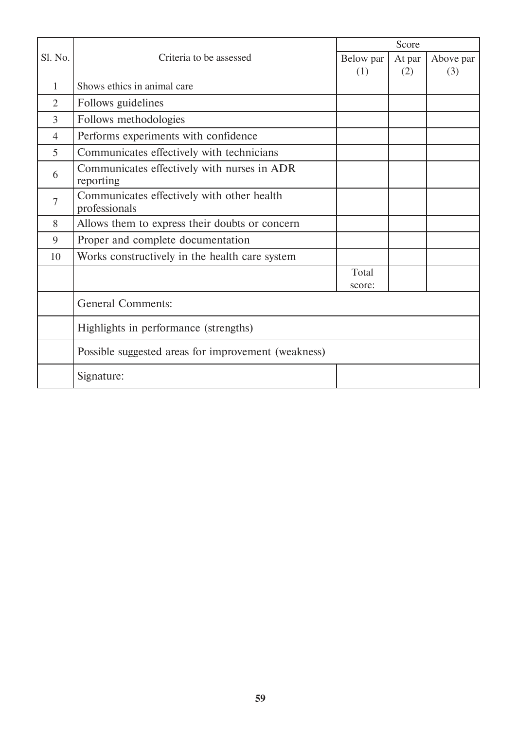|                |                                                             | Score     |        |           |  |  |
|----------------|-------------------------------------------------------------|-----------|--------|-----------|--|--|
| Sl. No.        | Criteria to be assessed                                     | Below par | At par | Above par |  |  |
|                |                                                             | (1)       | (2)    | (3)       |  |  |
| 1              | Shows ethics in animal care                                 |           |        |           |  |  |
| $\overline{2}$ | Follows guidelines                                          |           |        |           |  |  |
| $\overline{3}$ | Follows methodologies                                       |           |        |           |  |  |
| $\overline{4}$ | Performs experiments with confidence                        |           |        |           |  |  |
| 5              | Communicates effectively with technicians                   |           |        |           |  |  |
| 6              | Communicates effectively with nurses in ADR<br>reporting    |           |        |           |  |  |
| 7              | Communicates effectively with other health<br>professionals |           |        |           |  |  |
| 8              | Allows them to express their doubts or concern              |           |        |           |  |  |
| 9              | Proper and complete documentation                           |           |        |           |  |  |
| 10             | Works constructively in the health care system              |           |        |           |  |  |
|                |                                                             | Total     |        |           |  |  |
|                |                                                             | score:    |        |           |  |  |
|                | <b>General Comments:</b>                                    |           |        |           |  |  |
|                | Highlights in performance (strengths)                       |           |        |           |  |  |
|                | Possible suggested areas for improvement (weakness)         |           |        |           |  |  |
|                | Signature:                                                  |           |        |           |  |  |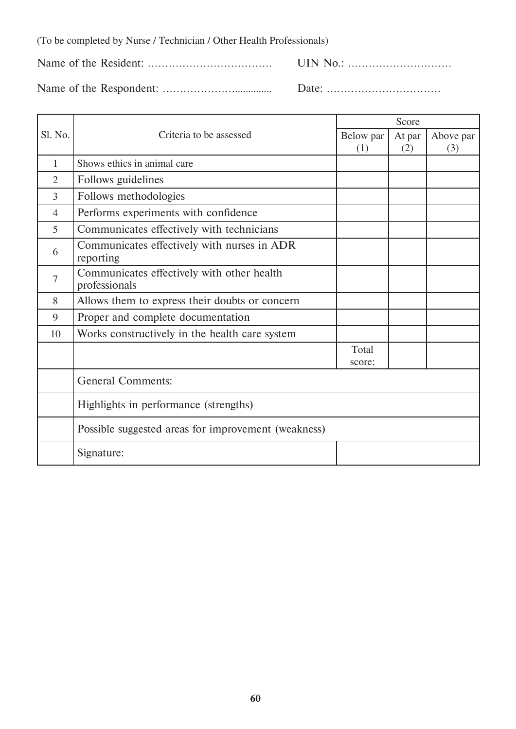(To be completed by Nurse / Technician / Other Health Professionals)

Name of the Resident: ……………………………… UIN No.: …………………………

Name of the Respondent: ………………….............. Date: ……………………………

Sl. No. **Criteria** to be assessed Score Below par (1) At par (2) Above par (3) 1 Shows ethics in animal care 2 Follows guidelines

| 3              | Follows methodologies                                       |                 |  |  |  |  |
|----------------|-------------------------------------------------------------|-----------------|--|--|--|--|
| 4              | Performs experiments with confidence                        |                 |  |  |  |  |
| 5              | Communicates effectively with technicians                   |                 |  |  |  |  |
| 6              | Communicates effectively with nurses in ADR<br>reporting    |                 |  |  |  |  |
| $\overline{7}$ | Communicates effectively with other health<br>professionals |                 |  |  |  |  |
| 8              | Allows them to express their doubts or concern              |                 |  |  |  |  |
| 9              | Proper and complete documentation                           |                 |  |  |  |  |
| 10             | Works constructively in the health care system              |                 |  |  |  |  |
|                |                                                             | Total<br>score: |  |  |  |  |
|                | <b>General Comments:</b>                                    |                 |  |  |  |  |
|                | Highlights in performance (strengths)                       |                 |  |  |  |  |
|                | Possible suggested areas for improvement (weakness)         |                 |  |  |  |  |
|                | Signature:                                                  |                 |  |  |  |  |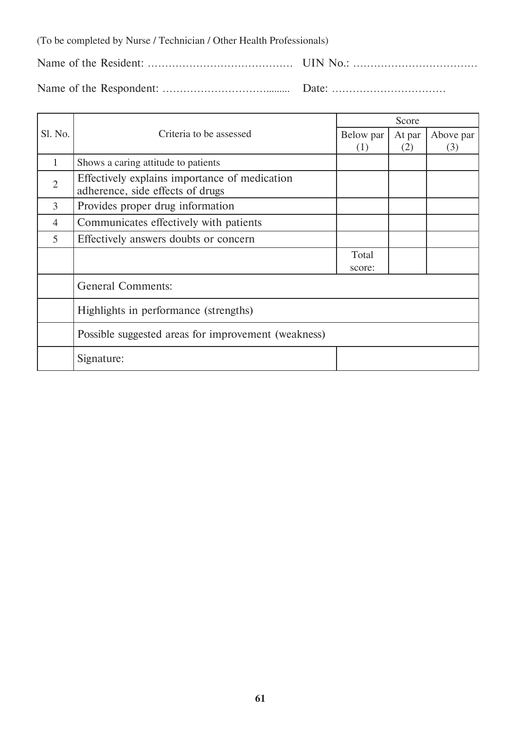(To be completed by Nurse / Technician / Other Health Professionals)

Name of the Resident: …………………………………… UIN No.: ………………………………

Name of the Respondent: …………………………......... Date: ……………………………

|                |                                                     | Score     |        |           |  |  |
|----------------|-----------------------------------------------------|-----------|--------|-----------|--|--|
| Sl. No.        | Criteria to be assessed                             | Below par | At par | Above par |  |  |
|                |                                                     | (1)       | (2)    | (3)       |  |  |
| 1              | Shows a caring attitude to patients                 |           |        |           |  |  |
| $\overline{2}$ | Effectively explains importance of medication       |           |        |           |  |  |
|                | adherence, side effects of drugs                    |           |        |           |  |  |
| 3              | Provides proper drug information                    |           |        |           |  |  |
| $\overline{4}$ | Communicates effectively with patients              |           |        |           |  |  |
| 5              | Effectively answers doubts or concern               |           |        |           |  |  |
|                |                                                     | Total     |        |           |  |  |
|                |                                                     | score:    |        |           |  |  |
|                | <b>General Comments:</b>                            |           |        |           |  |  |
|                | Highlights in performance (strengths)               |           |        |           |  |  |
|                | Possible suggested areas for improvement (weakness) |           |        |           |  |  |
|                | Signature:                                          |           |        |           |  |  |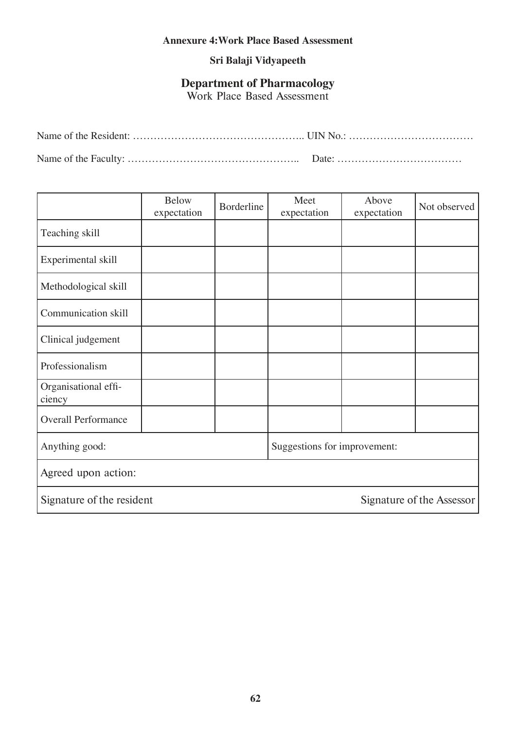#### **Annexure 4:Work Place Based Assessment**

#### **Sri Balaji Vidyapeeth**

#### **Department of Pharmacology**

Work Place Based Assessment

|                                | <b>Below</b><br>expectation | Borderline | Meet<br>expectation          | Above<br>expectation | Not observed |
|--------------------------------|-----------------------------|------------|------------------------------|----------------------|--------------|
| Teaching skill                 |                             |            |                              |                      |              |
| Experimental skill             |                             |            |                              |                      |              |
| Methodological skill           |                             |            |                              |                      |              |
| Communication skill            |                             |            |                              |                      |              |
| Clinical judgement             |                             |            |                              |                      |              |
| Professionalism                |                             |            |                              |                      |              |
| Organisational effi-<br>ciency |                             |            |                              |                      |              |
| <b>Overall Performance</b>     |                             |            |                              |                      |              |
| Anything good:                 |                             |            | Suggestions for improvement: |                      |              |
| Agreed upon action:            |                             |            |                              |                      |              |
| Signature of the resident      | Signature of the Assessor   |            |                              |                      |              |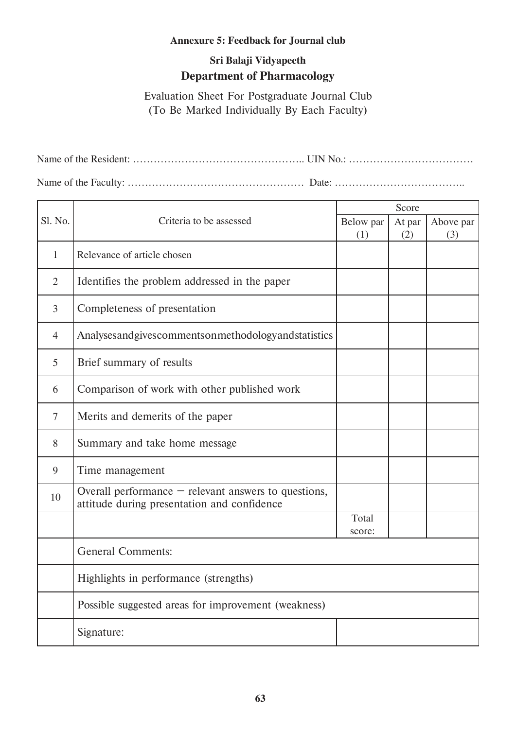#### **Annexure 5: Feedback for Journal club**

### **Sri Balaji Vidyapeeth Department of Pharmacology**

Evaluation Sheet For Postgraduate Journal Club (To Be Marked Individually By Each Faculty)

Name of the Resident: ………………………………………….. UIN No.: ……………………………… Name of the Faculty: …………………………………………… Date: ………………………………..

|                |                                                                                                       | Score           |        |           |
|----------------|-------------------------------------------------------------------------------------------------------|-----------------|--------|-----------|
| Sl. No.        | Criteria to be assessed                                                                               | Below par       | At par | Above par |
|                |                                                                                                       | (1)             | (2)    | (3)       |
| $\mathbf{1}$   | Relevance of article chosen                                                                           |                 |        |           |
| $\overline{2}$ | Identifies the problem addressed in the paper                                                         |                 |        |           |
| $\overline{3}$ | Completeness of presentation                                                                          |                 |        |           |
| $\overline{4}$ | Analysesandgivescommentsonmethodologyandstatistics                                                    |                 |        |           |
| 5              | Brief summary of results                                                                              |                 |        |           |
| 6              | Comparison of work with other published work                                                          |                 |        |           |
| $\tau$         | Merits and demerits of the paper                                                                      |                 |        |           |
| 8              | Summary and take home message                                                                         |                 |        |           |
| 9              | Time management                                                                                       |                 |        |           |
| 10             | Overall performance $-$ relevant answers to questions,<br>attitude during presentation and confidence |                 |        |           |
|                |                                                                                                       | Total<br>score: |        |           |
|                | <b>General Comments:</b>                                                                              |                 |        |           |
|                | Highlights in performance (strengths)                                                                 |                 |        |           |
|                | Possible suggested areas for improvement (weakness)                                                   |                 |        |           |
|                | Signature:                                                                                            |                 |        |           |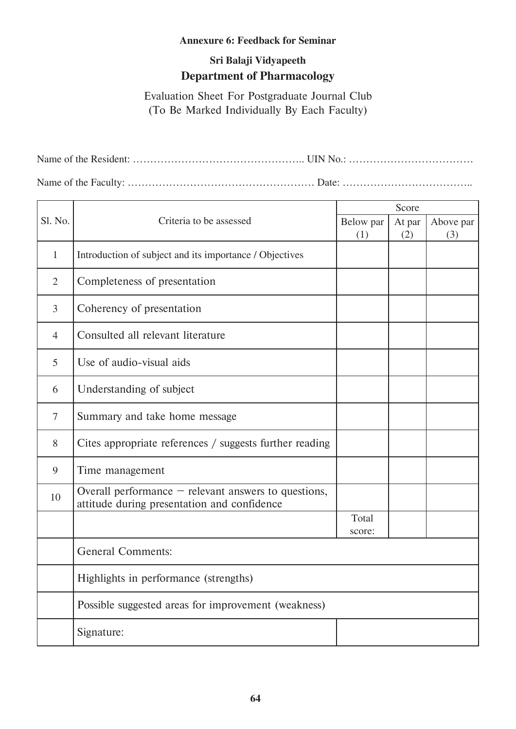#### **Annexure 6: Feedback for Seminar**

#### **Sri Balaji Vidyapeeth Department of Pharmacology**

Evaluation Sheet For Postgraduate Journal Club (To Be Marked Individually By Each Faculty)

Name of the Resident: ………………………………………….. UIN No.: ……………………………… Name of the Faculty: ……………………………………………… Date: ………………………………..

| Sl. No.        | Criteria to be assessed                                                                               | Score           |        |           |
|----------------|-------------------------------------------------------------------------------------------------------|-----------------|--------|-----------|
|                |                                                                                                       | Below par       | At par | Above par |
|                |                                                                                                       | (1)             | (2)    | (3)       |
| 1              | Introduction of subject and its importance / Objectives                                               |                 |        |           |
| $\overline{2}$ | Completeness of presentation                                                                          |                 |        |           |
| $\mathfrak{Z}$ | Coherency of presentation                                                                             |                 |        |           |
| $\overline{4}$ | Consulted all relevant literature                                                                     |                 |        |           |
| 5              | Use of audio-visual aids                                                                              |                 |        |           |
| 6              | Understanding of subject                                                                              |                 |        |           |
| $\overline{7}$ | Summary and take home message                                                                         |                 |        |           |
| 8              | Cites appropriate references / suggests further reading                                               |                 |        |           |
| 9              | Time management                                                                                       |                 |        |           |
| 10             | Overall performance $-$ relevant answers to questions,<br>attitude during presentation and confidence |                 |        |           |
|                |                                                                                                       | Total<br>score: |        |           |
|                | <b>General Comments:</b>                                                                              |                 |        |           |
|                | Highlights in performance (strengths)                                                                 |                 |        |           |
|                | Possible suggested areas for improvement (weakness)                                                   |                 |        |           |
|                | Signature:                                                                                            |                 |        |           |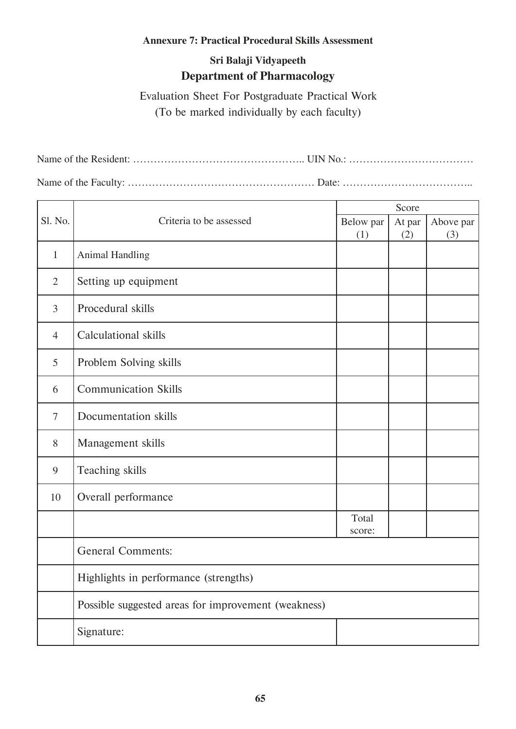#### **Annexure 7: Practical Procedural Skills Assessment**

#### **Sri Balaji Vidyapeeth Department of Pharmacology**

Evaluation Sheet For Postgraduate Practical Work (To be marked individually by each faculty)

Name of the Resident: ………………………………………….. UIN No.: ……………………………… Name of the Faculty: ……………………………………………… Date: ………………………………..

| Sl. No.        | Criteria to be assessed                             | Score           |        |           |
|----------------|-----------------------------------------------------|-----------------|--------|-----------|
|                |                                                     | Below par       | At par | Above par |
|                |                                                     | (1)             | (2)    | (3)       |
| $\mathbf{1}$   | Animal Handling                                     |                 |        |           |
| $\overline{2}$ | Setting up equipment                                |                 |        |           |
| $\overline{3}$ | Procedural skills                                   |                 |        |           |
| $\overline{4}$ | Calculational skills                                |                 |        |           |
| 5              | Problem Solving skills                              |                 |        |           |
| 6              | <b>Communication Skills</b>                         |                 |        |           |
| $\overline{7}$ | Documentation skills                                |                 |        |           |
| 8              | Management skills                                   |                 |        |           |
| 9              | Teaching skills                                     |                 |        |           |
| 10             | Overall performance                                 |                 |        |           |
|                |                                                     | Total<br>score: |        |           |
|                | <b>General Comments:</b>                            |                 |        |           |
|                | Highlights in performance (strengths)               |                 |        |           |
|                | Possible suggested areas for improvement (weakness) |                 |        |           |
|                | Signature:                                          |                 |        |           |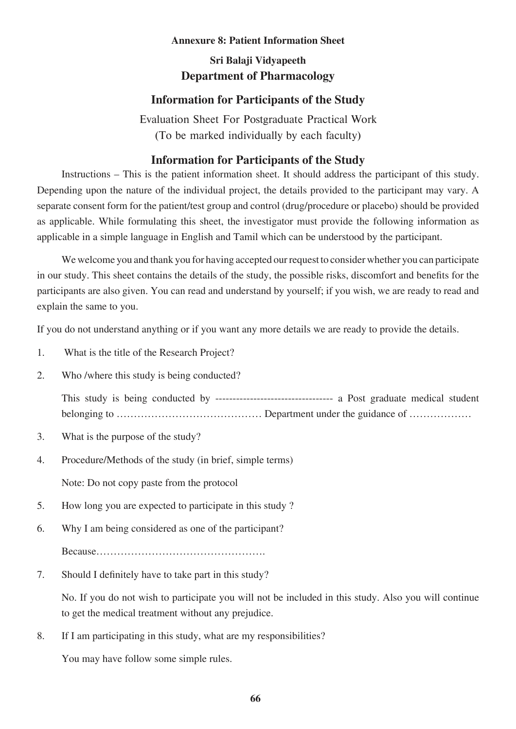#### **Annexure 8: Patient Information Sheet**

#### **Sri Balaji Vidyapeeth Department of Pharmacology**

#### **Information for Participants of the Study**

Evaluation Sheet For Postgraduate Practical Work (To be marked individually by each faculty)

#### **Information for Participants of the Study**

 Instructions – This is the patient information sheet. It should address the participant of this study. Depending upon the nature of the individual project, the details provided to the participant may vary. A separate consent form for the patient/test group and control (drug/procedure or placebo) should be provided as applicable. While formulating this sheet, the investigator must provide the following information as applicable in a simple language in English and Tamil which can be understood by the participant.

We welcome you and thank you for having accepted our request to consider whether you can participate in our study. This sheet contains the details of the study, the possible risks, discomfort and benefits for the participants are also given. You can read and understand by yourself; if you wish, we are ready to read and explain the same to you.

If you do not understand anything or if you want any more details we are ready to provide the details.

- 1. What is the title of the Research Project?
- 2. Who /where this study is being conducted?

 This study is being conducted by ---------------------------------- a Post graduate medical student belonging to …………………………………… Department under the guidance of ………………

- 3. What is the purpose of the study?
- 4. Procedure/Methods of the study (in brief, simple terms)

Note: Do not copy paste from the protocol

- 5. How long you are expected to participate in this study ?
- 6. Why I am being considered as one of the participant? Because………………………………………….
- 7. Should I definitely have to take part in this study?

 No. If you do not wish to participate you will not be included in this study. Also you will continue to get the medical treatment without any prejudice.

8. If I am participating in this study, what are my responsibilities?

You may have follow some simple rules.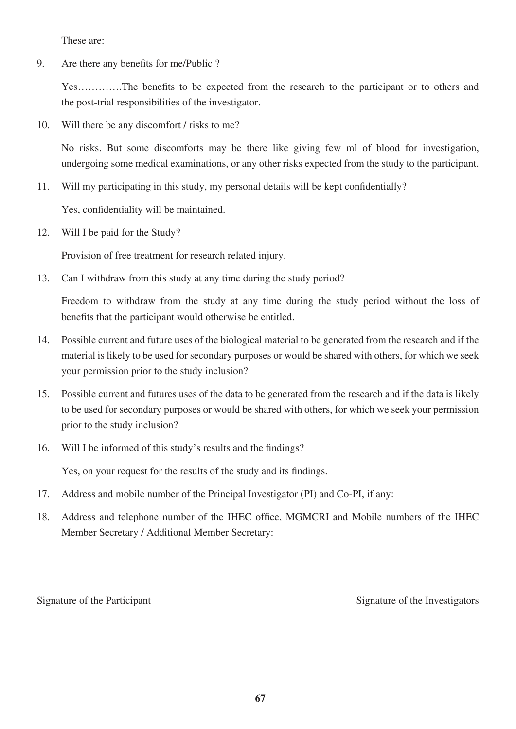These are:

9. Are there any benefits for me/Public ?

 Yes………….The benefits to be expected from the research to the participant or to others and the post-trial responsibilities of the investigator.

10. Will there be any discomfort / risks to me?

 No risks. But some discomforts may be there like giving few ml of blood for investigation, undergoing some medical examinations, or any other risks expected from the study to the participant.

11. Will my participating in this study, my personal details will be kept confidentially?

Yes, confidentiality will be maintained.

12. Will I be paid for the Study?

Provision of free treatment for research related injury.

13. Can I withdraw from this study at any time during the study period?

 Freedom to withdraw from the study at any time during the study period without the loss of benefits that the participant would otherwise be entitled.

- 14. Possible current and future uses of the biological material to be generated from the research and if the material is likely to be used for secondary purposes or would be shared with others, for which we seek your permission prior to the study inclusion?
- 15. Possible current and futures uses of the data to be generated from the research and if the data is likely to be used for secondary purposes or would be shared with others, for which we seek your permission prior to the study inclusion?
- 16. Will I be informed of this study's results and the findings?

Yes, on your request for the results of the study and its findings.

- 17. Address and mobile number of the Principal Investigator (PI) and Co-PI, if any:
- 18. Address and telephone number of the IHEC office, MGMCRI and Mobile numbers of the IHEC Member Secretary / Additional Member Secretary:

Signature of the Participant Signature of the Investigators